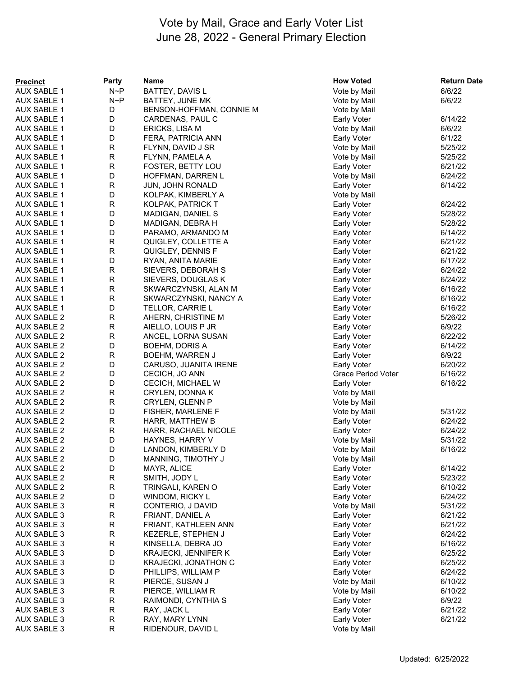## Vote by Mail, Grace and Early Voter List June 28, 2022 - General Primary Election

| <b>Precinct</b>    | <b>Party</b> | Name                        | <b>How Voted</b>          | <b>Return Date</b> |
|--------------------|--------------|-----------------------------|---------------------------|--------------------|
| <b>AUX SABLE 1</b> | $N \sim P$   | BATTEY, DAVIS L             | Vote by Mail              | 6/6/22             |
| <b>AUX SABLE 1</b> | $N \sim P$   | BATTEY, JUNE MK             | Vote by Mail              | 6/6/22             |
| <b>AUX SABLE 1</b> | D            | BENSON-HOFFMAN, CONNIE M    | Vote by Mail              |                    |
| <b>AUX SABLE 1</b> | D            | CARDENAS, PAUL C            | Early Voter               | 6/14/22            |
| AUX SABLE 1        | D            | ERICKS, LISA M              | Vote by Mail              | 6/6/22             |
| <b>AUX SABLE 1</b> | D            | FERA, PATRICIA ANN          | <b>Early Voter</b>        | 6/1/22             |
| AUX SABLE 1        | R            | FLYNN, DAVID J SR           | Vote by Mail              | 5/25/22            |
| AUX SABLE 1        | R            | FLYNN, PAMELA A             | Vote by Mail              | 5/25/22            |
| <b>AUX SABLE 1</b> | R            | <b>FOSTER, BETTY LOU</b>    | Early Voter               | 6/21/22            |
| AUX SABLE 1        | D            | HOFFMAN, DARREN L           | Vote by Mail              | 6/24/22            |
| AUX SABLE 1        | R            | <b>JUN, JOHN RONALD</b>     | Early Voter               | 6/14/22            |
| AUX SABLE 1        | D            | KOLPAK, KIMBERLY A          | Vote by Mail              |                    |
| AUX SABLE 1        | R            | KOLPAK, PATRICK T           | Early Voter               | 6/24/22            |
| AUX SABLE 1        | D            | MADIGAN, DANIEL S           | Early Voter               | 5/28/22            |
| <b>AUX SABLE 1</b> | D            | MADIGAN, DEBRA H            | Early Voter               | 5/28/22            |
| AUX SABLE 1        | D            | PARAMO, ARMANDO M           | Early Voter               | 6/14/22            |
| <b>AUX SABLE 1</b> | R            | QUIGLEY, COLLETTE A         | Early Voter               | 6/21/22            |
| <b>AUX SABLE 1</b> | R            | QUIGLEY, DENNIS F           | Early Voter               | 6/21/22            |
| AUX SABLE 1        | D            | RYAN, ANITA MARIE           | Early Voter               | 6/17/22            |
| AUX SABLE 1        | R            | SIEVERS, DEBORAH S          | Early Voter               | 6/24/22            |
| AUX SABLE 1        | R            | SIEVERS, DOUGLAS K          | <b>Early Voter</b>        | 6/24/22            |
|                    | R            |                             |                           |                    |
| AUX SABLE 1        | R            | SKWARCZYNSKI, ALAN M        | <b>Early Voter</b>        | 6/16/22            |
| AUX SABLE 1        |              | SKWARCZYNSKI, NANCY A       | Early Voter               | 6/16/22            |
| <b>AUX SABLE 1</b> | D            | <b>TELLOR, CARRIE L</b>     | Early Voter               | 6/16/22            |
| AUX SABLE 2        | R            | AHERN, CHRISTINE M          | Early Voter               | 5/26/22            |
| AUX SABLE 2        | R            | AIELLO, LOUIS P JR          | Early Voter               | 6/9/22             |
| AUX SABLE 2        | R            | ANCEL, LORNA SUSAN          | Early Voter               | 6/22/22            |
| <b>AUX SABLE 2</b> | D            | BOEHM, DORIS A              | Early Voter               | 6/14/22            |
| AUX SABLE 2        | R            | BOEHM, WARREN J             | Early Voter               | 6/9/22             |
| AUX SABLE 2        | D            | CARUSO, JUANITA IRENE       | Early Voter               | 6/20/22            |
| AUX SABLE 2        | D            | CECICH, JO ANN              | <b>Grace Period Voter</b> | 6/16/22            |
| AUX SABLE 2        | D            | CECICH, MICHAEL W           | Early Voter               | 6/16/22            |
| AUX SABLE 2        | R            | CRYLEN, DONNA K             | Vote by Mail              |                    |
| AUX SABLE 2        | ${\sf R}$    | <b>CRYLEN, GLENN P</b>      | Vote by Mail              |                    |
| <b>AUX SABLE 2</b> | D            | FISHER, MARLENE F           | Vote by Mail              | 5/31/22            |
| AUX SABLE 2        | R            | HARR, MATTHEW B             | Early Voter               | 6/24/22            |
| AUX SABLE 2        | R            | HARR, RACHAEL NICOLE        | Early Voter               | 6/24/22            |
| <b>AUX SABLE 2</b> | D            | HAYNES, HARRY V             | Vote by Mail              | 5/31/22            |
| <b>AUX SABLE 2</b> | D            | LANDON, KIMBERLY D          | Vote by Mail              | 6/16/22            |
| <b>AUX SABLE 2</b> | D            | MANNING, TIMOTHY J          | Vote by Mail              |                    |
| <b>AUX SABLE 2</b> | D            | MAYR, ALICE                 | Early Voter               | 6/14/22            |
| <b>AUX SABLE 2</b> | R            | SMITH, JODY L               | <b>Early Voter</b>        | 5/23/22            |
| AUX SABLE 2        | R            | TRINGALI, KAREN O           | Early Voter               | 6/10/22            |
| AUX SABLE 2        | D            | WINDOM, RICKY L             | <b>Early Voter</b>        | 6/24/22            |
| AUX SABLE 3        | R            | CONTERIO, J DAVID           | Vote by Mail              | 5/31/22            |
| AUX SABLE 3        | R            | FRIANT, DANIEL A            | Early Voter               | 6/21/22            |
| AUX SABLE 3        | R            | FRIANT, KATHLEEN ANN        | Early Voter               | 6/21/22            |
| AUX SABLE 3        | R            | <b>KEZERLE, STEPHEN J</b>   | <b>Early Voter</b>        | 6/24/22            |
| <b>AUX SABLE 3</b> | R            | KINSELLA, DEBRA JO          | Early Voter               | 6/16/22            |
| AUX SABLE 3        | D            | <b>KRAJECKI, JENNIFER K</b> | Early Voter               | 6/25/22            |
| AUX SABLE 3        | D            | <b>KRAJECKI, JONATHON C</b> | Early Voter               | 6/25/22            |
| AUX SABLE 3        | D            | PHILLIPS, WILLIAM P         | <b>Early Voter</b>        | 6/24/22            |
| AUX SABLE 3        | R            | PIERCE, SUSAN J             | Vote by Mail              | 6/10/22            |
| AUX SABLE 3        | R            | PIERCE, WILLIAM R           | Vote by Mail              | 6/10/22            |
| AUX SABLE 3        | R            | RAIMONDI, CYNTHIA S         | Early Voter               | 6/9/22             |
| AUX SABLE 3        | R            | RAY, JACK L                 | <b>Early Voter</b>        | 6/21/22            |
| AUX SABLE 3        | R            | RAY, MARY LYNN              | Early Voter               | 6/21/22            |
| AUX SABLE 3        | $\mathsf R$  | RIDENOUR, DAVID L           | Vote by Mail              |                    |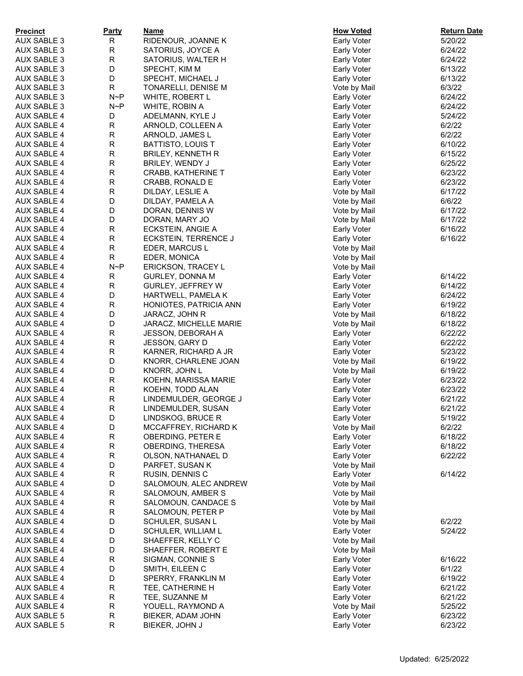| Precinct           | <b>Party</b> | Name                          | <b>How Voted</b> | <b>Return Date</b> |
|--------------------|--------------|-------------------------------|------------------|--------------------|
| <b>AUX SABLE 3</b> | R            | RIDENOUR, JOANNE K            | Early Voter      | 5/20/22            |
| AUX SABLE 3        | R            | SATORIUS, JOYCE A             | Early Voter      | 6/24/22            |
| AUX SABLE 3        | $\mathsf R$  | SATORIUS, WALTER H            | Early Voter      | 6/24/22            |
| <b>AUX SABLE 3</b> | D            | SPECHT, KIM M                 | Early Voter      | 6/13/22            |
| AUX SABLE 3        | D            | SPECHT, MICHAEL J             | Early Voter      | 6/13/22            |
| AUX SABLE 3        | $\mathsf R$  | TONARELLI, DENISE M           | Vote by Mail     | 6/3/22             |
| AUX SABLE 3        | $N \sim P$   | WHITE, ROBERT L               | Early Voter      | 6/24/22            |
| AUX SABLE 3        | $N \sim P$   | WHITE, ROBIN A                | Early Voter      | 6/24/22            |
| AUX SABLE 4        | D            | ADELMANN, KYLE J              | Early Voter      | 5/24/22            |
| AUX SABLE 4        | R            | ARNOLD, COLLEEN A             | Early Voter      | 6/2/22             |
| AUX SABLE 4        | R            | ARNOLD, JAMES L               | Early Voter      | 6/2/22             |
| AUX SABLE 4        | $\mathsf{R}$ | <b>BATTISTO, LOUIS T</b>      | Early Voter      | 6/10/22            |
| AUX SABLE 4        | R            | <b>BRILEY, KENNETH R</b>      | Early Voter      | 6/15/22            |
| AUX SABLE 4        | $\mathsf R$  | BRILEY, WENDY J               | Early Voter      | 6/25/22            |
| AUX SABLE 4        | $\mathsf R$  | <b>CRABB, KATHERINE T</b>     | Early Voter      | 6/23/22            |
| AUX SABLE 4        | R            | CRABB, RONALD E               | Early Voter      | 6/23/22            |
| AUX SABLE 4        | R            | DILDAY, LESLIE A              | Vote by Mail     | 6/17/22            |
| AUX SABLE 4        | D            | DILDAY, PAMELA A              | Vote by Mail     | 6/6/22             |
| AUX SABLE 4        | D            | DORAN, DENNIS W               | Vote by Mail     | 6/17/22            |
| AUX SABLE 4        | D            | DORAN, MARY JO                | Vote by Mail     | 6/17/22            |
| <b>AUX SABLE 4</b> | ${\sf R}$    | ECKSTEIN, ANGIE A             | Early Voter      | 6/16/22            |
| <b>AUX SABLE 4</b> | $\mathsf R$  | ECKSTEIN, TERRENCE J          | Early Voter      | 6/16/22            |
| AUX SABLE 4        | R            | EDER, MARCUS L                | Vote by Mail     |                    |
| <b>AUX SABLE 4</b> | $\mathsf{R}$ | EDER, MONICA                  | Vote by Mail     |                    |
| AUX SABLE 4        | $N \sim P$   | ERICKSON, TRACEY L            | Vote by Mail     |                    |
| AUX SABLE 4        | R            | <b>GURLEY, DONNA M</b>        | Early Voter      | 6/14/22            |
| <b>AUX SABLE 4</b> | R            | GURLEY, JEFFREY W             | Early Voter      | 6/14/22            |
| AUX SABLE 4        | D            | HARTWELL, PAMELA K            | Early Voter      | 6/24/22            |
| AUX SABLE 4        | R            | HONIOTES, PATRICIA ANN        | Early Voter      | 6/19/22            |
| AUX SABLE 4        | D            | JARACZ, JOHN R                | Vote by Mail     | 6/18/22            |
| <b>AUX SABLE 4</b> | D            | <b>JARACZ, MICHELLE MARIE</b> | Vote by Mail     | 6/18/22            |
| AUX SABLE 4        | $\mathsf R$  | <b>JESSON, DEBORAH A</b>      | Early Voter      | 6/22/22            |
| AUX SABLE 4        | R            | <b>JESSON, GARY D</b>         | Early Voter      | 6/22/22            |
| AUX SABLE 4        | ${\sf R}$    | KARNER, RICHARD A JR          | Early Voter      | 5/23/22            |
| AUX SABLE 4        | D            | KNORR, CHARLENE JOAN          | Vote by Mail     | 6/19/22            |
| AUX SABLE 4        | D            | KNORR, JOHN L                 | Vote by Mail     | 6/19/22            |
| AUX SABLE 4        | $\mathsf{R}$ | KOEHN, MARISSA MARIE          | Early Voter      | 6/23/22            |
| <b>AUX SABLE 4</b> | R            | KOEHN, TODD ALAN              | Early Voter      | 6/23/22            |
| <b>AUX SABLE 4</b> | R            | LINDEMULDER, GEORGE J         | Early Voter      | 6/21/22            |
| <b>AUX SABLE 4</b> | $\mathsf R$  | LINDEMULDER, SUSAN            | Early Voter      | 6/21/22            |
| <b>AUX SABLE 4</b> | D            | LINDSKOG, BRUCE R             | Early Voter      | 5/19/22            |
| <b>AUX SABLE 4</b> | D            | MCCAFFREY, RICHARD K          | Vote by Mail     | 6/2/22             |
| AUX SABLE 4        | R            | OBERDING, PETER E             | Early Voter      | 6/18/22            |
| AUX SABLE 4        | R            | OBERDING, THERESA             | Early Voter      | 6/18/22            |
| AUX SABLE 4        | R            | OLSON, NATHANAEL D            | Early Voter      | 6/22/22            |
| <b>AUX SABLE 4</b> | D            | PARFET, SUSAN K               | Vote by Mail     |                    |
| AUX SABLE 4        | R            | RUSIN, DENNIS C               | Early Voter      | 6/14/22            |
| <b>AUX SABLE 4</b> | D            | SALOMOUN, ALEC ANDREW         | Vote by Mail     |                    |
| <b>AUX SABLE 4</b> | $\mathsf R$  | SALOMOUN, AMBER S             | Vote by Mail     |                    |
| AUX SABLE 4        | R            | SALOMOUN, CANDACE S           | Vote by Mail     |                    |
| AUX SABLE 4        | R            | SALOMOUN, PETER P             | Vote by Mail     |                    |
| AUX SABLE 4        | D            | SCHULER, SUSAN L              | Vote by Mail     | 6/2/22             |
| AUX SABLE 4        | D            | SCHULER, WILLIAM L            | Early Voter      | 5/24/22            |
| AUX SABLE 4        | D            | SHAEFFER, KELLY C             | Vote by Mail     |                    |
| AUX SABLE 4        | D            | SHAEFFER, ROBERT E            | Vote by Mail     |                    |
| AUX SABLE 4        | R            | SIGMAN, CONNIE S              | Early Voter      | 6/16/22            |
| <b>AUX SABLE 4</b> | D            | SMITH, EILEEN C               | Early Voter      | 6/1/22             |
| AUX SABLE 4        | D            | SPERRY, FRANKLIN M            | Early Voter      | 6/19/22            |
| <b>AUX SABLE 4</b> | $\mathsf R$  | TEE, CATHERINE H              | Early Voter      | 6/21/22            |
| AUX SABLE 4        | R            | TEE, SUZANNE M                | Early Voter      | 6/21/22            |
| AUX SABLE 4        | R            | YOUELL, RAYMOND A             | Vote by Mail     | 5/25/22            |
| <b>AUX SABLE 5</b> | R            | BIEKER, ADAM JOHN             | Early Voter      | 6/23/22            |
| <b>AUX SABLE 5</b> | R            | BIEKER, JOHN J                | Early Voter      | 6/23/22            |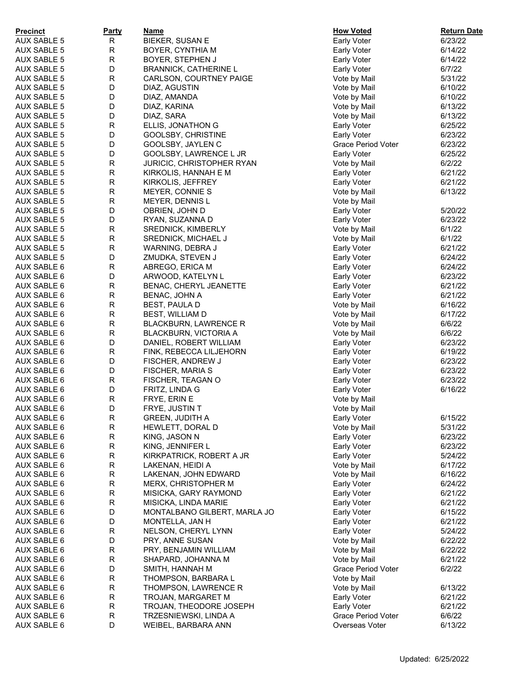| <b>Precinct</b>    | <b>Party</b> | Name                             | <b>How Voted</b>          | <b>Return Date</b> |
|--------------------|--------------|----------------------------------|---------------------------|--------------------|
| <b>AUX SABLE 5</b> | R            | <b>BIEKER, SUSAN E</b>           | Early Voter               | 6/23/22            |
| <b>AUX SABLE 5</b> | $\mathsf R$  | BOYER, CYNTHIA M                 | <b>Early Voter</b>        | 6/14/22            |
| AUX SABLE 5        | R            | BOYER, STEPHEN J                 | <b>Early Voter</b>        | 6/14/22            |
| AUX SABLE 5        | D            | <b>BRANNICK, CATHERINE L</b>     | <b>Early Voter</b>        | 6/7/22             |
| AUX SABLE 5        | ${\sf R}$    | CARLSON, COURTNEY PAIGE          | Vote by Mail              | 5/31/22            |
| AUX SABLE 5        | D            | DIAZ, AGUSTIN                    | Vote by Mail              | 6/10/22            |
| AUX SABLE 5        | D            | DIAZ, AMANDA                     | Vote by Mail              | 6/10/22            |
| <b>AUX SABLE 5</b> | D            | DIAZ, KARINA                     | Vote by Mail              | 6/13/22            |
| <b>AUX SABLE 5</b> | D            | DIAZ, SARA                       | Vote by Mail              | 6/13/22            |
| AUX SABLE 5        | R            | ELLIS, JONATHON G                | <b>Early Voter</b>        | 6/25/22            |
| <b>AUX SABLE 5</b> | D            | GOOLSBY, CHRISTINE               | <b>Early Voter</b>        | 6/23/22            |
| <b>AUX SABLE 5</b> | D            | GOOLSBY, JAYLEN C                | Grace Period Voter        | 6/23/22            |
| AUX SABLE 5        | D            | GOOLSBY, LAWRENCE L JR           | <b>Early Voter</b>        | 6/25/22            |
| AUX SABLE 5        | ${\sf R}$    | <b>JURICIC, CHRISTOPHER RYAN</b> | Vote by Mail              | 6/2/22             |
| AUX SABLE 5        | R            | KIRKOLIS, HANNAH E M             | <b>Early Voter</b>        | 6/21/22            |
| AUX SABLE 5        | $\mathsf R$  | KIRKOLIS, JEFFREY                | <b>Early Voter</b>        | 6/21/22            |
| AUX SABLE 5        | ${\sf R}$    | MEYER, CONNIE S                  | Vote by Mail              | 6/13/22            |
| AUX SABLE 5        | ${\sf R}$    | MEYER, DENNIS L                  | Vote by Mail              |                    |
| AUX SABLE 5        | D            | OBRIEN, JOHN D                   | <b>Early Voter</b>        | 5/20/22            |
| <b>AUX SABLE 5</b> | D            | RYAN, SUZANNA D                  | <b>Early Voter</b>        | 6/23/22            |
| AUX SABLE 5        | ${\sf R}$    | <b>SREDNICK, KIMBERLY</b>        | Vote by Mail              | 6/1/22             |
| <b>AUX SABLE 5</b> | $\mathsf R$  | <b>SREDNICK, MICHAEL J</b>       | Vote by Mail              | 6/1/22             |
| AUX SABLE 5        | R            | WARNING, DEBRA J                 | <b>Early Voter</b>        | 6/21/22            |
| <b>AUX SABLE 5</b> | D            | ZMUDKA, STEVEN J                 | <b>Early Voter</b>        | 6/24/22            |
| AUX SABLE 6        | ${\sf R}$    | ABREGO, ERICA M                  | <b>Early Voter</b>        | 6/24/22            |
| AUX SABLE 6        | D            | ARWOOD, KATELYN L                | <b>Early Voter</b>        | 6/23/22            |
| AUX SABLE 6        | ${\sf R}$    | BENAC, CHERYL JEANETTE           | <b>Early Voter</b>        | 6/21/22            |
| AUX SABLE 6        | R            | BENAC, JOHN A                    | <b>Early Voter</b>        | 6/21/22            |
| AUX SABLE 6        | $\mathsf R$  | BEST, PAULA D                    | Vote by Mail              | 6/16/22            |
| AUX SABLE 6        | ${\sf R}$    | BEST, WILLIAM D                  | Vote by Mail              | 6/17/22            |
| AUX SABLE 6        | ${\sf R}$    | <b>BLACKBURN, LAWRENCE R</b>     | Vote by Mail              | 6/6/22             |
| AUX SABLE 6        | ${\sf R}$    | BLACKBURN, VICTORIA A            | Vote by Mail              | 6/6/22             |
| AUX SABLE 6        | D            | DANIEL, ROBERT WILLIAM           | Early Voter               | 6/23/22            |
| AUX SABLE 6        | $\mathsf{R}$ | FINK, REBECCA LILJEHORN          | <b>Early Voter</b>        | 6/19/22            |
| AUX SABLE 6        | D            | FISCHER, ANDREW J                | <b>Early Voter</b>        | 6/23/22            |
| AUX SABLE 6        | D            | FISCHER, MARIA S                 | <b>Early Voter</b>        | 6/23/22            |
| AUX SABLE 6        | ${\sf R}$    | FISCHER, TEAGAN O                | <b>Early Voter</b>        | 6/23/22            |
| AUX SABLE 6        | D            | FRITZ, LINDA G                   | <b>Early Voter</b>        | 6/16/22            |
| AUX SABLE 6        | R            | FRYE, ERIN E                     | Vote by Mail              |                    |
| AUX SABLE 6        | D            | FRYE, JUSTIN T                   | Vote by Mail              |                    |
| <b>AUX SABLE 6</b> | R            | <b>GREEN, JUDITH A</b>           | <b>Early Voter</b>        | 6/15/22            |
| AUX SABLE 6        | R            | HEWLETT, DORAL D                 | Vote by Mail              | 5/31/22            |
| AUX SABLE 6        | R            | KING, JASON N                    | <b>Early Voter</b>        | 6/23/22            |
| AUX SABLE 6        | R            | KING, JENNIFER L                 | <b>Early Voter</b>        | 6/23/22            |
| AUX SABLE 6        | R            | KIRKPATRICK, ROBERT A JR         | <b>Early Voter</b>        | 5/24/22            |
| AUX SABLE 6        | R            | LAKENAN, HEIDI A                 | Vote by Mail              | 6/17/22            |
| AUX SABLE 6        | R            | LAKENAN, JOHN EDWARD             | Vote by Mail              | 6/16/22            |
| AUX SABLE 6        | R            | MERX, CHRISTOPHER M              | <b>Early Voter</b>        | 6/24/22            |
| AUX SABLE 6        | $\mathsf R$  | MISICKA, GARY RAYMOND            | <b>Early Voter</b>        | 6/21/22            |
| AUX SABLE 6        | $\mathsf R$  | MISICKA, LINDA MARIE             | <b>Early Voter</b>        | 6/21/22            |
| AUX SABLE 6        | D            | MONTALBANO GILBERT, MARLA JO     | <b>Early Voter</b>        | 6/15/22            |
| AUX SABLE 6        | D            | MONTELLA, JAN H                  | <b>Early Voter</b>        | 6/21/22            |
| AUX SABLE 6        | $\mathsf R$  | NELSON, CHERYL LYNN              | <b>Early Voter</b>        | 5/24/22            |
| AUX SABLE 6        | D            | PRY, ANNE SUSAN                  | Vote by Mail              | 6/22/22            |
| AUX SABLE 6        | $\mathsf R$  | PRY, BENJAMIN WILLIAM            | Vote by Mail              | 6/22/22            |
| AUX SABLE 6        | $\mathsf R$  | SHAPARD, JOHANNA M               | Vote by Mail              | 6/21/22            |
| AUX SABLE 6        | D            | SMITH, HANNAH M                  | <b>Grace Period Voter</b> | 6/2/22             |
| AUX SABLE 6        | $\mathsf R$  | THOMPSON, BARBARA L              | Vote by Mail              |                    |
| AUX SABLE 6        | $\mathsf R$  | THOMPSON, LAWRENCE R             | Vote by Mail              | 6/13/22            |
| AUX SABLE 6        | R            | TROJAN, MARGARET M               | <b>Early Voter</b>        | 6/21/22            |
| AUX SABLE 6        | $\mathsf R$  | TROJAN, THEODORE JOSEPH          | <b>Early Voter</b>        | 6/21/22            |
| AUX SABLE 6        | $\mathsf R$  | TRZESNIEWSKI, LINDA A            | <b>Grace Period Voter</b> | 6/6/22             |
| AUX SABLE 6        | D            | WEIBEL, BARBARA ANN              | Overseas Voter            | 6/13/22            |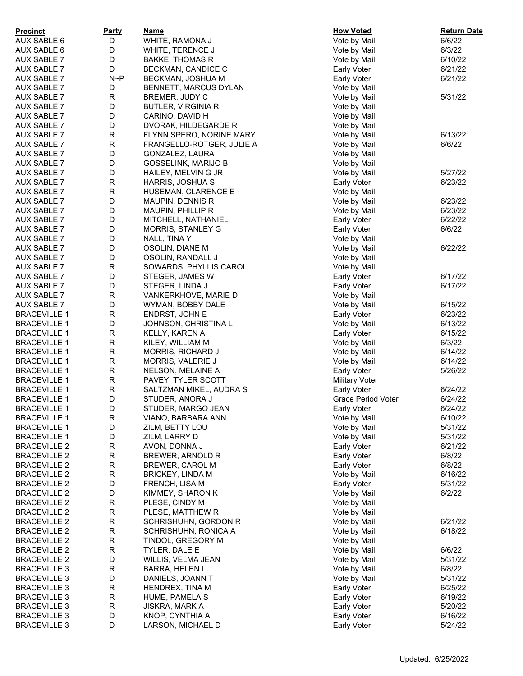| Precinct            | <b>Party</b> | Name                       | <b>How Voted</b>          | <b>Return Date</b> |
|---------------------|--------------|----------------------------|---------------------------|--------------------|
| AUX SABLE 6         | D            | WHITE, RAMONA J            | Vote by Mail              | 6/6/22             |
| AUX SABLE 6         | D            | WHITE, TERENCE J           | Vote by Mail              | 6/3/22             |
| AUX SABLE 7         | D            | BAKKE, THOMAS R            | Vote by Mail              | 6/10/22            |
| AUX SABLE 7         | D            | BECKMAN, CANDICE C         | <b>Early Voter</b>        | 6/21/22            |
| AUX SABLE 7         | $N \sim P$   | BECKMAN, JOSHUA M          | <b>Early Voter</b>        | 6/21/22            |
| AUX SABLE 7         | D            | BENNETT, MARCUS DYLAN      | Vote by Mail              |                    |
| AUX SABLE 7         | $\mathsf R$  | BREMER, JUDY C             | Vote by Mail              | 5/31/22            |
| AUX SABLE 7         | D            | <b>BUTLER, VIRGINIA R</b>  | Vote by Mail              |                    |
| AUX SABLE 7         | D            | CARINO, DAVID H            | Vote by Mail              |                    |
| AUX SABLE 7         | D            | DVORAK, HILDEGARDE R       | Vote by Mail              |                    |
| AUX SABLE 7         | R            | FLYNN SPERO, NORINE MARY   | Vote by Mail              | 6/13/22            |
| AUX SABLE 7         | $\mathsf R$  | FRANGELLO-ROTGER, JULIE A  | Vote by Mail              | 6/6/22             |
| AUX SABLE 7         | D            | GONZALEZ, LAURA            | Vote by Mail              |                    |
| AUX SABLE 7         | D            | <b>GOSSELINK, MARIJO B</b> | Vote by Mail              |                    |
| AUX SABLE 7         | D            | HAILEY, MELVIN G JR        | Vote by Mail              | 5/27/22            |
| AUX SABLE 7         | R            | HARRIS, JOSHUA S           | <b>Early Voter</b>        | 6/23/22            |
| AUX SABLE 7         | $\mathsf{R}$ | HUSEMAN, CLARENCE E        | Vote by Mail              |                    |
| AUX SABLE 7         | D            | MAUPIN, DENNIS R           | Vote by Mail              | 6/23/22            |
| AUX SABLE 7         | D            | MAUPIN, PHILLIP R          | Vote by Mail              | 6/23/22            |
| AUX SABLE 7         | D            | MITCHELL, NATHANIEL        | Early Voter               | 6/22/22            |
| AUX SABLE 7         | D            | MORRIS, STANLEY G          | Early Voter               | 6/6/22             |
| AUX SABLE 7         | D            | NALL, TINA Y               | Vote by Mail              |                    |
| AUX SABLE 7         | D            | OSOLIN, DIANE M            | Vote by Mail              | 6/22/22            |
| AUX SABLE 7         | D            | OSOLIN, RANDALL J          | Vote by Mail              |                    |
| AUX SABLE 7         | ${\sf R}$    | SOWARDS, PHYLLIS CAROL     | Vote by Mail              |                    |
| AUX SABLE 7         | D            | STEGER, JAMES W            | <b>Early Voter</b>        | 6/17/22            |
| AUX SABLE 7         | D            | STEGER, LINDA J            | <b>Early Voter</b>        | 6/17/22            |
| AUX SABLE 7         | R            | VANKERKHOVE, MARIE D       | Vote by Mail              |                    |
| AUX SABLE 7         | D            | WYMAN, BOBBY DALE          | Vote by Mail              | 6/15/22            |
| <b>BRACEVILLE 1</b> | $\mathsf{R}$ | <b>ENDRST, JOHN E</b>      | Early Voter               | 6/23/22            |
| <b>BRACEVILLE 1</b> | D            | JOHNSON, CHRISTINA L       | Vote by Mail              | 6/13/22            |
| <b>BRACEVILLE 1</b> | ${\sf R}$    | KELLY, KAREN A             | Early Voter               | 6/15/22            |
| <b>BRACEVILLE 1</b> | ${\sf R}$    | KILEY, WILLIAM M           | Vote by Mail              | 6/3/22             |
| <b>BRACEVILLE 1</b> | R            | <b>MORRIS, RICHARD J</b>   | Vote by Mail              | 6/14/22            |
| <b>BRACEVILLE 1</b> | R            | MORRIS, VALERIE J          | Vote by Mail              | 6/14/22            |
| <b>BRACEVILLE 1</b> | R            | NELSON, MELAINE A          | <b>Early Voter</b>        | 5/26/22            |
| <b>BRACEVILLE 1</b> | $\mathsf{R}$ | PAVEY, TYLER SCOTT         | <b>Military Voter</b>     |                    |
| <b>BRACEVILLE 1</b> | R            | SALTZMAN MIKEL, AUDRA S    | Early Voter               | 6/24/22            |
| <b>BRACEVILLE 1</b> | D            | STUDER, ANORA J            | <b>Grace Period Voter</b> | 6/24/22            |
| <b>BRACEVILLE 1</b> | D            | STUDER, MARGO JEAN         | Early Voter               | 6/24/22            |
| <b>BRACEVILLE 1</b> | R            | VIANO, BARBARA ANN         | Vote by Mail              | 6/10/22            |
| <b>BRACEVILLE 1</b> | D            | ZILM, BETTY LOU            | Vote by Mail              | 5/31/22            |
| <b>BRACEVILLE 1</b> | D            | ZILM, LARRY D              | Vote by Mail              | 5/31/22            |
| <b>BRACEVILLE 2</b> | R            | AVON, DONNA J              | <b>Early Voter</b>        | 6/21/22            |
| <b>BRACEVILLE 2</b> | R            | BREWER, ARNOLD R           | <b>Early Voter</b>        | 6/8/22             |
| <b>BRACEVILLE 2</b> | R            | BREWER, CAROL M            | Early Voter               | 6/8/22             |
| <b>BRACEVILLE 2</b> | R            | <b>BRICKEY, LINDA M</b>    | Vote by Mail              | 6/16/22            |
| <b>BRACEVILLE 2</b> | D            | FRENCH, LISA M             | <b>Early Voter</b>        | 5/31/22            |
| <b>BRACEVILLE 2</b> | D            | KIMMEY, SHARON K           | Vote by Mail              | 6/2/22             |
| <b>BRACEVILLE 2</b> | R            | PLESE, CINDY M             | Vote by Mail              |                    |
| <b>BRACEVILLE 2</b> | R            | PLESE, MATTHEW R           | Vote by Mail              |                    |
| <b>BRACEVILLE 2</b> | R            | SCHRISHUHN, GORDON R       | Vote by Mail              | 6/21/22            |
| <b>BRACEVILLE 2</b> | R            | SCHRISHUHN, RONICA A       | Vote by Mail              | 6/18/22            |
| <b>BRACEVILLE 2</b> | R            | TINDOL, GREGORY M          | Vote by Mail              |                    |
| <b>BRACEVILLE 2</b> | R            | TYLER, DALE E              | Vote by Mail              | 6/6/22             |
| <b>BRACEVILLE 2</b> | D            | WILLIS, VELMA JEAN         | Vote by Mail              | 5/31/22            |
| <b>BRACEVILLE 3</b> | R            | <b>BARRA, HELEN L</b>      | Vote by Mail              | 6/8/22             |
| <b>BRACEVILLE 3</b> | D            | DANIELS, JOANN T           | Vote by Mail              | 5/31/22            |
| <b>BRACEVILLE 3</b> | R            | HENDREX, TINA M            | <b>Early Voter</b>        | 6/25/22            |
| <b>BRACEVILLE 3</b> | R            | HUME, PAMELA S             | <b>Early Voter</b>        | 6/19/22            |
| <b>BRACEVILLE 3</b> | R            | JISKRA, MARK A             | Early Voter               | 5/20/22            |
| <b>BRACEVILLE 3</b> | D            | KNOP, CYNTHIA A            | <b>Early Voter</b>        | 6/16/22            |
| <b>BRACEVILLE 3</b> | D            | LARSON, MICHAEL D          | Early Voter               | 5/24/22            |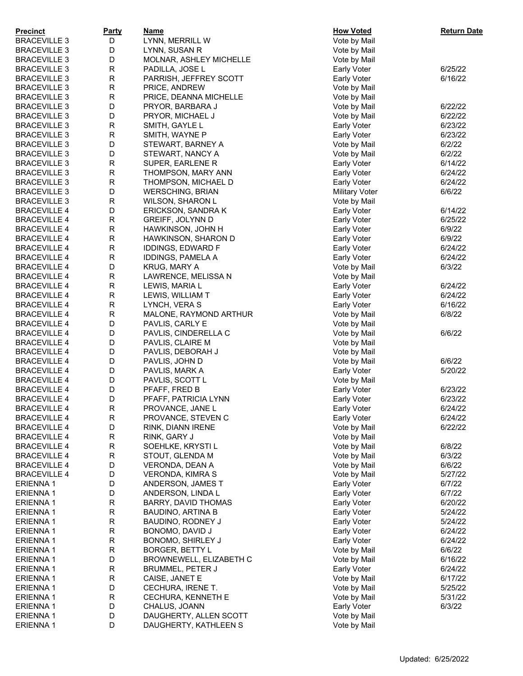| <b>Precinct</b>     | <b>Party</b> | Name                      | <b>How Voted</b>      | <b>Return Date</b> |
|---------------------|--------------|---------------------------|-----------------------|--------------------|
| <b>BRACEVILLE 3</b> | D            | LYNN, MERRILL W           | Vote by Mail          |                    |
| <b>BRACEVILLE 3</b> | D            | LYNN, SUSAN R             | Vote by Mail          |                    |
| <b>BRACEVILLE 3</b> | D            | MOLNAR, ASHLEY MICHELLE   | Vote by Mail          |                    |
| <b>BRACEVILLE 3</b> | $\mathsf{R}$ | PADILLA, JOSE L           | <b>Early Voter</b>    | 6/25/22            |
| <b>BRACEVILLE 3</b> | $\mathsf R$  | PARRISH, JEFFREY SCOTT    | <b>Early Voter</b>    | 6/16/22            |
| <b>BRACEVILLE 3</b> | ${\sf R}$    | PRICE, ANDREW             | Vote by Mail          |                    |
| <b>BRACEVILLE 3</b> | ${\sf R}$    | PRICE, DEANNA MICHELLE    | Vote by Mail          |                    |
| <b>BRACEVILLE 3</b> | D            | PRYOR, BARBARA J          | Vote by Mail          | 6/22/22            |
| <b>BRACEVILLE 3</b> | D            | PRYOR, MICHAEL J          | Vote by Mail          | 6/22/22            |
| <b>BRACEVILLE 3</b> | $\mathsf R$  | SMITH, GAYLE L            | <b>Early Voter</b>    | 6/23/22            |
| <b>BRACEVILLE 3</b> | $\mathsf R$  | SMITH, WAYNE P            | <b>Early Voter</b>    | 6/23/22            |
| <b>BRACEVILLE 3</b> | D            | STEWART, BARNEY A         | Vote by Mail          | 6/2/22             |
| <b>BRACEVILLE 3</b> | D            | STEWART, NANCY A          | Vote by Mail          | 6/2/22             |
| <b>BRACEVILLE 3</b> | ${\sf R}$    | SUPER, EARLENE R          | Early Voter           | 6/14/22            |
| <b>BRACEVILLE 3</b> | R            | THOMPSON, MARY ANN        | <b>Early Voter</b>    | 6/24/22            |
| <b>BRACEVILLE 3</b> | $\mathsf R$  | THOMPSON, MICHAEL D       | <b>Early Voter</b>    | 6/24/22            |
| <b>BRACEVILLE 3</b> | D            | <b>WERSCHING, BRIAN</b>   | <b>Military Voter</b> | 6/6/22             |
| <b>BRACEVILLE 3</b> | $\mathsf R$  | <b>WILSON, SHARON L</b>   | Vote by Mail          |                    |
| <b>BRACEVILLE 4</b> | D            | <b>ERICKSON, SANDRA K</b> | <b>Early Voter</b>    | 6/14/22            |
| <b>BRACEVILLE 4</b> | ${\sf R}$    | <b>GREIFF, JOLYNN D</b>   | <b>Early Voter</b>    | 6/25/22            |
| <b>BRACEVILLE 4</b> | $\mathsf R$  | HAWKINSON, JOHN H         | <b>Early Voter</b>    | 6/9/22             |
| <b>BRACEVILLE 4</b> | R            | HAWKINSON, SHARON D       | <b>Early Voter</b>    | 6/9/22             |
| <b>BRACEVILLE 4</b> | $\mathsf R$  | <b>IDDINGS, EDWARD F</b>  | <b>Early Voter</b>    | 6/24/22            |
| <b>BRACEVILLE 4</b> | $\mathsf R$  | <b>IDDINGS, PAMELA A</b>  | <b>Early Voter</b>    | 6/24/22            |
| <b>BRACEVILLE 4</b> | D            | KRUG, MARY A              | Vote by Mail          | 6/3/22             |
| <b>BRACEVILLE 4</b> | ${\sf R}$    | LAWRENCE, MELISSA N       | Vote by Mail          |                    |
| <b>BRACEVILLE 4</b> | ${\sf R}$    | LEWIS, MARIA L            | <b>Early Voter</b>    | 6/24/22            |
| <b>BRACEVILLE 4</b> | R            | LEWIS, WILLIAM T          | <b>Early Voter</b>    | 6/24/22            |
| <b>BRACEVILLE 4</b> | $\mathsf R$  | LYNCH, VERA S             | <b>Early Voter</b>    | 6/16/22            |
| <b>BRACEVILLE 4</b> | $\mathsf R$  | MALONE, RAYMOND ARTHUR    | Vote by Mail          | 6/8/22             |
| <b>BRACEVILLE 4</b> | D            | PAVLIS, CARLY E           | Vote by Mail          |                    |
| <b>BRACEVILLE 4</b> | D            | PAVLIS, CINDERELLA C      | Vote by Mail          | 6/6/22             |
| <b>BRACEVILLE 4</b> | D            | PAVLIS, CLAIRE M          | Vote by Mail          |                    |
| <b>BRACEVILLE 4</b> | D            | PAVLIS, DEBORAH J         | Vote by Mail          |                    |
| <b>BRACEVILLE 4</b> | D            | PAVLIS, JOHN D            | Vote by Mail          | 6/6/22             |
| <b>BRACEVILLE 4</b> | D            | PAVLIS, MARK A            | Early Voter           | 5/20/22            |
| <b>BRACEVILLE 4</b> | D            | PAVLIS, SCOTT L           | Vote by Mail          |                    |
| <b>BRACEVILLE 4</b> | D            | PFAFF, FRED B             | <b>Early Voter</b>    | 6/23/22            |
| <b>BRACEVILLE 4</b> | D            | PFAFF, PATRICIA LYNN      | <b>Early Voter</b>    | 6/23/22            |
| <b>BRACEVILLE 4</b> | ${\sf R}$    | PROVANCE, JANE L          | Early Voter           | 6/24/22            |
| <b>BRACEVILLE 4</b> | R            | PROVANCE, STEVEN C        | <b>Early Voter</b>    | 6/24/22            |
| <b>BRACEVILLE 4</b> | D            | RINK, DIANN IRENE         | Vote by Mail          | 6/22/22            |
| <b>BRACEVILLE 4</b> | R            | RINK, GARY J              | Vote by Mail          |                    |
| <b>BRACEVILLE 4</b> | R            | SOEHLKE, KRYSTI L         | Vote by Mail          | 6/8/22             |
| <b>BRACEVILLE 4</b> | R            | STOUT, GLENDA M           | Vote by Mail          | 6/3/22             |
| <b>BRACEVILLE 4</b> | D            | VERONDA, DEAN A           | Vote by Mail          | 6/6/22             |
| <b>BRACEVILLE 4</b> | D            | VERONDA, KIMRA S          | Vote by Mail          | 5/27/22            |
| ERIENNA 1           | D            | ANDERSON, JAMES T         | <b>Early Voter</b>    | 6/7/22             |
| ERIENNA 1           | D            | ANDERSON, LINDA L         | <b>Early Voter</b>    | 6/7/22             |
| ERIENNA 1           | $\mathsf R$  | BARRY, DAVID THOMAS       | <b>Early Voter</b>    | 6/20/22            |
| ERIENNA 1           | $\mathsf R$  | BAUDINO, ARTINA B         | <b>Early Voter</b>    | 5/24/22            |
| ERIENNA 1           | R            | BAUDINO, RODNEY J         | <b>Early Voter</b>    | 5/24/22            |
| ERIENNA 1           | R            | BONOMO, DAVID J           | <b>Early Voter</b>    | 6/24/22            |
| <b>ERIENNA1</b>     | R            | BONOMO, SHIRLEY J         | Early Voter           | 6/24/22            |
| <b>ERIENNA1</b>     | $\mathsf R$  | BORGER, BETTY L           | Vote by Mail          | 6/6/22             |
| <b>ERIENNA1</b>     | D            | BROWNEWELL, ELIZABETH C   | Vote by Mail          | 6/16/22            |
| <b>ERIENNA1</b>     | $\mathsf R$  | BRUMMEL, PETER J          | <b>Early Voter</b>    | 6/24/22            |
| <b>ERIENNA1</b>     | R            | CAISE, JANET E            | Vote by Mail          | 6/17/22            |
| <b>ERIENNA1</b>     | D            | CECHURA, IRENE T.         | Vote by Mail          | 5/25/22            |
| ERIENNA 1           | R            | CECHURA, KENNETH E        | Vote by Mail          | 5/31/22            |
| ERIENNA 1           | D            | CHALUS, JOANN             | <b>Early Voter</b>    | 6/3/22             |
| <b>ERIENNA1</b>     | D            | DAUGHERTY, ALLEN SCOTT    | Vote by Mail          |                    |
| <b>ERIENNA1</b>     | D            | DAUGHERTY, KATHLEEN S     | Vote by Mail          |                    |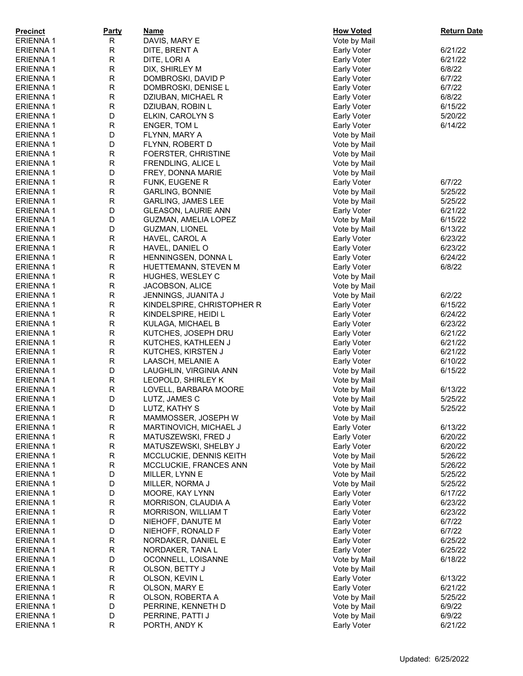| <b>Precinct</b> | <b>Party</b> | Name                       | <b>How Voted</b>   | <b>Return Date</b> |
|-----------------|--------------|----------------------------|--------------------|--------------------|
| <b>ERIENNA1</b> | R            | DAVIS, MARY E              | Vote by Mail       |                    |
| ERIENNA 1       | R            | DITE, BRENT A              | Early Voter        | 6/21/22            |
| ERIENNA 1       | R            | DITE, LORI A               | <b>Early Voter</b> | 6/21/22            |
| <b>ERIENNA1</b> | R            | DIX, SHIRLEY M             | <b>Early Voter</b> | 6/8/22             |
| <b>ERIENNA1</b> | $\mathsf R$  | DOMBROSKI, DAVID P         | Early Voter        | 6/7/22             |
| <b>ERIENNA1</b> | R            | DOMBROSKI, DENISE L        | <b>Early Voter</b> | 6/7/22             |
| <b>ERIENNA1</b> | R            | DZIUBAN, MICHAEL R         | <b>Early Voter</b> | 6/8/22             |
| <b>ERIENNA1</b> | R            | DZIUBAN, ROBIN L           | <b>Early Voter</b> | 6/15/22            |
| <b>ERIENNA1</b> | D            | ELKIN, CAROLYN S           | <b>Early Voter</b> | 5/20/22            |
| <b>ERIENNA1</b> | R            | ENGER, TOM L               | Early Voter        | 6/14/22            |
| <b>ERIENNA1</b> | D            | FLYNN, MARY A              | Vote by Mail       |                    |
| <b>ERIENNA1</b> | D            | FLYNN, ROBERT D            | Vote by Mail       |                    |
| <b>ERIENNA1</b> | R            | FOERSTER, CHRISTINE        | Vote by Mail       |                    |
| <b>ERIENNA1</b> | $\mathsf R$  | FRENDLING, ALICE L         | Vote by Mail       |                    |
| <b>ERIENNA1</b> | D            | FREY, DONNA MARIE          | Vote by Mail       |                    |
| ERIENNA 1       | R            | FUNK, EUGENE R             | <b>Early Voter</b> | 6/7/22             |
| <b>ERIENNA1</b> | R            | <b>GARLING, BONNIE</b>     | Vote by Mail       | 5/25/22            |
| <b>ERIENNA1</b> | $\mathsf R$  | GARLING, JAMES LEE         | Vote by Mail       | 5/25/22            |
| <b>ERIENNA1</b> | D            | GLEASON, LAURIE ANN        | <b>Early Voter</b> | 6/21/22            |
| <b>ERIENNA1</b> | D            | GUZMAN, AMELIA LOPEZ       | Vote by Mail       | 6/15/22            |
| ERIENNA 1       | D            | <b>GUZMAN, LIONEL</b>      | Vote by Mail       | 6/13/22            |
| <b>ERIENNA1</b> | R            | HAVEL, CAROL A             | <b>Early Voter</b> | 6/23/22            |
| <b>ERIENNA1</b> | R            | HAVEL, DANIEL O            | <b>Early Voter</b> | 6/23/22            |
| <b>ERIENNA1</b> | R            | HENNINGSEN, DONNA L        | Early Voter        | 6/24/22            |
| <b>ERIENNA1</b> | R            | HUETTEMANN, STEVEN M       | Early Voter        | 6/8/22             |
| <b>ERIENNA1</b> | R            | HUGHES, WESLEY C           | Vote by Mail       |                    |
| <b>ERIENNA1</b> | R            | JACOBSON, ALICE            | Vote by Mail       |                    |
| <b>ERIENNA1</b> | R            | JENNINGS, JUANITA J        | Vote by Mail       | 6/2/22             |
| <b>ERIENNA1</b> | R            | KINDELSPIRE, CHRISTOPHER R | <b>Early Voter</b> | 6/15/22            |
| <b>ERIENNA1</b> | R            | KINDELSPIRE, HEIDI L       | Early Voter        | 6/24/22            |
| ERIENNA 1       | R            | KULAGA, MICHAEL B          | Early Voter        | 6/23/22            |
| <b>ERIENNA1</b> | R            | KUTCHES, JOSEPH DRU        | Early Voter        | 6/21/22            |
| <b>ERIENNA1</b> | $\mathsf R$  | KUTCHES, KATHLEEN J        | <b>Early Voter</b> | 6/21/22            |
| ERIENNA 1       | R            | KUTCHES, KIRSTEN J         | <b>Early Voter</b> | 6/21/22            |
| ERIENNA 1       | R            | LAASCH, MELANIE A          | Early Voter        | 6/10/22            |
| <b>ERIENNA1</b> | D            | LAUGHLIN, VIRGINIA ANN     | Vote by Mail       | 6/15/22            |
| <b>ERIENNA1</b> | R            | LEOPOLD, SHIRLEY K         | Vote by Mail       |                    |
| <b>ERIENNA1</b> | $\mathsf R$  | LOVELL, BARBARA MOORE      | Vote by Mail       | 6/13/22            |
| ERIENNA 1       | D            | LUTZ, JAMES C              | Vote by Mail       | 5/25/22            |
| ERIENNA 1       | D            | LUTZ, KATHY S              | Vote by Mail       | 5/25/22            |
| ERIENNA 1       | R            | MAMMOSSER, JOSEPH W        | Vote by Mail       |                    |
| <b>ERIENNA1</b> | R            | MARTINOVICH, MICHAEL J     | <b>Early Voter</b> | 6/13/22            |
| <b>ERIENNA1</b> | R            | MATUSZEWSKI, FRED J        | <b>Early Voter</b> | 6/20/22            |
| <b>ERIENNA1</b> | R            | MATUSZEWSKI, SHELBY J      | Early Voter        | 6/20/22            |
| <b>ERIENNA1</b> | R            | MCCLUCKIE, DENNIS KEITH    | Vote by Mail       | 5/26/22            |
| <b>ERIENNA1</b> | R            | MCCLUCKIE, FRANCES ANN     | Vote by Mail       | 5/26/22            |
| ERIENNA 1       | D            | MILLER, LYNN E             | Vote by Mail       | 5/25/22            |
| <b>ERIENNA1</b> | D            | MILLER, NORMA J            | Vote by Mail       | 5/25/22            |
| ERIENNA 1       | D            | MOORE, KAY LYNN            | <b>Early Voter</b> | 6/17/22            |
| <b>ERIENNA1</b> | R            | MORRISON, CLAUDIA A        | Early Voter        | 6/23/22            |
| <b>ERIENNA1</b> | R            | MORRISON, WILLIAM T        | <b>Early Voter</b> | 6/23/22            |
| <b>ERIENNA1</b> | D            | NIEHOFF, DANUTE M          | <b>Early Voter</b> | 6/7/22             |
| ERIENNA 1       | D            | NIEHOFF, RONALD F          | <b>Early Voter</b> | 6/7/22             |
| ERIENNA 1       | R            | NORDAKER, DANIEL E         | <b>Early Voter</b> | 6/25/22            |
| <b>ERIENNA1</b> | R            | NORDAKER, TANA L           | <b>Early Voter</b> | 6/25/22            |
| <b>ERIENNA1</b> | D            | OCONNELL, LOISANNE         | Vote by Mail       | 6/18/22            |
| <b>ERIENNA1</b> | R            | OLSON, BETTY J             | Vote by Mail       |                    |
| <b>ERIENNA1</b> | R            | OLSON, KEVIN L             | <b>Early Voter</b> | 6/13/22            |
| ERIENNA 1       | R            | OLSON, MARY E              | Early Voter        | 6/21/22            |
| ERIENNA 1       | R            | OLSON, ROBERTA A           | Vote by Mail       | 5/25/22            |
| <b>ERIENNA1</b> | D            | PERRINE, KENNETH D         | Vote by Mail       | 6/9/22             |
| <b>ERIENNA1</b> | D            | PERRINE, PATTI J           | Vote by Mail       | 6/9/22             |
| <b>ERIENNA1</b> | R            | PORTH, ANDY K              | <b>Early Voter</b> | 6/21/22            |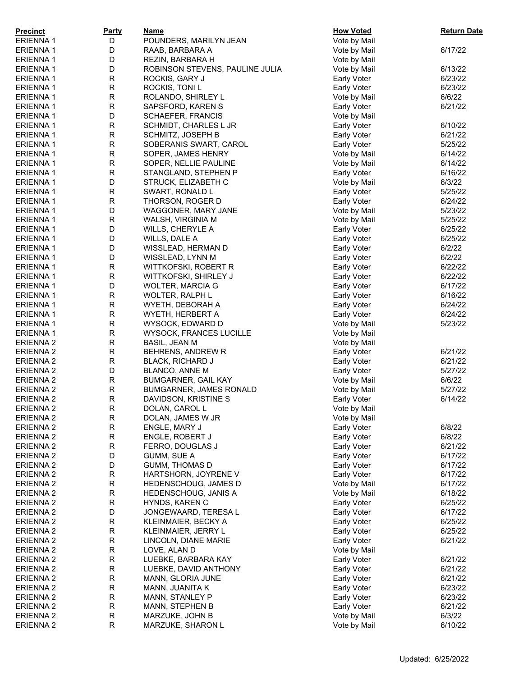| <b>Precinct</b>      | <b>Party</b> | Name                            | <b>How Voted</b>   | <b>Return Date</b> |
|----------------------|--------------|---------------------------------|--------------------|--------------------|
| ERIENNA 1            | D            | POUNDERS, MARILYN JEAN          | Vote by Mail       |                    |
| ERIENNA 1            | D            | RAAB, BARBARA A                 | Vote by Mail       | 6/17/22            |
| <b>ERIENNA1</b>      | D            | REZIN, BARBARA H                | Vote by Mail       |                    |
| <b>ERIENNA1</b>      | D            | ROBINSON STEVENS, PAULINE JULIA | Vote by Mail       | 6/13/22            |
| <b>ERIENNA1</b>      | $\mathsf{R}$ | ROCKIS, GARY J                  | <b>Early Voter</b> | 6/23/22            |
| <b>ERIENNA1</b>      | R            | ROCKIS, TONIL                   | Early Voter        | 6/23/22            |
| <b>ERIENNA1</b>      | R            | ROLANDO, SHIRLEY L              | Vote by Mail       | 6/6/22             |
| ERIENNA 1            | R            | SAPSFORD, KAREN S               | <b>Early Voter</b> | 6/21/22            |
| <b>ERIENNA1</b>      | D            | <b>SCHAEFER, FRANCIS</b>        | Vote by Mail       |                    |
| ERIENNA 1            | R            | SCHMIDT, CHARLES L JR           | <b>Early Voter</b> | 6/10/22            |
| <b>ERIENNA1</b>      | R            | SCHMITZ, JOSEPH B               | Early Voter        | 6/21/22            |
| <b>ERIENNA1</b>      | $\mathsf R$  | SOBERANIS SWART, CAROL          | Early Voter        | 5/25/22            |
| <b>ERIENNA1</b>      | $\mathsf R$  | SOPER, JAMES HENRY              | Vote by Mail       | 6/14/22            |
| ERIENNA 1            | R            | SOPER, NELLIE PAULINE           | Vote by Mail       | 6/14/22            |
| <b>ERIENNA1</b>      | $\mathsf R$  | STANGLAND, STEPHEN P            | <b>Early Voter</b> | 6/16/22            |
| <b>ERIENNA1</b>      | D            | STRUCK, ELIZABETH C             | Vote by Mail       | 6/3/22             |
| <b>ERIENNA1</b>      | $\mathsf R$  | SWART, RONALD L                 | Early Voter        | 5/25/22            |
| <b>ERIENNA1</b>      | R            | THORSON, ROGER D                | Early Voter        | 6/24/22            |
| <b>ERIENNA1</b>      | D            | WAGGONER, MARY JANE             | Vote by Mail       | 5/23/22            |
| <b>ERIENNA1</b>      | $\mathsf R$  | WALSH, VIRGINIA M               | Vote by Mail       | 5/25/22            |
| ERIENNA 1            | D            | WILLS, CHERYLE A                | <b>Early Voter</b> | 6/25/22            |
| <b>ERIENNA1</b>      | D            | WILLS, DALE A                   | <b>Early Voter</b> | 6/25/22            |
| <b>ERIENNA1</b>      | D            | WISSLEAD, HERMAN D              | Early Voter        | 6/2/22             |
| <b>ERIENNA1</b>      | D            | WISSLEAD, LYNN M                | Early Voter        | 6/2/22             |
| <b>ERIENNA1</b>      | $\mathsf R$  | WITTKOFSKI, ROBERT R            | <b>Early Voter</b> | 6/22/22            |
| <b>ERIENNA1</b>      | R            | WITTKOFSKI, SHIRLEY J           | <b>Early Voter</b> | 6/22/22            |
| ERIENNA 1            | D            | <b>WOLTER, MARCIA G</b>         | <b>Early Voter</b> | 6/17/22            |
| <b>ERIENNA1</b>      | R            | WOLTER, RALPH L                 | Early Voter        | 6/16/22            |
| <b>ERIENNA1</b>      | R            | WYETH, DEBORAH A                | <b>Early Voter</b> | 6/24/22            |
| <b>ERIENNA1</b>      | $\mathsf R$  | WYETH, HERBERT A                | Early Voter        | 6/24/22            |
| <b>ERIENNA1</b>      | R            | WYSOCK, EDWARD D                | Vote by Mail       | 5/23/22            |
| <b>ERIENNA1</b>      | R            | WYSOCK, FRANCES LUCILLE         | Vote by Mail       |                    |
| <b>ERIENNA 2</b>     | R            | BASIL, JEAN M                   | Vote by Mail       |                    |
| ERIENNA 2            | R            | BEHRENS, ANDREW R               | <b>Early Voter</b> | 6/21/22            |
| <b>ERIENNA 2</b>     | R            | <b>BLACK, RICHARD J</b>         | <b>Early Voter</b> | 6/21/22            |
| <b>ERIENNA 2</b>     | D            | BLANCO, ANNE M                  | Early Voter        | 5/27/22            |
| <b>ERIENNA 2</b>     | ${\sf R}$    | BUMGARNER, GAIL KAY             | Vote by Mail       | 6/6/22             |
| <b>ERIENNA 2</b>     | R            | BUMGARNER, JAMES RONALD         | Vote by Mail       | 5/27/22            |
| ERIENNA 2            | R            | DAVIDSON, KRISTINE S            | Early Voter        | 6/14/22            |
| <b>ERIENNA2</b>      | R            | DOLAN, CAROL L                  | Vote by Mail       |                    |
| <b>ERIENNA 2</b>     | R            | DOLAN, JAMES W JR               | Vote by Mail       |                    |
| ERIENNA <sub>2</sub> | R            | ENGLE, MARY J                   | Early Voter        | 6/8/22             |
| ERIENNA 2            | R            | ENGLE, ROBERT J                 | Early Voter        | 6/8/22             |
| ERIENNA 2            | R            | FERRO, DOUGLAS J                | <b>Early Voter</b> | 6/21/22            |
| ERIENNA 2            | D            | GUMM, SUE A                     | <b>Early Voter</b> | 6/17/22            |
| ERIENNA 2            | D            | GUMM, THOMAS D                  | <b>Early Voter</b> | 6/17/22            |
| <b>ERIENNA 2</b>     | R            | HARTSHORN, JOYRENE V            | Early Voter        | 6/17/22            |
| <b>ERIENNA 2</b>     | R            | HEDENSCHOUG, JAMES D            | Vote by Mail       | 6/17/22            |
| <b>ERIENNA 2</b>     | R            | HEDENSCHOUG, JANIS A            | Vote by Mail       | 6/18/22            |
| ERIENNA 2            | R            | HYNDS, KAREN C                  | Early Voter        | 6/25/22            |
| ERIENNA 2            | D            | JONGEWAARD, TERESA L            | <b>Early Voter</b> | 6/17/22            |
| ERIENNA 2            | R            | KLEINMAIER, BECKY A             | <b>Early Voter</b> | 6/25/22            |
| ERIENNA 2            | R            | KLEINMAIER, JERRY L             | <b>Early Voter</b> | 6/25/22            |
| ERIENNA 2            | R            | LINCOLN, DIANE MARIE            | <b>Early Voter</b> | 6/21/22            |
| ERIENNA 2            | R            | LOVE, ALAN D                    | Vote by Mail       |                    |
| ERIENNA 2            | R            | LUEBKE, BARBARA KAY             | Early Voter        | 6/21/22            |
| ERIENNA 2            | R            | LUEBKE, DAVID ANTHONY           | <b>Early Voter</b> | 6/21/22            |
| ERIENNA 2            | R            | MANN, GLORIA JUNE               | Early Voter        | 6/21/22            |
| ERIENNA 2            | R            | MANN, JUANITA K                 | <b>Early Voter</b> | 6/23/22            |
| ERIENNA 2            | R            | MANN, STANLEY P                 | <b>Early Voter</b> | 6/23/22            |
| ERIENNA 2            | R            | MANN, STEPHEN B                 | Early Voter        | 6/21/22            |
| ERIENNA 2            | R            | MARZUKE, JOHN B                 | Vote by Mail       | 6/3/22             |
| ERIENNA <sub>2</sub> | R            | MARZUKE, SHARON L               | Vote by Mail       | 6/10/22            |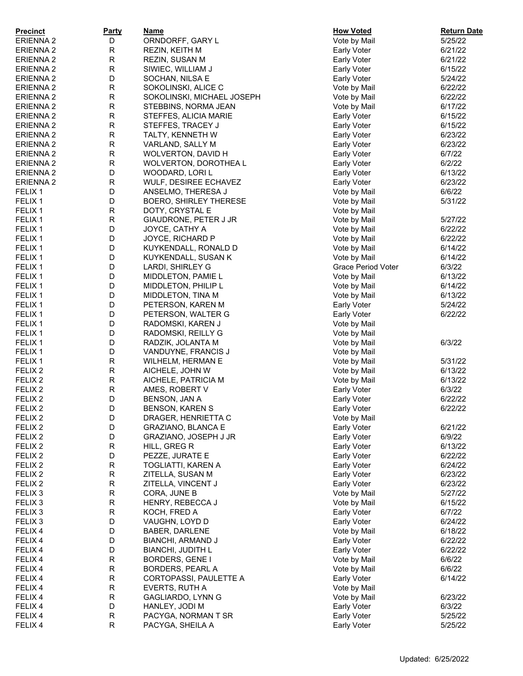| <b>Precinct</b>      | <b>Party</b> | Name                         | <b>How Voted</b>          | <b>Return Date</b> |
|----------------------|--------------|------------------------------|---------------------------|--------------------|
| <b>ERIENNA 2</b>     | D            | ORNDORFF, GARY L             | Vote by Mail              | 5/25/22            |
| ERIENNA 2            | R            | <b>REZIN, KEITH M</b>        | Early Voter               | 6/21/22            |
| ERIENNA <sub>2</sub> | R            | <b>REZIN, SUSAN M</b>        | Early Voter               | 6/21/22            |
| ERIENNA 2            | $\mathsf{R}$ | SIWIEC, WILLIAM J            | Early Voter               | 6/15/22            |
| ERIENNA 2            | D            | SOCHAN, NILSA E              | Early Voter               | 5/24/22            |
| ERIENNA 2            | ${\sf R}$    | SOKOLINSKI, ALICE C          | Vote by Mail              | 6/22/22            |
| <b>ERIENNA 2</b>     | $\mathsf{R}$ | SOKOLINSKI, MICHAEL JOSEPH   | Vote by Mail              | 6/22/22            |
| ERIENNA 2            | ${\sf R}$    | STEBBINS, NORMA JEAN         | Vote by Mail              | 6/17/22            |
| ERIENNA 2            | ${\sf R}$    | STEFFES, ALICIA MARIE        | <b>Early Voter</b>        | 6/15/22            |
| ERIENNA 2            | $\mathsf{R}$ | STEFFES, TRACEY J            | Early Voter               | 6/15/22            |
| ERIENNA 2            | ${\sf R}$    | TALTY, KENNETH W             | <b>Early Voter</b>        | 6/23/22            |
| ERIENNA 2            | ${\sf R}$    | VARLAND, SALLY M             | Early Voter               | 6/23/22            |
| ERIENNA 2            | ${\sf R}$    | WOLVERTON, DAVID H           | Early Voter               | 6/7/22             |
| ERIENNA 2            | ${\sf R}$    | WOLVERTON, DOROTHEA L        | Early Voter               | 6/2/22             |
| ERIENNA 2            | D            | WOODARD, LORI L              | Early Voter               | 6/13/22            |
| ERIENNA 2            | $\mathsf{R}$ | <b>WULF, DESIREE ECHAVEZ</b> | Early Voter               | 6/23/22            |
| FELIX <sub>1</sub>   | D            | ANSELMO, THERESA J           | Vote by Mail              | 6/6/22             |
| FELIX <sub>1</sub>   | D            | BOERO, SHIRLEY THERESE       | Vote by Mail              | 5/31/22            |
| FELIX <sub>1</sub>   | ${\sf R}$    | DOTY, CRYSTAL E              | Vote by Mail              |                    |
| FELIX <sub>1</sub>   | ${\sf R}$    | GIAUDRONE, PETER J JR        | Vote by Mail              | 5/27/22            |
| FELIX <sub>1</sub>   | D            | JOYCE, CATHY A               | Vote by Mail              | 6/22/22            |
| FELIX <sub>1</sub>   | D            | JOYCE, RICHARD P             | Vote by Mail              | 6/22/22            |
| FELIX <sub>1</sub>   | D            | KUYKENDALL, RONALD D         | Vote by Mail              | 6/14/22            |
| FELIX <sub>1</sub>   | D            | KUYKENDALL, SUSAN K          | Vote by Mail              | 6/14/22            |
| FELIX 1              | D            | LARDI, SHIRLEY G             | <b>Grace Period Voter</b> | 6/3/22             |
| FELIX 1              | D            | MIDDLETON, PAMIE L           | Vote by Mail              | 6/13/22            |
| FELIX <sub>1</sub>   | D            | MIDDLETON, PHILIP L          | Vote by Mail              | 6/14/22            |
| FELIX <sub>1</sub>   | D            | MIDDLETON, TINA M            | Vote by Mail              | 6/13/22            |
| FELIX <sub>1</sub>   | D            | PETERSON, KAREN M            | Early Voter               | 5/24/22            |
| FELIX <sub>1</sub>   | D            | PETERSON, WALTER G           | Early Voter               | 6/22/22            |
| FELIX <sub>1</sub>   | D            | RADOMSKI, KAREN J            | Vote by Mail              |                    |
| FELIX <sub>1</sub>   | D            | RADOMSKI, REILLY G           | Vote by Mail              |                    |
| FELIX <sub>1</sub>   | D            | RADZIK, JOLANTA M            | Vote by Mail              | 6/3/22             |
| FELIX <sub>1</sub>   | D            | VANDUYNE, FRANCIS J          | Vote by Mail              |                    |
| FELIX <sub>1</sub>   | $\mathsf{R}$ | WILHELM, HERMAN E            | Vote by Mail              | 5/31/22            |
| FELIX <sub>2</sub>   | ${\sf R}$    | AICHELE, JOHN W              | Vote by Mail              | 6/13/22            |
| FELIX <sub>2</sub>   | ${\sf R}$    | AICHELE, PATRICIA M          | Vote by Mail              | 6/13/22            |
| FELIX <sub>2</sub>   | ${\sf R}$    | AMES, ROBERT V               | Early Voter               | 6/3/22             |
| FELIX <sub>2</sub>   | D            | BENSON, JAN A                | Early Voter               | 6/22/22            |
| FELIX <sub>2</sub>   | D            | BENSON, KAREN S              | Early Voter               | 6/22/22            |
| FELIX <sub>2</sub>   | D            | DRAGER, HENRIETTA C          | Vote by Mail              |                    |
| FELIX <sub>2</sub>   | D            | <b>GRAZIANO, BLANCA E</b>    | <b>Early Voter</b>        | 6/21/22            |
| FELIX <sub>2</sub>   | D            | GRAZIANO, JOSEPH J JR        | Early Voter               | 6/9/22             |
| FELIX <sub>2</sub>   | ${\sf R}$    | HILL, GREG R                 | <b>Early Voter</b>        | 6/13/22            |
| FELIX <sub>2</sub>   | D            | PEZZE, JURATE E              | Early Voter               | 6/22/22            |
| FELIX <sub>2</sub>   | ${\sf R}$    | TOGLIATTI, KAREN A           | <b>Early Voter</b>        | 6/24/22            |
| FELIX <sub>2</sub>   | $\mathsf R$  | ZITELLA, SUSAN M             | Early Voter               | 6/23/22            |
| FELIX <sub>2</sub>   | $\mathsf R$  | ZITELLA, VINCENT J           | Early Voter               | 6/23/22            |
| FELIX <sub>3</sub>   | $\mathsf R$  | CORA, JUNE B                 | Vote by Mail              | 5/27/22            |
| FELIX <sub>3</sub>   | ${\sf R}$    | HENRY, REBECCA J             | Vote by Mail              | 6/15/22            |
| FELIX <sub>3</sub>   | $\mathsf{R}$ | KOCH, FRED A                 | Early Voter               | 6/7/22             |
| FELIX <sub>3</sub>   | D            | VAUGHN, LOYD D               | <b>Early Voter</b>        | 6/24/22            |
| FELIX 4              | D            | <b>BABER, DARLENE</b>        | Vote by Mail              | 6/18/22            |
| FELIX 4              | D            | BIANCHI, ARMAND J            | Early Voter               | 6/22/22            |
| FELIX 4              | D            | <b>BIANCHI, JUDITH L</b>     | <b>Early Voter</b>        | 6/22/22            |
| FELIX 4              | ${\sf R}$    | BORDERS, GENE I              | Vote by Mail              | 6/6/22             |
| FELIX 4              | ${\sf R}$    | <b>BORDERS, PEARL A</b>      | Vote by Mail              | 6/6/22             |
| FELIX 4              | ${\sf R}$    | CORTOPASSI, PAULETTE A       | <b>Early Voter</b>        | 6/14/22            |
| FELIX 4              | ${\sf R}$    | EVERTS, RUTH A               | Vote by Mail              |                    |
| FELIX 4              | $\mathsf R$  | GAGLIARDO, LYNN G            | Vote by Mail              | 6/23/22            |
| FELIX 4              | D            | HANLEY, JODI M               | <b>Early Voter</b>        | 6/3/22             |
| FELIX 4              | $\mathsf{R}$ | PACYGA, NORMAN T SR          | <b>Early Voter</b>        | 5/25/22            |
| FELIX 4              | $\mathsf{R}$ | PACYGA, SHEILA A             | <b>Early Voter</b>        | 5/25/22            |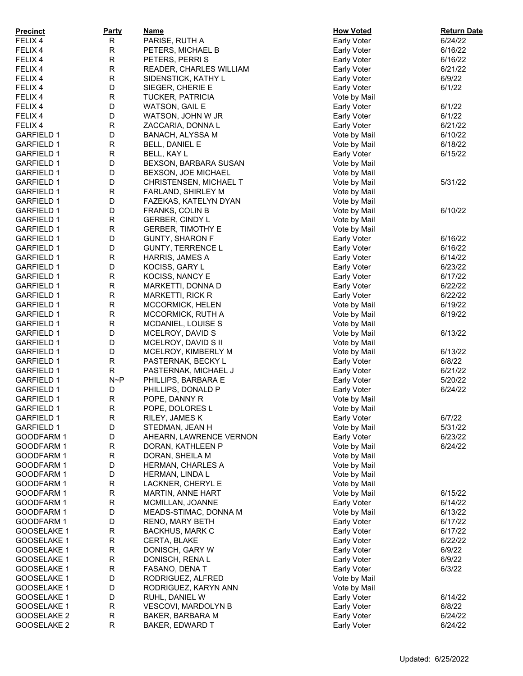| <b>Precinct</b>    | <b>Party</b> | Name                          | <b>How Voted</b>   | <b>Return Date</b> |
|--------------------|--------------|-------------------------------|--------------------|--------------------|
| FELIX 4            | $\mathsf R$  | PARISE, RUTH A                | Early Voter        | 6/24/22            |
| FELIX 4            | $\mathsf R$  | PETERS, MICHAEL B             | Early Voter        | 6/16/22            |
| FELIX 4            | R            | PETERS, PERRIS                | Early Voter        | 6/16/22            |
| FELIX 4            | $\mathsf R$  | READER, CHARLES WILLIAM       | Early Voter        | 6/21/22            |
| FELIX 4            | ${\sf R}$    | SIDENSTICK, KATHY L           | <b>Early Voter</b> | 6/9/22             |
| FELIX 4            | D            | SIEGER, CHERIE E              | Early Voter        | 6/1/22             |
| FELIX 4            | ${\sf R}$    | TUCKER, PATRICIA              | Vote by Mail       |                    |
| FELIX 4            | D            | WATSON, GAIL E                | Early Voter        | 6/1/22             |
| FELIX <sub>4</sub> | D            | WATSON, JOHN W JR             | <b>Early Voter</b> | 6/1/22             |
| FELIX 4            | $\mathsf{R}$ | ZACCARIA, DONNA L             | Early Voter        | 6/21/22            |
| <b>GARFIELD 1</b>  | D            | BANACH, ALYSSA M              | Vote by Mail       | 6/10/22            |
| <b>GARFIELD 1</b>  | R            | BELL, DANIEL E                | Vote by Mail       | 6/18/22            |
| <b>GARFIELD 1</b>  | R            | BELL, KAY L                   | <b>Early Voter</b> | 6/15/22            |
| <b>GARFIELD 1</b>  | D            | BEXSON, BARBARA SUSAN         | Vote by Mail       |                    |
| <b>GARFIELD 1</b>  | D            | BEXSON, JOE MICHAEL           | Vote by Mail       |                    |
| <b>GARFIELD 1</b>  | D            | <b>CHRISTENSEN, MICHAEL T</b> | Vote by Mail       | 5/31/22            |
| <b>GARFIELD 1</b>  | $\mathsf{R}$ | FARLAND, SHIRLEY M            | Vote by Mail       |                    |
| <b>GARFIELD 1</b>  | D            | FAZEKAS, KATELYN DYAN         | Vote by Mail       |                    |
| <b>GARFIELD 1</b>  | $\mathsf D$  | FRANKS, COLIN B               | Vote by Mail       | 6/10/22            |
| <b>GARFIELD 1</b>  | R            | GERBER, CINDY L               | Vote by Mail       |                    |
| <b>GARFIELD 1</b>  | R            | <b>GERBER, TIMOTHY E</b>      | Vote by Mail       |                    |
| GARFIELD 1         | D            | <b>GUNTY, SHARON F</b>        | <b>Early Voter</b> | 6/16/22            |
| <b>GARFIELD 1</b>  | $\mathsf D$  | <b>GUNTY, TERRENCE L</b>      | <b>Early Voter</b> | 6/16/22            |
| <b>GARFIELD 1</b>  | $\mathsf{R}$ | HARRIS, JAMES A               | <b>Early Voter</b> | 6/14/22            |
| <b>GARFIELD 1</b>  | D            | KOCISS, GARY L                | Early Voter        | 6/23/22            |
| <b>GARFIELD 1</b>  | ${\sf R}$    | KOCISS, NANCY E               | Early Voter        | 6/17/22            |
| <b>GARFIELD 1</b>  | R            | MARKETTI, DONNA D             | Early Voter        | 6/22/22            |
| <b>GARFIELD 1</b>  | R            | <b>MARKETTI, RICK R</b>       | <b>Early Voter</b> | 6/22/22            |
| <b>GARFIELD 1</b>  | R            | MCCORMICK, HELEN              | Vote by Mail       | 6/19/22            |
| GARFIELD 1         | R            | MCCORMICK, RUTH A             | Vote by Mail       | 6/19/22            |
| <b>GARFIELD 1</b>  | R            | MCDANIEL, LOUISE S            | Vote by Mail       |                    |
| <b>GARFIELD 1</b>  | D            | MCELROY, DAVID S              | Vote by Mail       | 6/13/22            |
| <b>GARFIELD 1</b>  | D            | MCELROY, DAVID S II           | Vote by Mail       |                    |
| <b>GARFIELD 1</b>  | D            | MCELROY, KIMBERLY M           | Vote by Mail       | 6/13/22            |
| <b>GARFIELD 1</b>  | R            | PASTERNAK, BECKY L            | <b>Early Voter</b> | 6/8/22             |
| <b>GARFIELD 1</b>  | R            | PASTERNAK, MICHAEL J          | <b>Early Voter</b> | 6/21/22            |
| <b>GARFIELD 1</b>  | $N \sim P$   | PHILLIPS, BARBARA E           | <b>Early Voter</b> | 5/20/22            |
| <b>GARFIELD 1</b>  | D            | PHILLIPS, DONALD P            | Early Voter        | 6/24/22            |
| <b>GARFIELD 1</b>  | R            | POPE, DANNY R                 | Vote by Mail       |                    |
| <b>GARFIELD 1</b>  | ${\sf R}$    | POPE, DOLORES L               | Vote by Mail       |                    |
| <b>GARFIELD 1</b>  | R            | RILEY, JAMES K                | Early Voter        | 6/7/22             |
| <b>GARFIELD 1</b>  | D            | STEDMAN, JEAN H               | Vote by Mail       | 5/31/22            |
| GOODFARM 1         | D            | AHEARN, LAWRENCE VERNON       | <b>Early Voter</b> | 6/23/22            |
| GOODFARM 1         | R            | DORAN, KATHLEEN P             | Vote by Mail       | 6/24/22            |
| GOODFARM 1         | R            | DORAN, SHEILA M               | Vote by Mail       |                    |
| GOODFARM 1         | D            | HERMAN, CHARLES A             | Vote by Mail       |                    |
| GOODFARM 1         | D            | HERMAN, LINDA L               | Vote by Mail       |                    |
| GOODFARM 1         | R            | LACKNER, CHERYL E             | Vote by Mail       |                    |
| GOODFARM 1         | R            | <b>MARTIN, ANNE HART</b>      | Vote by Mail       | 6/15/22            |
| GOODFARM 1         | ${\sf R}$    | MCMILLAN, JOANNE              | Early Voter        | 6/14/22            |
| GOODFARM 1         | D            | MEADS-STIMAC, DONNA M         | Vote by Mail       | 6/13/22            |
| GOODFARM 1         | D            | RENO, MARY BETH               | Early Voter        | 6/17/22            |
| GOOSELAKE 1        | R            | <b>BACKHUS, MARK C</b>        | <b>Early Voter</b> | 6/17/22            |
| GOOSELAKE 1        | R            | CERTA, BLAKE                  | <b>Early Voter</b> | 6/22/22            |
| GOOSELAKE 1        | R            | DONISCH, GARY W               | Early Voter        | 6/9/22             |
| GOOSELAKE 1        | R            | DONISCH, RENA L               | Early Voter        | 6/9/22             |
| GOOSELAKE 1        | R            | FASANO, DENA T                | Early Voter        | 6/3/22             |
| GOOSELAKE 1        | D            | RODRIGUEZ, ALFRED             | Vote by Mail       |                    |
| GOOSELAKE 1        | D            | RODRIGUEZ, KARYN ANN          | Vote by Mail       |                    |
| GOOSELAKE 1        | D            | RUHL, DANIEL W                | Early Voter        | 6/14/22            |
| GOOSELAKE 1        | $\mathsf{R}$ | VESCOVI, MARDOLYN B           | <b>Early Voter</b> | 6/8/22             |
| GOOSELAKE 2        | R            | BAKER, BARBARA M              | Early Voter        | 6/24/22            |
| GOOSELAKE 2        | R            | BAKER, EDWARD T               | Early Voter        | 6/24/22            |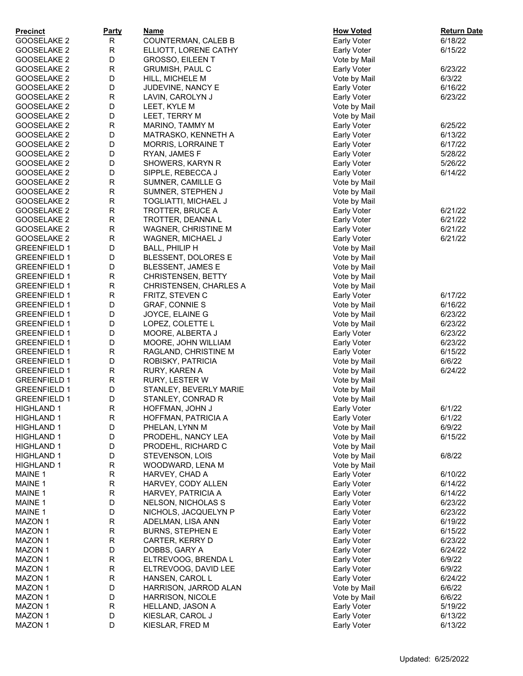| Early Voter<br>GOOSELAKE 2<br>R<br><b>COUNTERMAN, CALEB B</b><br>6/18/22<br>GOOSELAKE 2<br>R<br>Early Voter<br>6/15/22<br>ELLIOTT, LORENE CATHY<br>D<br>GOOSELAKE 2<br>Vote by Mail<br><b>GROSSO, EILEEN T</b><br>R<br>6/23/22<br>GOOSELAKE 2<br><b>GRUMISH, PAUL C</b><br><b>Early Voter</b><br>D<br>6/3/22<br>GOOSELAKE 2<br>HILL, MICHELE M<br>Vote by Mail<br>D<br>6/16/22<br>GOOSELAKE 2<br>JUDEVINE, NANCY E<br><b>Early Voter</b><br>R<br>6/23/22<br>GOOSELAKE 2<br>LAVIN, CAROLYN J<br><b>Early Voter</b><br>D<br>GOOSELAKE 2<br>LEET, KYLE M<br>Vote by Mail<br>D<br>GOOSELAKE 2<br>LEET, TERRY M<br>Vote by Mail<br>$\mathsf R$<br>6/25/22<br>GOOSELAKE 2<br>MARINO, TAMMY M<br><b>Early Voter</b><br>D<br>6/13/22<br>GOOSELAKE 2<br>MATRASKO, KENNETH A<br><b>Early Voter</b><br>D<br>6/17/22<br>GOOSELAKE 2<br><b>MORRIS, LORRAINE T</b><br>Early Voter<br>D<br>GOOSELAKE 2<br>RYAN, JAMES F<br><b>Early Voter</b><br>5/28/22<br>D<br>GOOSELAKE 2<br>5/26/22<br>SHOWERS, KARYN R<br><b>Early Voter</b><br>D<br>GOOSELAKE 2<br>Early Voter<br>6/14/22<br>SIPPLE, REBECCA J<br>${\sf R}$<br>GOOSELAKE 2<br>SUMNER, CAMILLE G<br>Vote by Mail<br>R<br>GOOSELAKE 2<br>SUMNER, STEPHEN J<br>Vote by Mail<br>R<br>GOOSELAKE 2<br><b>TOGLIATTI, MICHAEL J</b><br>Vote by Mail<br>${\sf R}$<br>6/21/22<br>GOOSELAKE 2<br><b>TROTTER, BRUCE A</b><br><b>Early Voter</b><br>${\sf R}$<br>6/21/22<br>GOOSELAKE 2<br>TROTTER, DEANNA L<br><b>Early Voter</b><br>${\sf R}$<br>GOOSELAKE 2<br>Early Voter<br>6/21/22<br>WAGNER, CHRISTINE M<br>${\sf R}$<br>6/21/22<br>GOOSELAKE 2<br>WAGNER, MICHAEL J<br><b>Early Voter</b><br>D<br><b>GREENFIELD 1</b><br><b>BALL, PHILIP H</b><br>Vote by Mail<br>D<br><b>GREENFIELD 1</b><br>BLESSENT, DOLORES E<br>Vote by Mail<br>D<br><b>GREENFIELD 1</b><br>BLESSENT, JAMES E<br>Vote by Mail<br>R<br><b>GREENFIELD 1</b><br>CHRISTENSEN, BETTY<br>Vote by Mail<br>R<br><b>GREENFIELD 1</b><br>CHRISTENSEN, CHARLES A<br>Vote by Mail<br>${\sf R}$<br><b>GREENFIELD 1</b><br>6/17/22<br>FRITZ, STEVEN C<br><b>Early Voter</b><br>D<br>6/16/22<br><b>GREENFIELD 1</b><br><b>GRAF, CONNIE S</b><br>Vote by Mail<br>D<br>6/23/22<br><b>GREENFIELD 1</b><br>JOYCE, ELAINE G<br>Vote by Mail<br>D<br><b>GREENFIELD 1</b><br>6/23/22<br>LOPEZ, COLETTE L<br>Vote by Mail<br>D<br>6/23/22<br><b>GREENFIELD 1</b><br>MOORE, ALBERTA J<br><b>Early Voter</b><br>D<br><b>GREENFIELD 1</b><br>6/23/22<br>MOORE, JOHN WILLIAM<br><b>Early Voter</b><br>${\sf R}$<br>6/15/22<br><b>GREENFIELD 1</b><br>RAGLAND, CHRISTINE M<br><b>Early Voter</b><br>D<br>6/6/22<br><b>GREENFIELD 1</b><br>ROBISKY, PATRICIA<br>Vote by Mail<br>R<br>6/24/22<br><b>GREENFIELD 1</b><br>RURY, KAREN A<br>Vote by Mail<br>R<br><b>GREENFIELD 1</b><br><b>RURY, LESTER W</b><br>Vote by Mail<br>D<br><b>GREENFIELD 1</b><br>STANLEY, BEVERLY MARIE<br>Vote by Mail<br>D<br><b>GREENFIELD 1</b><br>STANLEY, CONRAD R<br>Vote by Mail<br>${\sf R}$<br>6/1/22<br><b>HIGHLAND 1</b><br>HOFFMAN, JOHN J<br>Early Voter<br>$\mathsf R$<br>6/1/22<br><b>Early Voter</b><br><b>HIGHLAND 1</b><br>HOFFMAN, PATRICIA A<br>D<br><b>HIGHLAND 1</b><br>6/9/22<br>PHELAN, LYNN M<br>Vote by Mail<br>D<br>6/15/22<br><b>HIGHLAND 1</b><br>Vote by Mail<br>PRODEHL, NANCY LEA<br>D<br><b>HIGHLAND 1</b><br>PRODEHL, RICHARD C<br>Vote by Mail<br>D<br><b>HIGHLAND 1</b><br>6/8/22<br>STEVENSON, LOIS<br>Vote by Mail<br>$\mathsf R$<br><b>HIGHLAND 1</b><br>Vote by Mail<br>WOODWARD, LENA M<br>R<br>MAINE 1<br>HARVEY, CHAD A<br><b>Early Voter</b><br>6/10/22<br>R<br>MAINE 1<br><b>Early Voter</b><br>6/14/22<br>HARVEY, CODY ALLEN<br>R<br><b>Early Voter</b><br>6/14/22<br><b>MAINE 1</b><br>HARVEY, PATRICIA A<br>D<br>MAINE 1<br>6/23/22<br>NELSON, NICHOLAS S<br><b>Early Voter</b><br>D<br>MAINE 1<br><b>Early Voter</b><br>6/23/22<br>NICHOLS, JACQUELYN P<br>$\mathsf R$<br>MAZON 1<br><b>Early Voter</b><br>6/19/22<br>ADELMAN, LISA ANN<br>R<br><b>MAZON1</b><br><b>BURNS, STEPHEN E</b><br><b>Early Voter</b><br>6/15/22<br>R<br><b>MAZON1</b><br><b>Early Voter</b><br>6/23/22<br>CARTER, KERRY D<br>D<br><b>MAZON1</b><br>6/24/22<br>DOBBS, GARY A<br><b>Early Voter</b><br>$\mathsf R$<br><b>MAZON1</b><br>6/9/22<br>ELTREVOOG, BRENDA L<br><b>Early Voter</b><br>${\sf R}$<br><b>MAZON1</b><br>ELTREVOOG, DAVID LEE<br>6/9/22<br><b>Early Voter</b><br>R<br><b>MAZON1</b><br>HANSEN, CAROL L<br><b>Early Voter</b><br>6/24/22<br>D<br><b>MAZON1</b><br>HARRISON, JARROD ALAN<br>Vote by Mail<br>6/6/22<br>D<br><b>MAZON1</b><br>6/6/22<br>HARRISON, NICOLE<br>Vote by Mail<br>R<br><b>MAZON1</b><br><b>Early Voter</b><br>5/19/22<br>HELLAND, JASON A<br><b>MAZON1</b><br>D<br><b>Early Voter</b><br>6/13/22<br>KIESLAR, CAROL J<br>MAZON 1<br>D<br>KIESLAR, FRED M<br><b>Early Voter</b><br>6/13/22 | Precinct | <b>Party</b> | Name | <b>How Voted</b> | <b>Return Date</b> |
|---------------------------------------------------------------------------------------------------------------------------------------------------------------------------------------------------------------------------------------------------------------------------------------------------------------------------------------------------------------------------------------------------------------------------------------------------------------------------------------------------------------------------------------------------------------------------------------------------------------------------------------------------------------------------------------------------------------------------------------------------------------------------------------------------------------------------------------------------------------------------------------------------------------------------------------------------------------------------------------------------------------------------------------------------------------------------------------------------------------------------------------------------------------------------------------------------------------------------------------------------------------------------------------------------------------------------------------------------------------------------------------------------------------------------------------------------------------------------------------------------------------------------------------------------------------------------------------------------------------------------------------------------------------------------------------------------------------------------------------------------------------------------------------------------------------------------------------------------------------------------------------------------------------------------------------------------------------------------------------------------------------------------------------------------------------------------------------------------------------------------------------------------------------------------------------------------------------------------------------------------------------------------------------------------------------------------------------------------------------------------------------------------------------------------------------------------------------------------------------------------------------------------------------------------------------------------------------------------------------------------------------------------------------------------------------------------------------------------------------------------------------------------------------------------------------------------------------------------------------------------------------------------------------------------------------------------------------------------------------------------------------------------------------------------------------------------------------------------------------------------------------------------------------------------------------------------------------------------------------------------------------------------------------------------------------------------------------------------------------------------------------------------------------------------------------------------------------------------------------------------------------------------------------------------------------------------------------------------------------------------------------------------------------------------------------------------------------------------------------------------------------------------------------------------------------------------------------------------------------------------------------------------------------------------------------------------------------------------------------------------------------------------------------------------------------------------------------------------------------------------------------------------------------------------------------------------------------------------------------------------------------------------------------------------------------------------------------------------------------------------------------------------------------------------------------------------------------------------------------------------------------------------------------------------------------------------------------------------------------------------------------------------------------------------------------------------------------------------------------------------------------------------------------------------------------|----------|--------------|------|------------------|--------------------|
|                                                                                                                                                                                                                                                                                                                                                                                                                                                                                                                                                                                                                                                                                                                                                                                                                                                                                                                                                                                                                                                                                                                                                                                                                                                                                                                                                                                                                                                                                                                                                                                                                                                                                                                                                                                                                                                                                                                                                                                                                                                                                                                                                                                                                                                                                                                                                                                                                                                                                                                                                                                                                                                                                                                                                                                                                                                                                                                                                                                                                                                                                                                                                                                                                                                                                                                                                                                                                                                                                                                                                                                                                                                                                                                                                                                                                                                                                                                                                                                                                                                                                                                                                                                                                                                                                                                                                                                                                                                                                                                                                                                                                                                                                                                                                                                                               |          |              |      |                  |                    |
|                                                                                                                                                                                                                                                                                                                                                                                                                                                                                                                                                                                                                                                                                                                                                                                                                                                                                                                                                                                                                                                                                                                                                                                                                                                                                                                                                                                                                                                                                                                                                                                                                                                                                                                                                                                                                                                                                                                                                                                                                                                                                                                                                                                                                                                                                                                                                                                                                                                                                                                                                                                                                                                                                                                                                                                                                                                                                                                                                                                                                                                                                                                                                                                                                                                                                                                                                                                                                                                                                                                                                                                                                                                                                                                                                                                                                                                                                                                                                                                                                                                                                                                                                                                                                                                                                                                                                                                                                                                                                                                                                                                                                                                                                                                                                                                                               |          |              |      |                  |                    |
|                                                                                                                                                                                                                                                                                                                                                                                                                                                                                                                                                                                                                                                                                                                                                                                                                                                                                                                                                                                                                                                                                                                                                                                                                                                                                                                                                                                                                                                                                                                                                                                                                                                                                                                                                                                                                                                                                                                                                                                                                                                                                                                                                                                                                                                                                                                                                                                                                                                                                                                                                                                                                                                                                                                                                                                                                                                                                                                                                                                                                                                                                                                                                                                                                                                                                                                                                                                                                                                                                                                                                                                                                                                                                                                                                                                                                                                                                                                                                                                                                                                                                                                                                                                                                                                                                                                                                                                                                                                                                                                                                                                                                                                                                                                                                                                                               |          |              |      |                  |                    |
|                                                                                                                                                                                                                                                                                                                                                                                                                                                                                                                                                                                                                                                                                                                                                                                                                                                                                                                                                                                                                                                                                                                                                                                                                                                                                                                                                                                                                                                                                                                                                                                                                                                                                                                                                                                                                                                                                                                                                                                                                                                                                                                                                                                                                                                                                                                                                                                                                                                                                                                                                                                                                                                                                                                                                                                                                                                                                                                                                                                                                                                                                                                                                                                                                                                                                                                                                                                                                                                                                                                                                                                                                                                                                                                                                                                                                                                                                                                                                                                                                                                                                                                                                                                                                                                                                                                                                                                                                                                                                                                                                                                                                                                                                                                                                                                                               |          |              |      |                  |                    |
|                                                                                                                                                                                                                                                                                                                                                                                                                                                                                                                                                                                                                                                                                                                                                                                                                                                                                                                                                                                                                                                                                                                                                                                                                                                                                                                                                                                                                                                                                                                                                                                                                                                                                                                                                                                                                                                                                                                                                                                                                                                                                                                                                                                                                                                                                                                                                                                                                                                                                                                                                                                                                                                                                                                                                                                                                                                                                                                                                                                                                                                                                                                                                                                                                                                                                                                                                                                                                                                                                                                                                                                                                                                                                                                                                                                                                                                                                                                                                                                                                                                                                                                                                                                                                                                                                                                                                                                                                                                                                                                                                                                                                                                                                                                                                                                                               |          |              |      |                  |                    |
|                                                                                                                                                                                                                                                                                                                                                                                                                                                                                                                                                                                                                                                                                                                                                                                                                                                                                                                                                                                                                                                                                                                                                                                                                                                                                                                                                                                                                                                                                                                                                                                                                                                                                                                                                                                                                                                                                                                                                                                                                                                                                                                                                                                                                                                                                                                                                                                                                                                                                                                                                                                                                                                                                                                                                                                                                                                                                                                                                                                                                                                                                                                                                                                                                                                                                                                                                                                                                                                                                                                                                                                                                                                                                                                                                                                                                                                                                                                                                                                                                                                                                                                                                                                                                                                                                                                                                                                                                                                                                                                                                                                                                                                                                                                                                                                                               |          |              |      |                  |                    |
|                                                                                                                                                                                                                                                                                                                                                                                                                                                                                                                                                                                                                                                                                                                                                                                                                                                                                                                                                                                                                                                                                                                                                                                                                                                                                                                                                                                                                                                                                                                                                                                                                                                                                                                                                                                                                                                                                                                                                                                                                                                                                                                                                                                                                                                                                                                                                                                                                                                                                                                                                                                                                                                                                                                                                                                                                                                                                                                                                                                                                                                                                                                                                                                                                                                                                                                                                                                                                                                                                                                                                                                                                                                                                                                                                                                                                                                                                                                                                                                                                                                                                                                                                                                                                                                                                                                                                                                                                                                                                                                                                                                                                                                                                                                                                                                                               |          |              |      |                  |                    |
|                                                                                                                                                                                                                                                                                                                                                                                                                                                                                                                                                                                                                                                                                                                                                                                                                                                                                                                                                                                                                                                                                                                                                                                                                                                                                                                                                                                                                                                                                                                                                                                                                                                                                                                                                                                                                                                                                                                                                                                                                                                                                                                                                                                                                                                                                                                                                                                                                                                                                                                                                                                                                                                                                                                                                                                                                                                                                                                                                                                                                                                                                                                                                                                                                                                                                                                                                                                                                                                                                                                                                                                                                                                                                                                                                                                                                                                                                                                                                                                                                                                                                                                                                                                                                                                                                                                                                                                                                                                                                                                                                                                                                                                                                                                                                                                                               |          |              |      |                  |                    |
|                                                                                                                                                                                                                                                                                                                                                                                                                                                                                                                                                                                                                                                                                                                                                                                                                                                                                                                                                                                                                                                                                                                                                                                                                                                                                                                                                                                                                                                                                                                                                                                                                                                                                                                                                                                                                                                                                                                                                                                                                                                                                                                                                                                                                                                                                                                                                                                                                                                                                                                                                                                                                                                                                                                                                                                                                                                                                                                                                                                                                                                                                                                                                                                                                                                                                                                                                                                                                                                                                                                                                                                                                                                                                                                                                                                                                                                                                                                                                                                                                                                                                                                                                                                                                                                                                                                                                                                                                                                                                                                                                                                                                                                                                                                                                                                                               |          |              |      |                  |                    |
|                                                                                                                                                                                                                                                                                                                                                                                                                                                                                                                                                                                                                                                                                                                                                                                                                                                                                                                                                                                                                                                                                                                                                                                                                                                                                                                                                                                                                                                                                                                                                                                                                                                                                                                                                                                                                                                                                                                                                                                                                                                                                                                                                                                                                                                                                                                                                                                                                                                                                                                                                                                                                                                                                                                                                                                                                                                                                                                                                                                                                                                                                                                                                                                                                                                                                                                                                                                                                                                                                                                                                                                                                                                                                                                                                                                                                                                                                                                                                                                                                                                                                                                                                                                                                                                                                                                                                                                                                                                                                                                                                                                                                                                                                                                                                                                                               |          |              |      |                  |                    |
|                                                                                                                                                                                                                                                                                                                                                                                                                                                                                                                                                                                                                                                                                                                                                                                                                                                                                                                                                                                                                                                                                                                                                                                                                                                                                                                                                                                                                                                                                                                                                                                                                                                                                                                                                                                                                                                                                                                                                                                                                                                                                                                                                                                                                                                                                                                                                                                                                                                                                                                                                                                                                                                                                                                                                                                                                                                                                                                                                                                                                                                                                                                                                                                                                                                                                                                                                                                                                                                                                                                                                                                                                                                                                                                                                                                                                                                                                                                                                                                                                                                                                                                                                                                                                                                                                                                                                                                                                                                                                                                                                                                                                                                                                                                                                                                                               |          |              |      |                  |                    |
|                                                                                                                                                                                                                                                                                                                                                                                                                                                                                                                                                                                                                                                                                                                                                                                                                                                                                                                                                                                                                                                                                                                                                                                                                                                                                                                                                                                                                                                                                                                                                                                                                                                                                                                                                                                                                                                                                                                                                                                                                                                                                                                                                                                                                                                                                                                                                                                                                                                                                                                                                                                                                                                                                                                                                                                                                                                                                                                                                                                                                                                                                                                                                                                                                                                                                                                                                                                                                                                                                                                                                                                                                                                                                                                                                                                                                                                                                                                                                                                                                                                                                                                                                                                                                                                                                                                                                                                                                                                                                                                                                                                                                                                                                                                                                                                                               |          |              |      |                  |                    |
|                                                                                                                                                                                                                                                                                                                                                                                                                                                                                                                                                                                                                                                                                                                                                                                                                                                                                                                                                                                                                                                                                                                                                                                                                                                                                                                                                                                                                                                                                                                                                                                                                                                                                                                                                                                                                                                                                                                                                                                                                                                                                                                                                                                                                                                                                                                                                                                                                                                                                                                                                                                                                                                                                                                                                                                                                                                                                                                                                                                                                                                                                                                                                                                                                                                                                                                                                                                                                                                                                                                                                                                                                                                                                                                                                                                                                                                                                                                                                                                                                                                                                                                                                                                                                                                                                                                                                                                                                                                                                                                                                                                                                                                                                                                                                                                                               |          |              |      |                  |                    |
|                                                                                                                                                                                                                                                                                                                                                                                                                                                                                                                                                                                                                                                                                                                                                                                                                                                                                                                                                                                                                                                                                                                                                                                                                                                                                                                                                                                                                                                                                                                                                                                                                                                                                                                                                                                                                                                                                                                                                                                                                                                                                                                                                                                                                                                                                                                                                                                                                                                                                                                                                                                                                                                                                                                                                                                                                                                                                                                                                                                                                                                                                                                                                                                                                                                                                                                                                                                                                                                                                                                                                                                                                                                                                                                                                                                                                                                                                                                                                                                                                                                                                                                                                                                                                                                                                                                                                                                                                                                                                                                                                                                                                                                                                                                                                                                                               |          |              |      |                  |                    |
|                                                                                                                                                                                                                                                                                                                                                                                                                                                                                                                                                                                                                                                                                                                                                                                                                                                                                                                                                                                                                                                                                                                                                                                                                                                                                                                                                                                                                                                                                                                                                                                                                                                                                                                                                                                                                                                                                                                                                                                                                                                                                                                                                                                                                                                                                                                                                                                                                                                                                                                                                                                                                                                                                                                                                                                                                                                                                                                                                                                                                                                                                                                                                                                                                                                                                                                                                                                                                                                                                                                                                                                                                                                                                                                                                                                                                                                                                                                                                                                                                                                                                                                                                                                                                                                                                                                                                                                                                                                                                                                                                                                                                                                                                                                                                                                                               |          |              |      |                  |                    |
|                                                                                                                                                                                                                                                                                                                                                                                                                                                                                                                                                                                                                                                                                                                                                                                                                                                                                                                                                                                                                                                                                                                                                                                                                                                                                                                                                                                                                                                                                                                                                                                                                                                                                                                                                                                                                                                                                                                                                                                                                                                                                                                                                                                                                                                                                                                                                                                                                                                                                                                                                                                                                                                                                                                                                                                                                                                                                                                                                                                                                                                                                                                                                                                                                                                                                                                                                                                                                                                                                                                                                                                                                                                                                                                                                                                                                                                                                                                                                                                                                                                                                                                                                                                                                                                                                                                                                                                                                                                                                                                                                                                                                                                                                                                                                                                                               |          |              |      |                  |                    |
|                                                                                                                                                                                                                                                                                                                                                                                                                                                                                                                                                                                                                                                                                                                                                                                                                                                                                                                                                                                                                                                                                                                                                                                                                                                                                                                                                                                                                                                                                                                                                                                                                                                                                                                                                                                                                                                                                                                                                                                                                                                                                                                                                                                                                                                                                                                                                                                                                                                                                                                                                                                                                                                                                                                                                                                                                                                                                                                                                                                                                                                                                                                                                                                                                                                                                                                                                                                                                                                                                                                                                                                                                                                                                                                                                                                                                                                                                                                                                                                                                                                                                                                                                                                                                                                                                                                                                                                                                                                                                                                                                                                                                                                                                                                                                                                                               |          |              |      |                  |                    |
|                                                                                                                                                                                                                                                                                                                                                                                                                                                                                                                                                                                                                                                                                                                                                                                                                                                                                                                                                                                                                                                                                                                                                                                                                                                                                                                                                                                                                                                                                                                                                                                                                                                                                                                                                                                                                                                                                                                                                                                                                                                                                                                                                                                                                                                                                                                                                                                                                                                                                                                                                                                                                                                                                                                                                                                                                                                                                                                                                                                                                                                                                                                                                                                                                                                                                                                                                                                                                                                                                                                                                                                                                                                                                                                                                                                                                                                                                                                                                                                                                                                                                                                                                                                                                                                                                                                                                                                                                                                                                                                                                                                                                                                                                                                                                                                                               |          |              |      |                  |                    |
|                                                                                                                                                                                                                                                                                                                                                                                                                                                                                                                                                                                                                                                                                                                                                                                                                                                                                                                                                                                                                                                                                                                                                                                                                                                                                                                                                                                                                                                                                                                                                                                                                                                                                                                                                                                                                                                                                                                                                                                                                                                                                                                                                                                                                                                                                                                                                                                                                                                                                                                                                                                                                                                                                                                                                                                                                                                                                                                                                                                                                                                                                                                                                                                                                                                                                                                                                                                                                                                                                                                                                                                                                                                                                                                                                                                                                                                                                                                                                                                                                                                                                                                                                                                                                                                                                                                                                                                                                                                                                                                                                                                                                                                                                                                                                                                                               |          |              |      |                  |                    |
|                                                                                                                                                                                                                                                                                                                                                                                                                                                                                                                                                                                                                                                                                                                                                                                                                                                                                                                                                                                                                                                                                                                                                                                                                                                                                                                                                                                                                                                                                                                                                                                                                                                                                                                                                                                                                                                                                                                                                                                                                                                                                                                                                                                                                                                                                                                                                                                                                                                                                                                                                                                                                                                                                                                                                                                                                                                                                                                                                                                                                                                                                                                                                                                                                                                                                                                                                                                                                                                                                                                                                                                                                                                                                                                                                                                                                                                                                                                                                                                                                                                                                                                                                                                                                                                                                                                                                                                                                                                                                                                                                                                                                                                                                                                                                                                                               |          |              |      |                  |                    |
|                                                                                                                                                                                                                                                                                                                                                                                                                                                                                                                                                                                                                                                                                                                                                                                                                                                                                                                                                                                                                                                                                                                                                                                                                                                                                                                                                                                                                                                                                                                                                                                                                                                                                                                                                                                                                                                                                                                                                                                                                                                                                                                                                                                                                                                                                                                                                                                                                                                                                                                                                                                                                                                                                                                                                                                                                                                                                                                                                                                                                                                                                                                                                                                                                                                                                                                                                                                                                                                                                                                                                                                                                                                                                                                                                                                                                                                                                                                                                                                                                                                                                                                                                                                                                                                                                                                                                                                                                                                                                                                                                                                                                                                                                                                                                                                                               |          |              |      |                  |                    |
|                                                                                                                                                                                                                                                                                                                                                                                                                                                                                                                                                                                                                                                                                                                                                                                                                                                                                                                                                                                                                                                                                                                                                                                                                                                                                                                                                                                                                                                                                                                                                                                                                                                                                                                                                                                                                                                                                                                                                                                                                                                                                                                                                                                                                                                                                                                                                                                                                                                                                                                                                                                                                                                                                                                                                                                                                                                                                                                                                                                                                                                                                                                                                                                                                                                                                                                                                                                                                                                                                                                                                                                                                                                                                                                                                                                                                                                                                                                                                                                                                                                                                                                                                                                                                                                                                                                                                                                                                                                                                                                                                                                                                                                                                                                                                                                                               |          |              |      |                  |                    |
|                                                                                                                                                                                                                                                                                                                                                                                                                                                                                                                                                                                                                                                                                                                                                                                                                                                                                                                                                                                                                                                                                                                                                                                                                                                                                                                                                                                                                                                                                                                                                                                                                                                                                                                                                                                                                                                                                                                                                                                                                                                                                                                                                                                                                                                                                                                                                                                                                                                                                                                                                                                                                                                                                                                                                                                                                                                                                                                                                                                                                                                                                                                                                                                                                                                                                                                                                                                                                                                                                                                                                                                                                                                                                                                                                                                                                                                                                                                                                                                                                                                                                                                                                                                                                                                                                                                                                                                                                                                                                                                                                                                                                                                                                                                                                                                                               |          |              |      |                  |                    |
|                                                                                                                                                                                                                                                                                                                                                                                                                                                                                                                                                                                                                                                                                                                                                                                                                                                                                                                                                                                                                                                                                                                                                                                                                                                                                                                                                                                                                                                                                                                                                                                                                                                                                                                                                                                                                                                                                                                                                                                                                                                                                                                                                                                                                                                                                                                                                                                                                                                                                                                                                                                                                                                                                                                                                                                                                                                                                                                                                                                                                                                                                                                                                                                                                                                                                                                                                                                                                                                                                                                                                                                                                                                                                                                                                                                                                                                                                                                                                                                                                                                                                                                                                                                                                                                                                                                                                                                                                                                                                                                                                                                                                                                                                                                                                                                                               |          |              |      |                  |                    |
|                                                                                                                                                                                                                                                                                                                                                                                                                                                                                                                                                                                                                                                                                                                                                                                                                                                                                                                                                                                                                                                                                                                                                                                                                                                                                                                                                                                                                                                                                                                                                                                                                                                                                                                                                                                                                                                                                                                                                                                                                                                                                                                                                                                                                                                                                                                                                                                                                                                                                                                                                                                                                                                                                                                                                                                                                                                                                                                                                                                                                                                                                                                                                                                                                                                                                                                                                                                                                                                                                                                                                                                                                                                                                                                                                                                                                                                                                                                                                                                                                                                                                                                                                                                                                                                                                                                                                                                                                                                                                                                                                                                                                                                                                                                                                                                                               |          |              |      |                  |                    |
|                                                                                                                                                                                                                                                                                                                                                                                                                                                                                                                                                                                                                                                                                                                                                                                                                                                                                                                                                                                                                                                                                                                                                                                                                                                                                                                                                                                                                                                                                                                                                                                                                                                                                                                                                                                                                                                                                                                                                                                                                                                                                                                                                                                                                                                                                                                                                                                                                                                                                                                                                                                                                                                                                                                                                                                                                                                                                                                                                                                                                                                                                                                                                                                                                                                                                                                                                                                                                                                                                                                                                                                                                                                                                                                                                                                                                                                                                                                                                                                                                                                                                                                                                                                                                                                                                                                                                                                                                                                                                                                                                                                                                                                                                                                                                                                                               |          |              |      |                  |                    |
|                                                                                                                                                                                                                                                                                                                                                                                                                                                                                                                                                                                                                                                                                                                                                                                                                                                                                                                                                                                                                                                                                                                                                                                                                                                                                                                                                                                                                                                                                                                                                                                                                                                                                                                                                                                                                                                                                                                                                                                                                                                                                                                                                                                                                                                                                                                                                                                                                                                                                                                                                                                                                                                                                                                                                                                                                                                                                                                                                                                                                                                                                                                                                                                                                                                                                                                                                                                                                                                                                                                                                                                                                                                                                                                                                                                                                                                                                                                                                                                                                                                                                                                                                                                                                                                                                                                                                                                                                                                                                                                                                                                                                                                                                                                                                                                                               |          |              |      |                  |                    |
|                                                                                                                                                                                                                                                                                                                                                                                                                                                                                                                                                                                                                                                                                                                                                                                                                                                                                                                                                                                                                                                                                                                                                                                                                                                                                                                                                                                                                                                                                                                                                                                                                                                                                                                                                                                                                                                                                                                                                                                                                                                                                                                                                                                                                                                                                                                                                                                                                                                                                                                                                                                                                                                                                                                                                                                                                                                                                                                                                                                                                                                                                                                                                                                                                                                                                                                                                                                                                                                                                                                                                                                                                                                                                                                                                                                                                                                                                                                                                                                                                                                                                                                                                                                                                                                                                                                                                                                                                                                                                                                                                                                                                                                                                                                                                                                                               |          |              |      |                  |                    |
|                                                                                                                                                                                                                                                                                                                                                                                                                                                                                                                                                                                                                                                                                                                                                                                                                                                                                                                                                                                                                                                                                                                                                                                                                                                                                                                                                                                                                                                                                                                                                                                                                                                                                                                                                                                                                                                                                                                                                                                                                                                                                                                                                                                                                                                                                                                                                                                                                                                                                                                                                                                                                                                                                                                                                                                                                                                                                                                                                                                                                                                                                                                                                                                                                                                                                                                                                                                                                                                                                                                                                                                                                                                                                                                                                                                                                                                                                                                                                                                                                                                                                                                                                                                                                                                                                                                                                                                                                                                                                                                                                                                                                                                                                                                                                                                                               |          |              |      |                  |                    |
|                                                                                                                                                                                                                                                                                                                                                                                                                                                                                                                                                                                                                                                                                                                                                                                                                                                                                                                                                                                                                                                                                                                                                                                                                                                                                                                                                                                                                                                                                                                                                                                                                                                                                                                                                                                                                                                                                                                                                                                                                                                                                                                                                                                                                                                                                                                                                                                                                                                                                                                                                                                                                                                                                                                                                                                                                                                                                                                                                                                                                                                                                                                                                                                                                                                                                                                                                                                                                                                                                                                                                                                                                                                                                                                                                                                                                                                                                                                                                                                                                                                                                                                                                                                                                                                                                                                                                                                                                                                                                                                                                                                                                                                                                                                                                                                                               |          |              |      |                  |                    |
|                                                                                                                                                                                                                                                                                                                                                                                                                                                                                                                                                                                                                                                                                                                                                                                                                                                                                                                                                                                                                                                                                                                                                                                                                                                                                                                                                                                                                                                                                                                                                                                                                                                                                                                                                                                                                                                                                                                                                                                                                                                                                                                                                                                                                                                                                                                                                                                                                                                                                                                                                                                                                                                                                                                                                                                                                                                                                                                                                                                                                                                                                                                                                                                                                                                                                                                                                                                                                                                                                                                                                                                                                                                                                                                                                                                                                                                                                                                                                                                                                                                                                                                                                                                                                                                                                                                                                                                                                                                                                                                                                                                                                                                                                                                                                                                                               |          |              |      |                  |                    |
|                                                                                                                                                                                                                                                                                                                                                                                                                                                                                                                                                                                                                                                                                                                                                                                                                                                                                                                                                                                                                                                                                                                                                                                                                                                                                                                                                                                                                                                                                                                                                                                                                                                                                                                                                                                                                                                                                                                                                                                                                                                                                                                                                                                                                                                                                                                                                                                                                                                                                                                                                                                                                                                                                                                                                                                                                                                                                                                                                                                                                                                                                                                                                                                                                                                                                                                                                                                                                                                                                                                                                                                                                                                                                                                                                                                                                                                                                                                                                                                                                                                                                                                                                                                                                                                                                                                                                                                                                                                                                                                                                                                                                                                                                                                                                                                                               |          |              |      |                  |                    |
|                                                                                                                                                                                                                                                                                                                                                                                                                                                                                                                                                                                                                                                                                                                                                                                                                                                                                                                                                                                                                                                                                                                                                                                                                                                                                                                                                                                                                                                                                                                                                                                                                                                                                                                                                                                                                                                                                                                                                                                                                                                                                                                                                                                                                                                                                                                                                                                                                                                                                                                                                                                                                                                                                                                                                                                                                                                                                                                                                                                                                                                                                                                                                                                                                                                                                                                                                                                                                                                                                                                                                                                                                                                                                                                                                                                                                                                                                                                                                                                                                                                                                                                                                                                                                                                                                                                                                                                                                                                                                                                                                                                                                                                                                                                                                                                                               |          |              |      |                  |                    |
|                                                                                                                                                                                                                                                                                                                                                                                                                                                                                                                                                                                                                                                                                                                                                                                                                                                                                                                                                                                                                                                                                                                                                                                                                                                                                                                                                                                                                                                                                                                                                                                                                                                                                                                                                                                                                                                                                                                                                                                                                                                                                                                                                                                                                                                                                                                                                                                                                                                                                                                                                                                                                                                                                                                                                                                                                                                                                                                                                                                                                                                                                                                                                                                                                                                                                                                                                                                                                                                                                                                                                                                                                                                                                                                                                                                                                                                                                                                                                                                                                                                                                                                                                                                                                                                                                                                                                                                                                                                                                                                                                                                                                                                                                                                                                                                                               |          |              |      |                  |                    |
|                                                                                                                                                                                                                                                                                                                                                                                                                                                                                                                                                                                                                                                                                                                                                                                                                                                                                                                                                                                                                                                                                                                                                                                                                                                                                                                                                                                                                                                                                                                                                                                                                                                                                                                                                                                                                                                                                                                                                                                                                                                                                                                                                                                                                                                                                                                                                                                                                                                                                                                                                                                                                                                                                                                                                                                                                                                                                                                                                                                                                                                                                                                                                                                                                                                                                                                                                                                                                                                                                                                                                                                                                                                                                                                                                                                                                                                                                                                                                                                                                                                                                                                                                                                                                                                                                                                                                                                                                                                                                                                                                                                                                                                                                                                                                                                                               |          |              |      |                  |                    |
|                                                                                                                                                                                                                                                                                                                                                                                                                                                                                                                                                                                                                                                                                                                                                                                                                                                                                                                                                                                                                                                                                                                                                                                                                                                                                                                                                                                                                                                                                                                                                                                                                                                                                                                                                                                                                                                                                                                                                                                                                                                                                                                                                                                                                                                                                                                                                                                                                                                                                                                                                                                                                                                                                                                                                                                                                                                                                                                                                                                                                                                                                                                                                                                                                                                                                                                                                                                                                                                                                                                                                                                                                                                                                                                                                                                                                                                                                                                                                                                                                                                                                                                                                                                                                                                                                                                                                                                                                                                                                                                                                                                                                                                                                                                                                                                                               |          |              |      |                  |                    |
|                                                                                                                                                                                                                                                                                                                                                                                                                                                                                                                                                                                                                                                                                                                                                                                                                                                                                                                                                                                                                                                                                                                                                                                                                                                                                                                                                                                                                                                                                                                                                                                                                                                                                                                                                                                                                                                                                                                                                                                                                                                                                                                                                                                                                                                                                                                                                                                                                                                                                                                                                                                                                                                                                                                                                                                                                                                                                                                                                                                                                                                                                                                                                                                                                                                                                                                                                                                                                                                                                                                                                                                                                                                                                                                                                                                                                                                                                                                                                                                                                                                                                                                                                                                                                                                                                                                                                                                                                                                                                                                                                                                                                                                                                                                                                                                                               |          |              |      |                  |                    |
|                                                                                                                                                                                                                                                                                                                                                                                                                                                                                                                                                                                                                                                                                                                                                                                                                                                                                                                                                                                                                                                                                                                                                                                                                                                                                                                                                                                                                                                                                                                                                                                                                                                                                                                                                                                                                                                                                                                                                                                                                                                                                                                                                                                                                                                                                                                                                                                                                                                                                                                                                                                                                                                                                                                                                                                                                                                                                                                                                                                                                                                                                                                                                                                                                                                                                                                                                                                                                                                                                                                                                                                                                                                                                                                                                                                                                                                                                                                                                                                                                                                                                                                                                                                                                                                                                                                                                                                                                                                                                                                                                                                                                                                                                                                                                                                                               |          |              |      |                  |                    |
|                                                                                                                                                                                                                                                                                                                                                                                                                                                                                                                                                                                                                                                                                                                                                                                                                                                                                                                                                                                                                                                                                                                                                                                                                                                                                                                                                                                                                                                                                                                                                                                                                                                                                                                                                                                                                                                                                                                                                                                                                                                                                                                                                                                                                                                                                                                                                                                                                                                                                                                                                                                                                                                                                                                                                                                                                                                                                                                                                                                                                                                                                                                                                                                                                                                                                                                                                                                                                                                                                                                                                                                                                                                                                                                                                                                                                                                                                                                                                                                                                                                                                                                                                                                                                                                                                                                                                                                                                                                                                                                                                                                                                                                                                                                                                                                                               |          |              |      |                  |                    |
|                                                                                                                                                                                                                                                                                                                                                                                                                                                                                                                                                                                                                                                                                                                                                                                                                                                                                                                                                                                                                                                                                                                                                                                                                                                                                                                                                                                                                                                                                                                                                                                                                                                                                                                                                                                                                                                                                                                                                                                                                                                                                                                                                                                                                                                                                                                                                                                                                                                                                                                                                                                                                                                                                                                                                                                                                                                                                                                                                                                                                                                                                                                                                                                                                                                                                                                                                                                                                                                                                                                                                                                                                                                                                                                                                                                                                                                                                                                                                                                                                                                                                                                                                                                                                                                                                                                                                                                                                                                                                                                                                                                                                                                                                                                                                                                                               |          |              |      |                  |                    |
|                                                                                                                                                                                                                                                                                                                                                                                                                                                                                                                                                                                                                                                                                                                                                                                                                                                                                                                                                                                                                                                                                                                                                                                                                                                                                                                                                                                                                                                                                                                                                                                                                                                                                                                                                                                                                                                                                                                                                                                                                                                                                                                                                                                                                                                                                                                                                                                                                                                                                                                                                                                                                                                                                                                                                                                                                                                                                                                                                                                                                                                                                                                                                                                                                                                                                                                                                                                                                                                                                                                                                                                                                                                                                                                                                                                                                                                                                                                                                                                                                                                                                                                                                                                                                                                                                                                                                                                                                                                                                                                                                                                                                                                                                                                                                                                                               |          |              |      |                  |                    |
|                                                                                                                                                                                                                                                                                                                                                                                                                                                                                                                                                                                                                                                                                                                                                                                                                                                                                                                                                                                                                                                                                                                                                                                                                                                                                                                                                                                                                                                                                                                                                                                                                                                                                                                                                                                                                                                                                                                                                                                                                                                                                                                                                                                                                                                                                                                                                                                                                                                                                                                                                                                                                                                                                                                                                                                                                                                                                                                                                                                                                                                                                                                                                                                                                                                                                                                                                                                                                                                                                                                                                                                                                                                                                                                                                                                                                                                                                                                                                                                                                                                                                                                                                                                                                                                                                                                                                                                                                                                                                                                                                                                                                                                                                                                                                                                                               |          |              |      |                  |                    |
|                                                                                                                                                                                                                                                                                                                                                                                                                                                                                                                                                                                                                                                                                                                                                                                                                                                                                                                                                                                                                                                                                                                                                                                                                                                                                                                                                                                                                                                                                                                                                                                                                                                                                                                                                                                                                                                                                                                                                                                                                                                                                                                                                                                                                                                                                                                                                                                                                                                                                                                                                                                                                                                                                                                                                                                                                                                                                                                                                                                                                                                                                                                                                                                                                                                                                                                                                                                                                                                                                                                                                                                                                                                                                                                                                                                                                                                                                                                                                                                                                                                                                                                                                                                                                                                                                                                                                                                                                                                                                                                                                                                                                                                                                                                                                                                                               |          |              |      |                  |                    |
|                                                                                                                                                                                                                                                                                                                                                                                                                                                                                                                                                                                                                                                                                                                                                                                                                                                                                                                                                                                                                                                                                                                                                                                                                                                                                                                                                                                                                                                                                                                                                                                                                                                                                                                                                                                                                                                                                                                                                                                                                                                                                                                                                                                                                                                                                                                                                                                                                                                                                                                                                                                                                                                                                                                                                                                                                                                                                                                                                                                                                                                                                                                                                                                                                                                                                                                                                                                                                                                                                                                                                                                                                                                                                                                                                                                                                                                                                                                                                                                                                                                                                                                                                                                                                                                                                                                                                                                                                                                                                                                                                                                                                                                                                                                                                                                                               |          |              |      |                  |                    |
|                                                                                                                                                                                                                                                                                                                                                                                                                                                                                                                                                                                                                                                                                                                                                                                                                                                                                                                                                                                                                                                                                                                                                                                                                                                                                                                                                                                                                                                                                                                                                                                                                                                                                                                                                                                                                                                                                                                                                                                                                                                                                                                                                                                                                                                                                                                                                                                                                                                                                                                                                                                                                                                                                                                                                                                                                                                                                                                                                                                                                                                                                                                                                                                                                                                                                                                                                                                                                                                                                                                                                                                                                                                                                                                                                                                                                                                                                                                                                                                                                                                                                                                                                                                                                                                                                                                                                                                                                                                                                                                                                                                                                                                                                                                                                                                                               |          |              |      |                  |                    |
|                                                                                                                                                                                                                                                                                                                                                                                                                                                                                                                                                                                                                                                                                                                                                                                                                                                                                                                                                                                                                                                                                                                                                                                                                                                                                                                                                                                                                                                                                                                                                                                                                                                                                                                                                                                                                                                                                                                                                                                                                                                                                                                                                                                                                                                                                                                                                                                                                                                                                                                                                                                                                                                                                                                                                                                                                                                                                                                                                                                                                                                                                                                                                                                                                                                                                                                                                                                                                                                                                                                                                                                                                                                                                                                                                                                                                                                                                                                                                                                                                                                                                                                                                                                                                                                                                                                                                                                                                                                                                                                                                                                                                                                                                                                                                                                                               |          |              |      |                  |                    |
|                                                                                                                                                                                                                                                                                                                                                                                                                                                                                                                                                                                                                                                                                                                                                                                                                                                                                                                                                                                                                                                                                                                                                                                                                                                                                                                                                                                                                                                                                                                                                                                                                                                                                                                                                                                                                                                                                                                                                                                                                                                                                                                                                                                                                                                                                                                                                                                                                                                                                                                                                                                                                                                                                                                                                                                                                                                                                                                                                                                                                                                                                                                                                                                                                                                                                                                                                                                                                                                                                                                                                                                                                                                                                                                                                                                                                                                                                                                                                                                                                                                                                                                                                                                                                                                                                                                                                                                                                                                                                                                                                                                                                                                                                                                                                                                                               |          |              |      |                  |                    |
|                                                                                                                                                                                                                                                                                                                                                                                                                                                                                                                                                                                                                                                                                                                                                                                                                                                                                                                                                                                                                                                                                                                                                                                                                                                                                                                                                                                                                                                                                                                                                                                                                                                                                                                                                                                                                                                                                                                                                                                                                                                                                                                                                                                                                                                                                                                                                                                                                                                                                                                                                                                                                                                                                                                                                                                                                                                                                                                                                                                                                                                                                                                                                                                                                                                                                                                                                                                                                                                                                                                                                                                                                                                                                                                                                                                                                                                                                                                                                                                                                                                                                                                                                                                                                                                                                                                                                                                                                                                                                                                                                                                                                                                                                                                                                                                                               |          |              |      |                  |                    |
|                                                                                                                                                                                                                                                                                                                                                                                                                                                                                                                                                                                                                                                                                                                                                                                                                                                                                                                                                                                                                                                                                                                                                                                                                                                                                                                                                                                                                                                                                                                                                                                                                                                                                                                                                                                                                                                                                                                                                                                                                                                                                                                                                                                                                                                                                                                                                                                                                                                                                                                                                                                                                                                                                                                                                                                                                                                                                                                                                                                                                                                                                                                                                                                                                                                                                                                                                                                                                                                                                                                                                                                                                                                                                                                                                                                                                                                                                                                                                                                                                                                                                                                                                                                                                                                                                                                                                                                                                                                                                                                                                                                                                                                                                                                                                                                                               |          |              |      |                  |                    |
|                                                                                                                                                                                                                                                                                                                                                                                                                                                                                                                                                                                                                                                                                                                                                                                                                                                                                                                                                                                                                                                                                                                                                                                                                                                                                                                                                                                                                                                                                                                                                                                                                                                                                                                                                                                                                                                                                                                                                                                                                                                                                                                                                                                                                                                                                                                                                                                                                                                                                                                                                                                                                                                                                                                                                                                                                                                                                                                                                                                                                                                                                                                                                                                                                                                                                                                                                                                                                                                                                                                                                                                                                                                                                                                                                                                                                                                                                                                                                                                                                                                                                                                                                                                                                                                                                                                                                                                                                                                                                                                                                                                                                                                                                                                                                                                                               |          |              |      |                  |                    |
|                                                                                                                                                                                                                                                                                                                                                                                                                                                                                                                                                                                                                                                                                                                                                                                                                                                                                                                                                                                                                                                                                                                                                                                                                                                                                                                                                                                                                                                                                                                                                                                                                                                                                                                                                                                                                                                                                                                                                                                                                                                                                                                                                                                                                                                                                                                                                                                                                                                                                                                                                                                                                                                                                                                                                                                                                                                                                                                                                                                                                                                                                                                                                                                                                                                                                                                                                                                                                                                                                                                                                                                                                                                                                                                                                                                                                                                                                                                                                                                                                                                                                                                                                                                                                                                                                                                                                                                                                                                                                                                                                                                                                                                                                                                                                                                                               |          |              |      |                  |                    |
|                                                                                                                                                                                                                                                                                                                                                                                                                                                                                                                                                                                                                                                                                                                                                                                                                                                                                                                                                                                                                                                                                                                                                                                                                                                                                                                                                                                                                                                                                                                                                                                                                                                                                                                                                                                                                                                                                                                                                                                                                                                                                                                                                                                                                                                                                                                                                                                                                                                                                                                                                                                                                                                                                                                                                                                                                                                                                                                                                                                                                                                                                                                                                                                                                                                                                                                                                                                                                                                                                                                                                                                                                                                                                                                                                                                                                                                                                                                                                                                                                                                                                                                                                                                                                                                                                                                                                                                                                                                                                                                                                                                                                                                                                                                                                                                                               |          |              |      |                  |                    |
|                                                                                                                                                                                                                                                                                                                                                                                                                                                                                                                                                                                                                                                                                                                                                                                                                                                                                                                                                                                                                                                                                                                                                                                                                                                                                                                                                                                                                                                                                                                                                                                                                                                                                                                                                                                                                                                                                                                                                                                                                                                                                                                                                                                                                                                                                                                                                                                                                                                                                                                                                                                                                                                                                                                                                                                                                                                                                                                                                                                                                                                                                                                                                                                                                                                                                                                                                                                                                                                                                                                                                                                                                                                                                                                                                                                                                                                                                                                                                                                                                                                                                                                                                                                                                                                                                                                                                                                                                                                                                                                                                                                                                                                                                                                                                                                                               |          |              |      |                  |                    |
|                                                                                                                                                                                                                                                                                                                                                                                                                                                                                                                                                                                                                                                                                                                                                                                                                                                                                                                                                                                                                                                                                                                                                                                                                                                                                                                                                                                                                                                                                                                                                                                                                                                                                                                                                                                                                                                                                                                                                                                                                                                                                                                                                                                                                                                                                                                                                                                                                                                                                                                                                                                                                                                                                                                                                                                                                                                                                                                                                                                                                                                                                                                                                                                                                                                                                                                                                                                                                                                                                                                                                                                                                                                                                                                                                                                                                                                                                                                                                                                                                                                                                                                                                                                                                                                                                                                                                                                                                                                                                                                                                                                                                                                                                                                                                                                                               |          |              |      |                  |                    |
|                                                                                                                                                                                                                                                                                                                                                                                                                                                                                                                                                                                                                                                                                                                                                                                                                                                                                                                                                                                                                                                                                                                                                                                                                                                                                                                                                                                                                                                                                                                                                                                                                                                                                                                                                                                                                                                                                                                                                                                                                                                                                                                                                                                                                                                                                                                                                                                                                                                                                                                                                                                                                                                                                                                                                                                                                                                                                                                                                                                                                                                                                                                                                                                                                                                                                                                                                                                                                                                                                                                                                                                                                                                                                                                                                                                                                                                                                                                                                                                                                                                                                                                                                                                                                                                                                                                                                                                                                                                                                                                                                                                                                                                                                                                                                                                                               |          |              |      |                  |                    |
|                                                                                                                                                                                                                                                                                                                                                                                                                                                                                                                                                                                                                                                                                                                                                                                                                                                                                                                                                                                                                                                                                                                                                                                                                                                                                                                                                                                                                                                                                                                                                                                                                                                                                                                                                                                                                                                                                                                                                                                                                                                                                                                                                                                                                                                                                                                                                                                                                                                                                                                                                                                                                                                                                                                                                                                                                                                                                                                                                                                                                                                                                                                                                                                                                                                                                                                                                                                                                                                                                                                                                                                                                                                                                                                                                                                                                                                                                                                                                                                                                                                                                                                                                                                                                                                                                                                                                                                                                                                                                                                                                                                                                                                                                                                                                                                                               |          |              |      |                  |                    |
|                                                                                                                                                                                                                                                                                                                                                                                                                                                                                                                                                                                                                                                                                                                                                                                                                                                                                                                                                                                                                                                                                                                                                                                                                                                                                                                                                                                                                                                                                                                                                                                                                                                                                                                                                                                                                                                                                                                                                                                                                                                                                                                                                                                                                                                                                                                                                                                                                                                                                                                                                                                                                                                                                                                                                                                                                                                                                                                                                                                                                                                                                                                                                                                                                                                                                                                                                                                                                                                                                                                                                                                                                                                                                                                                                                                                                                                                                                                                                                                                                                                                                                                                                                                                                                                                                                                                                                                                                                                                                                                                                                                                                                                                                                                                                                                                               |          |              |      |                  |                    |
|                                                                                                                                                                                                                                                                                                                                                                                                                                                                                                                                                                                                                                                                                                                                                                                                                                                                                                                                                                                                                                                                                                                                                                                                                                                                                                                                                                                                                                                                                                                                                                                                                                                                                                                                                                                                                                                                                                                                                                                                                                                                                                                                                                                                                                                                                                                                                                                                                                                                                                                                                                                                                                                                                                                                                                                                                                                                                                                                                                                                                                                                                                                                                                                                                                                                                                                                                                                                                                                                                                                                                                                                                                                                                                                                                                                                                                                                                                                                                                                                                                                                                                                                                                                                                                                                                                                                                                                                                                                                                                                                                                                                                                                                                                                                                                                                               |          |              |      |                  |                    |
|                                                                                                                                                                                                                                                                                                                                                                                                                                                                                                                                                                                                                                                                                                                                                                                                                                                                                                                                                                                                                                                                                                                                                                                                                                                                                                                                                                                                                                                                                                                                                                                                                                                                                                                                                                                                                                                                                                                                                                                                                                                                                                                                                                                                                                                                                                                                                                                                                                                                                                                                                                                                                                                                                                                                                                                                                                                                                                                                                                                                                                                                                                                                                                                                                                                                                                                                                                                                                                                                                                                                                                                                                                                                                                                                                                                                                                                                                                                                                                                                                                                                                                                                                                                                                                                                                                                                                                                                                                                                                                                                                                                                                                                                                                                                                                                                               |          |              |      |                  |                    |
|                                                                                                                                                                                                                                                                                                                                                                                                                                                                                                                                                                                                                                                                                                                                                                                                                                                                                                                                                                                                                                                                                                                                                                                                                                                                                                                                                                                                                                                                                                                                                                                                                                                                                                                                                                                                                                                                                                                                                                                                                                                                                                                                                                                                                                                                                                                                                                                                                                                                                                                                                                                                                                                                                                                                                                                                                                                                                                                                                                                                                                                                                                                                                                                                                                                                                                                                                                                                                                                                                                                                                                                                                                                                                                                                                                                                                                                                                                                                                                                                                                                                                                                                                                                                                                                                                                                                                                                                                                                                                                                                                                                                                                                                                                                                                                                                               |          |              |      |                  |                    |
|                                                                                                                                                                                                                                                                                                                                                                                                                                                                                                                                                                                                                                                                                                                                                                                                                                                                                                                                                                                                                                                                                                                                                                                                                                                                                                                                                                                                                                                                                                                                                                                                                                                                                                                                                                                                                                                                                                                                                                                                                                                                                                                                                                                                                                                                                                                                                                                                                                                                                                                                                                                                                                                                                                                                                                                                                                                                                                                                                                                                                                                                                                                                                                                                                                                                                                                                                                                                                                                                                                                                                                                                                                                                                                                                                                                                                                                                                                                                                                                                                                                                                                                                                                                                                                                                                                                                                                                                                                                                                                                                                                                                                                                                                                                                                                                                               |          |              |      |                  |                    |
|                                                                                                                                                                                                                                                                                                                                                                                                                                                                                                                                                                                                                                                                                                                                                                                                                                                                                                                                                                                                                                                                                                                                                                                                                                                                                                                                                                                                                                                                                                                                                                                                                                                                                                                                                                                                                                                                                                                                                                                                                                                                                                                                                                                                                                                                                                                                                                                                                                                                                                                                                                                                                                                                                                                                                                                                                                                                                                                                                                                                                                                                                                                                                                                                                                                                                                                                                                                                                                                                                                                                                                                                                                                                                                                                                                                                                                                                                                                                                                                                                                                                                                                                                                                                                                                                                                                                                                                                                                                                                                                                                                                                                                                                                                                                                                                                               |          |              |      |                  |                    |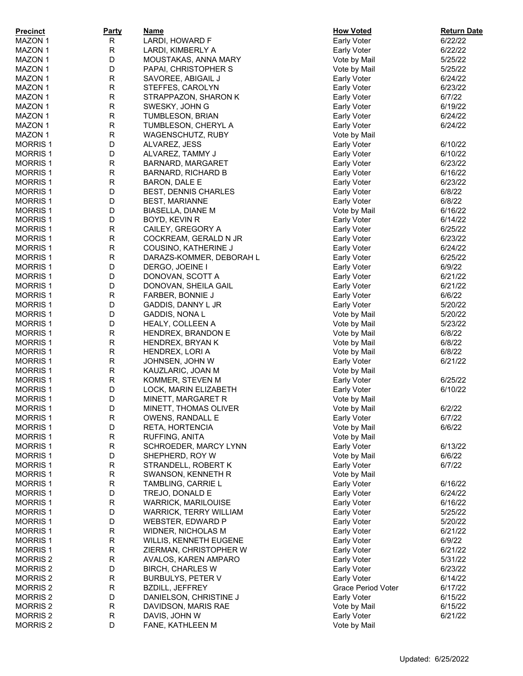| <b>Precinct</b> | <b>Party</b> | Name                        | <b>How Voted</b>   | <b>Return Date</b> |
|-----------------|--------------|-----------------------------|--------------------|--------------------|
| <b>MAZON1</b>   | R            | LARDI, HOWARD F             | Early Voter        | 6/22/22            |
| <b>MAZON1</b>   | R            | LARDI, KIMBERLY A           | <b>Early Voter</b> | 6/22/22            |
| <b>MAZON 1</b>  | D            | MOUSTAKAS, ANNA MARY        | Vote by Mail       | 5/25/22            |
| <b>MAZON1</b>   | D            | PAPAI, CHRISTOPHER S        | Vote by Mail       | 5/25/22            |
| <b>MAZON 1</b>  | R            | SAVOREE, ABIGAIL J          | <b>Early Voter</b> | 6/24/22            |
| <b>MAZON1</b>   | R            | STEFFES, CAROLYN            | <b>Early Voter</b> | 6/23/22            |
| <b>MAZON1</b>   | R            | STRAPPAZON, SHARON K        | <b>Early Voter</b> | 6/7/22             |
| <b>MAZON 1</b>  | R            | SWESKY, JOHN G              | <b>Early Voter</b> | 6/19/22            |
| MAZON 1         | R            | TUMBLESON, BRIAN            | <b>Early Voter</b> | 6/24/22            |
| MAZON 1         | R            | TUMBLESON, CHERYL A         | <b>Early Voter</b> | 6/24/22            |
| <b>MAZON 1</b>  | $\mathsf R$  | WAGENSCHUTZ, RUBY           | Vote by Mail       |                    |
| <b>MORRIS1</b>  | D            | ALVAREZ, JESS               | <b>Early Voter</b> | 6/10/22            |
| <b>MORRIS1</b>  | D            | ALVAREZ, TAMMY J            | <b>Early Voter</b> | 6/10/22            |
| <b>MORRIS1</b>  | R            | BARNARD, MARGARET           | <b>Early Voter</b> | 6/23/22            |
| <b>MORRIS1</b>  | R            | BARNARD, RICHARD B          | <b>Early Voter</b> | 6/16/22            |
| <b>MORRIS1</b>  | R            | BARON, DALE E               | <b>Early Voter</b> | 6/23/22            |
| <b>MORRIS1</b>  | D            | <b>BEST, DENNIS CHARLES</b> | <b>Early Voter</b> | 6/8/22             |
| <b>MORRIS1</b>  | D            | <b>BEST, MARIANNE</b>       | <b>Early Voter</b> | 6/8/22             |
| <b>MORRIS1</b>  | D            | BIASELLA, DIANE M           | Vote by Mail       | 6/16/22            |
| <b>MORRIS1</b>  | D            | BOYD, KEVIN R               | <b>Early Voter</b> | 6/14/22            |
| <b>MORRIS1</b>  | R            | CAILEY, GREGORY A           | <b>Early Voter</b> | 6/25/22            |
| <b>MORRIS1</b>  | R            | COCKREAM, GERALD N JR       | <b>Early Voter</b> | 6/23/22            |
| <b>MORRIS1</b>  | R            | COUSINO, KATHERINE J        | <b>Early Voter</b> | 6/24/22            |
| <b>MORRIS1</b>  | R            | DARAZS-KOMMER, DEBORAH L    | <b>Early Voter</b> | 6/25/22            |
| <b>MORRIS1</b>  | D            | DERGO, JOEINE I             | <b>Early Voter</b> | 6/9/22             |
| <b>MORRIS1</b>  | D            | DONOVAN, SCOTT A            | <b>Early Voter</b> | 6/21/22            |
| <b>MORRIS1</b>  | D            | DONOVAN, SHEILA GAIL        | <b>Early Voter</b> | 6/21/22            |
| <b>MORRIS1</b>  | R            | FARBER, BONNIE J            | <b>Early Voter</b> | 6/6/22             |
| <b>MORRIS1</b>  | D            | GADDIS, DANNY L JR          | <b>Early Voter</b> | 5/20/22            |
| <b>MORRIS1</b>  | D            | GADDIS, NONA L              | Vote by Mail       | 5/20/22            |
| <b>MORRIS1</b>  | D            | HEALY, COLLEEN A            | Vote by Mail       | 5/23/22            |
| <b>MORRIS1</b>  | R            | HENDREX, BRANDON E          | Vote by Mail       | 6/8/22             |
| <b>MORRIS1</b>  | R            | HENDREX, BRYAN K            | Vote by Mail       | 6/8/22             |
| <b>MORRIS1</b>  | R            | HENDREX, LORI A             | Vote by Mail       | 6/8/22             |
| <b>MORRIS1</b>  | R            | JOHNSEN, JOHN W             | <b>Early Voter</b> | 6/21/22            |
| <b>MORRIS1</b>  | R            | KAUZLARIC, JOAN M           | Vote by Mail       |                    |
| <b>MORRIS1</b>  | R            | KOMMER, STEVEN M            | Early Voter        | 6/25/22            |
| <b>MORRIS1</b>  | D            | LOCK, MARIN ELIZABETH       | <b>Early Voter</b> | 6/10/22            |
| <b>MORRIS1</b>  | D            | MINETT, MARGARET R          | Vote by Mail       |                    |
| <b>MORRIS1</b>  | D            | MINETT, THOMAS OLIVER       | Vote by Mail       | 6/2/22             |
| <b>MORRIS1</b>  | R            | OWENS, RANDALL E            | Early Voter        | 6/7/22             |
| <b>MORRIS1</b>  | D            | RETA, HORTENCIA             | Vote by Mail       | 6/6/22             |
| <b>MORRIS1</b>  | R            | RUFFING, ANITA              | Vote by Mail       |                    |
| <b>MORRIS1</b>  | R            | SCHROEDER, MARCY LYNN       | <b>Early Voter</b> | 6/13/22            |
| <b>MORRIS1</b>  | D            | SHEPHERD, ROY W             | Vote by Mail       | 6/6/22             |
| <b>MORRIS1</b>  | R            | STRANDELL, ROBERT K         | <b>Early Voter</b> | 6/7/22             |
| <b>MORRIS1</b>  | R            | SWANSON, KENNETH R          | Vote by Mail       |                    |
| <b>MORRIS1</b>  | R            | <b>TAMBLING, CARRIE L</b>   | <b>Early Voter</b> | 6/16/22            |
| <b>MORRIS1</b>  | D            | TREJO, DONALD E             | <b>Early Voter</b> | 6/24/22            |
| <b>MORRIS1</b>  | R            | <b>WARRICK, MARILOUISE</b>  | <b>Early Voter</b> | 6/16/22            |
| <b>MORRIS1</b>  | D            | WARRICK, TERRY WILLIAM      | <b>Early Voter</b> | 5/25/22            |
| <b>MORRIS1</b>  | D            | WEBSTER, EDWARD P           | <b>Early Voter</b> | 5/20/22            |
| <b>MORRIS1</b>  | R            | WIDNER, NICHOLAS M          | <b>Early Voter</b> | 6/21/22            |
| <b>MORRIS1</b>  | R            | WILLIS, KENNETH EUGENE      | <b>Early Voter</b> | 6/9/22             |
| <b>MORRIS1</b>  | R            | ZIERMAN, CHRISTOPHER W      | <b>Early Voter</b> | 6/21/22            |
| <b>MORRIS 2</b> | R            | AVALOS, KAREN AMPARO        | <b>Early Voter</b> | 5/31/22            |
| <b>MORRIS 2</b> | D            | <b>BIRCH, CHARLES W</b>     | <b>Early Voter</b> | 6/23/22            |
| <b>MORRIS 2</b> | R            | BURBULYS, PETER V           | <b>Early Voter</b> | 6/14/22            |
| <b>MORRIS 2</b> | R            | <b>BZDILL, JEFFREY</b>      | Grace Period Voter | 6/17/22            |
| <b>MORRIS 2</b> | D            | DANIELSON, CHRISTINE J      | <b>Early Voter</b> | 6/15/22            |
| <b>MORRIS 2</b> | R            | DAVIDSON, MARIS RAE         | Vote by Mail       | 6/15/22            |
| <b>MORRIS2</b>  | R            | DAVIS, JOHN W               | <b>Early Voter</b> | 6/21/22            |
| <b>MORRIS 2</b> | D            | FANE, KATHLEEN M            | Vote by Mail       |                    |
|                 |              |                             |                    |                    |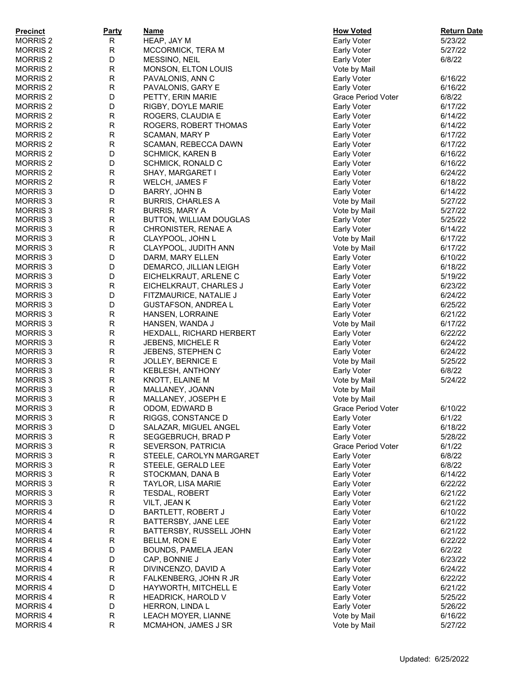| <b>Precinct</b> | <b>Party</b> | Name                       | <b>How Voted</b>          | <b>Return Date</b> |
|-----------------|--------------|----------------------------|---------------------------|--------------------|
| <b>MORRIS 2</b> | R            | HEAP, JAY M                | Early Voter               | 5/23/22            |
| <b>MORRIS 2</b> | R            | MCCORMICK, TERA M          | Early Voter               | 5/27/22            |
| <b>MORRIS 2</b> | D            | MESSINO, NEIL              | Early Voter               | 6/8/22             |
| <b>MORRIS 2</b> | R            | MONSON, ELTON LOUIS        | Vote by Mail              |                    |
| <b>MORRIS 2</b> | R            | PAVALONIS, ANN C           | <b>Early Voter</b>        | 6/16/22            |
| <b>MORRIS 2</b> | ${\sf R}$    | PAVALONIS, GARY E          | <b>Early Voter</b>        | 6/16/22            |
| <b>MORRIS 2</b> | D            | PETTY, ERIN MARIE          | Grace Period Voter        | 6/8/22             |
| <b>MORRIS 2</b> | D            | RIGBY, DOYLE MARIE         | <b>Early Voter</b>        | 6/17/22            |
| <b>MORRIS2</b>  | R            | ROGERS, CLAUDIA E          | Early Voter               | 6/14/22            |
| <b>MORRIS 2</b> | R            | ROGERS, ROBERT THOMAS      | Early Voter               | 6/14/22            |
| <b>MORRIS 2</b> | R            | SCAMAN, MARY P             | Early Voter               | 6/17/22            |
| <b>MORRIS 2</b> | ${\sf R}$    | SCAMAN, REBECCA DAWN       | Early Voter               | 6/17/22            |
| <b>MORRIS 2</b> | D            | <b>SCHMICK, KAREN B</b>    | Early Voter               | 6/16/22            |
| <b>MORRIS 2</b> | D            | SCHMICK, RONALD C          | <b>Early Voter</b>        | 6/16/22            |
| <b>MORRIS 2</b> | R            | SHAY, MARGARET I           | Early Voter               | 6/24/22            |
| <b>MORRIS 2</b> | R            | WELCH, JAMES F             | Early Voter               | 6/18/22            |
| <b>MORRIS3</b>  | D            | BARRY, JOHN B              | Early Voter               | 6/14/22            |
| <b>MORRIS3</b>  | R            | <b>BURRIS, CHARLES A</b>   | Vote by Mail              | 5/27/22            |
| <b>MORRIS3</b>  | R            | <b>BURRIS, MARY A</b>      | Vote by Mail              | 5/27/22            |
| <b>MORRIS3</b>  | R            | BUTTON, WILLIAM DOUGLAS    | <b>Early Voter</b>        | 5/25/22            |
| <b>MORRIS3</b>  | R            | CHRONISTER, RENAE A        | Early Voter               | 6/14/22            |
| <b>MORRIS3</b>  | R            | CLAYPOOL, JOHN L           | Vote by Mail              | 6/17/22            |
| <b>MORRIS3</b>  | R            | CLAYPOOL, JUDITH ANN       | Vote by Mail              | 6/17/22            |
| <b>MORRIS3</b>  | D            | DARM, MARY ELLEN           | <b>Early Voter</b>        | 6/10/22            |
| <b>MORRIS3</b>  | D            | DEMARCO, JILLIAN LEIGH     | Early Voter               | 6/18/22            |
| <b>MORRIS3</b>  | D            | EICHELKRAUT, ARLENE C      | <b>Early Voter</b>        | 5/19/22            |
| <b>MORRIS3</b>  | R            | EICHELKRAUT, CHARLES J     | <b>Early Voter</b>        | 6/23/22            |
| <b>MORRIS3</b>  | D            | FITZMAURICE, NATALIE J     | Early Voter               | 6/24/22            |
| <b>MORRIS3</b>  | D            | <b>GUSTAFSON, ANDREA L</b> | Early Voter               | 6/25/22            |
| <b>MORRIS3</b>  | R            | HANSEN, LORRAINE           | Early Voter               | 6/21/22            |
| <b>MORRIS3</b>  | ${\sf R}$    | HANSEN, WANDA J            | Vote by Mail              | 6/17/22            |
| <b>MORRIS3</b>  | R            | HEXDALL, RICHARD HERBERT   | Early Voter               | 6/22/22            |
| <b>MORRIS3</b>  | R            | <b>JEBENS, MICHELE R</b>   | <b>Early Voter</b>        | 6/24/22            |
| <b>MORRIS3</b>  | $\mathsf R$  | <b>JEBENS, STEPHEN C</b>   | Early Voter               | 6/24/22            |
| <b>MORRIS3</b>  | R            | <b>JOLLEY, BERNICE E</b>   | Vote by Mail              | 5/25/22            |
| <b>MORRIS3</b>  | R            | <b>KEBLESH, ANTHONY</b>    | Early Voter               | 6/8/22             |
| <b>MORRIS3</b>  | ${\sf R}$    | KNOTT, ELAINE M            | Vote by Mail              | 5/24/22            |
| <b>MORRIS3</b>  | R            | MALLANEY, JOANN            | Vote by Mail              |                    |
| <b>MORRIS3</b>  | R            | MALLANEY, JOSEPH E         | Vote by Mail              |                    |
| <b>MORRIS3</b>  | ${\sf R}$    | ODOM, EDWARD B             | Grace Period Voter        | 6/10/22            |
| <b>MORRIS3</b>  | R            | RIGGS, CONSTANCE D         | Early Voter               | 6/1/22             |
| <b>MORRIS3</b>  | D            | SALAZAR, MIGUEL ANGEL      | Early Voter               | 6/18/22            |
| <b>MORRIS3</b>  | R            | SEGGEBRUCH, BRAD P         | <b>Early Voter</b>        | 5/28/22            |
| <b>MORRIS3</b>  | R            | SEVERSON, PATRICIA         | <b>Grace Period Voter</b> | 6/1/22             |
| <b>MORRIS3</b>  | R            | STEELE, CAROLYN MARGARET   | Early Voter               | 6/8/22             |
| <b>MORRIS3</b>  | R            | STEELE, GERALD LEE         | <b>Early Voter</b>        | 6/8/22             |
| <b>MORRIS3</b>  | R            | STOCKMAN, DANA B           | Early Voter               | 6/14/22            |
| <b>MORRIS3</b>  | R            | <b>TAYLOR, LISA MARIE</b>  | <b>Early Voter</b>        | 6/22/22            |
| <b>MORRIS3</b>  | R            | <b>TESDAL, ROBERT</b>      | Early Voter               | 6/21/22            |
| <b>MORRIS3</b>  | R            | VILT, JEAN K               | Early Voter               | 6/21/22            |
| <b>MORRIS4</b>  | D            | BARTLETT, ROBERT J         | <b>Early Voter</b>        | 6/10/22            |
| <b>MORRIS4</b>  | R            | BATTERSBY, JANE LEE        | <b>Early Voter</b>        | 6/21/22            |
| <b>MORRIS4</b>  | R            | BATTERSBY, RUSSELL JOHN    | <b>Early Voter</b>        | 6/21/22            |
| <b>MORRIS4</b>  | R            | BELLM, RON E               | Early Voter               | 6/22/22            |
| <b>MORRIS4</b>  | D            | BOUNDS, PAMELA JEAN        | <b>Early Voter</b>        | 6/2/22             |
| <b>MORRIS4</b>  | D            | CAP, BONNIE J              | Early Voter               | 6/23/22            |
| <b>MORRIS4</b>  | R            | DIVINCENZO, DAVID A        | <b>Early Voter</b>        | 6/24/22            |
| <b>MORRIS4</b>  | R            | FALKENBERG, JOHN R JR      | <b>Early Voter</b>        | 6/22/22            |
| <b>MORRIS4</b>  | D            | HAYWORTH, MITCHELL E       | <b>Early Voter</b>        | 6/21/22            |
| <b>MORRIS4</b>  | R            | <b>HEADRICK, HAROLD V</b>  | Early Voter               | 5/25/22            |
| <b>MORRIS4</b>  | D            | HERRON, LINDA L            | <b>Early Voter</b>        | 5/26/22            |
| <b>MORRIS4</b>  | R            | LEACH MOYER, LIANNE        | Vote by Mail              | 6/16/22            |
| <b>MORRIS4</b>  | R            | MCMAHON, JAMES J SR        | Vote by Mail              | 5/27/22            |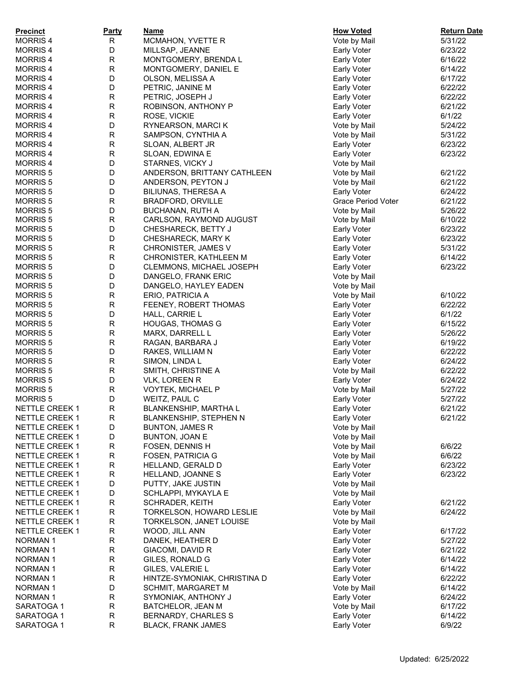| <b>Precinct</b>       | <b>Party</b> | Name                         | <b>How Voted</b>          | <b>Return Date</b> |
|-----------------------|--------------|------------------------------|---------------------------|--------------------|
| <b>MORRIS4</b>        | R            | MCMAHON, YVETTE R            | Vote by Mail              | 5/31/22            |
| <b>MORRIS4</b>        | D            | MILLSAP, JEANNE              | <b>Early Voter</b>        | 6/23/22            |
| <b>MORRIS4</b>        | $\mathsf{R}$ | MONTGOMERY, BRENDA L         | <b>Early Voter</b>        | 6/16/22            |
| <b>MORRIS4</b>        | R            | MONTGOMERY, DANIEL E         | <b>Early Voter</b>        | 6/14/22            |
| <b>MORRIS4</b>        | D            | OLSON, MELISSA A             | <b>Early Voter</b>        | 6/17/22            |
| <b>MORRIS4</b>        | D            | PETRIC, JANINE M             | <b>Early Voter</b>        | 6/22/22            |
| <b>MORRIS4</b>        | ${\sf R}$    | PETRIC, JOSEPH J             | <b>Early Voter</b>        | 6/22/22            |
| <b>MORRIS4</b>        | ${\sf R}$    | ROBINSON, ANTHONY P          | <b>Early Voter</b>        | 6/21/22            |
| <b>MORRIS4</b>        | ${\sf R}$    | ROSE, VICKIE                 | <b>Early Voter</b>        | 6/1/22             |
| <b>MORRIS4</b>        | D            | RYNEARSON, MARCI K           | Vote by Mail              | 5/24/22            |
| <b>MORRIS4</b>        | $\mathsf{R}$ | SAMPSON, CYNTHIA A           | Vote by Mail              | 5/31/22            |
| <b>MORRIS4</b>        | $\mathsf R$  | SLOAN, ALBERT JR             | <b>Early Voter</b>        | 6/23/22            |
| <b>MORRIS4</b>        | ${\sf R}$    | SLOAN, EDWINA E              | <b>Early Voter</b>        | 6/23/22            |
| <b>MORRIS4</b>        | D            | STARNES, VICKY J             | Vote by Mail              |                    |
| <b>MORRIS5</b>        | D            | ANDERSON, BRITTANY CATHLEEN  | Vote by Mail              | 6/21/22            |
| <b>MORRIS5</b>        | D            | ANDERSON, PEYTON J           | Vote by Mail              | 6/21/22            |
| <b>MORRIS5</b>        | D            | BILIUNAS, THERESA A          | <b>Early Voter</b>        | 6/24/22            |
| <b>MORRIS5</b>        | $\mathsf{R}$ | BRADFORD, ORVILLE            | <b>Grace Period Voter</b> | 6/21/22            |
| <b>MORRIS5</b>        | D            | <b>BUCHANAN, RUTH A</b>      | Vote by Mail              | 5/26/22            |
| <b>MORRIS5</b>        | ${\sf R}$    | CARLSON, RAYMOND AUGUST      | Vote by Mail              | 6/10/22            |
| <b>MORRIS5</b>        | D            | CHESHARECK, BETTY J          | <b>Early Voter</b>        | 6/23/22            |
| <b>MORRIS5</b>        | D            | CHESHARECK, MARY K           | <b>Early Voter</b>        | 6/23/22            |
| <b>MORRIS 5</b>       | R            | CHRONISTER, JAMES V          | <b>Early Voter</b>        | 5/31/22            |
| <b>MORRIS5</b>        | $\mathsf{R}$ | CHRONISTER, KATHLEEN M       | <b>Early Voter</b>        | 6/14/22            |
| <b>MORRIS5</b>        | D            | CLEMMONS, MICHAEL JOSEPH     | <b>Early Voter</b>        | 6/23/22            |
| <b>MORRIS5</b>        | D            | DANGELO, FRANK ERIC          | Vote by Mail              |                    |
| <b>MORRIS5</b>        | D            | DANGELO, HAYLEY EADEN        | Vote by Mail              |                    |
| <b>MORRIS5</b>        | ${\sf R}$    | ERIO, PATRICIA A             | Vote by Mail              | 6/10/22            |
| <b>MORRIS5</b>        | $\mathsf{R}$ | FEENEY, ROBERT THOMAS        | <b>Early Voter</b>        | 6/22/22            |
| <b>MORRIS5</b>        | D            | HALL, CARRIE L               | <b>Early Voter</b>        | 6/1/22             |
| <b>MORRIS5</b>        | ${\sf R}$    | HOUGAS, THOMAS G             | <b>Early Voter</b>        | 6/15/22            |
| <b>MORRIS5</b>        | ${\sf R}$    | MARX, DARRELL L              | <b>Early Voter</b>        | 5/26/22            |
| <b>MORRIS5</b>        | ${\sf R}$    | RAGAN, BARBARA J             | <b>Early Voter</b>        | 6/19/22            |
| <b>MORRIS5</b>        | D            | RAKES, WILLIAM N             | <b>Early Voter</b>        | 6/22/22            |
| <b>MORRIS5</b>        | $\mathsf{R}$ | SIMON, LINDA L               | <b>Early Voter</b>        | 6/24/22            |
| <b>MORRIS5</b>        | R            | SMITH, CHRISTINE A           | Vote by Mail              | 6/22/22            |
| <b>MORRIS5</b>        | D            | VLK, LOREEN R                | Early Voter               | 6/24/22            |
| <b>MORRIS5</b>        | $\mathsf{R}$ | VOYTEK, MICHAEL P            | Vote by Mail              | 5/27/22            |
| <b>MORRIS5</b>        | D            | WEITZ, PAUL C                | <b>Early Voter</b>        | 5/27/22            |
| NETTLE CREEK 1        | ${\sf R}$    | BLANKENSHIP, MARTHA L        | Early Voter               | 6/21/22            |
| NETTLE CREEK 1        | R            | BLANKENSHIP, STEPHEN N       | Early Voter               | 6/21/22            |
| <b>NETTLE CREEK 1</b> | D            | <b>BUNTON, JAMES R</b>       | Vote by Mail              |                    |
| NETTLE CREEK 1        | D            | BUNTON, JOAN E               | Vote by Mail              |                    |
| NETTLE CREEK 1        | $\mathsf{R}$ | FOSEN, DENNIS H              | Vote by Mail              | 6/6/22             |
| <b>NETTLE CREEK 1</b> | $\mathsf{R}$ | <b>FOSEN, PATRICIA G</b>     | Vote by Mail              | 6/6/22             |
| NETTLE CREEK 1        | $\mathsf R$  | HELLAND, GERALD D            | <b>Early Voter</b>        | 6/23/22            |
| NETTLE CREEK 1        | $\mathsf{R}$ | HELLAND, JOANNE S            | <b>Early Voter</b>        | 6/23/22            |
| NETTLE CREEK 1        | D            | PUTTY, JAKE JUSTIN           | Vote by Mail              |                    |
| NETTLE CREEK 1        | D            | SCHLAPPI, MYKAYLA E          | Vote by Mail              |                    |
| NETTLE CREEK 1        | $\mathsf{R}$ | <b>SCHRADER, KEITH</b>       | <b>Early Voter</b>        | 6/21/22            |
| NETTLE CREEK 1        | $\mathsf{R}$ | TORKELSON, HOWARD LESLIE     | Vote by Mail              | 6/24/22            |
| NETTLE CREEK 1        | $\mathsf{R}$ | TORKELSON, JANET LOUISE      | Vote by Mail              |                    |
| NETTLE CREEK 1        | $\mathsf R$  | WOOD, JILL ANN               | <b>Early Voter</b>        | 6/17/22            |
| <b>NORMAN1</b>        | R            | DANEK, HEATHER D             | <b>Early Voter</b>        | 5/27/22            |
| <b>NORMAN1</b>        | R            | GIACOMI, DAVID R             | <b>Early Voter</b>        | 6/21/22            |
| NORMAN <sub>1</sub>   | R            | GILES, RONALD G              | <b>Early Voter</b>        | 6/14/22            |
| <b>NORMAN1</b>        | ${\sf R}$    | GILES, VALERIE L             | <b>Early Voter</b>        | 6/14/22            |
| <b>NORMAN1</b>        | $\mathsf{R}$ | HINTZE-SYMONIAK, CHRISTINA D | <b>Early Voter</b>        | 6/22/22            |
| <b>NORMAN1</b>        | D            | SCHMIT, MARGARET M           | Vote by Mail              | 6/14/22            |
| <b>NORMAN1</b>        | $\mathsf{R}$ | SYMONIAK, ANTHONY J          | <b>Early Voter</b>        | 6/24/22            |
| SARATOGA 1            | R            | BATCHELOR, JEAN M            | Vote by Mail              | 6/17/22            |
| SARATOGA 1            | $\mathsf{R}$ | BERNARDY, CHARLES S          | <b>Early Voter</b>        | 6/14/22            |
| SARATOGA 1            | R            | <b>BLACK, FRANK JAMES</b>    | <b>Early Voter</b>        | 6/9/22             |
|                       |              |                              |                           |                    |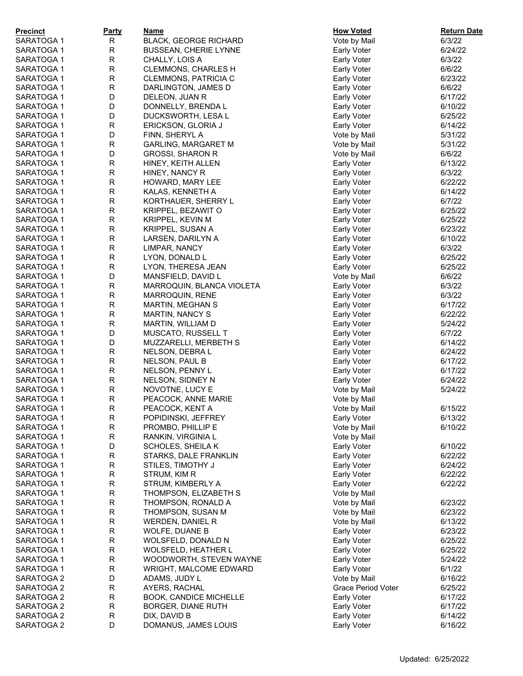| <b>Precinct</b>          | <b>Party</b> | Name                                       | <b>How Voted</b>                         | <b>Return Date</b> |
|--------------------------|--------------|--------------------------------------------|------------------------------------------|--------------------|
| SARATOGA 1               | R            | <b>BLACK, GEORGE RICHARD</b>               | Vote by Mail                             | 6/3/22             |
| SARATOGA 1               | R            | <b>BUSSEAN, CHERIE LYNNE</b>               | Early Voter                              | 6/24/22            |
| SARATOGA 1               | R            | CHALLY, LOIS A                             | Early Voter                              | 6/3/22             |
| SARATOGA 1               | R            | <b>CLEMMONS, CHARLES H</b>                 | <b>Early Voter</b>                       | 6/6/22             |
| SARATOGA 1               | R            | <b>CLEMMONS, PATRICIA C</b>                | <b>Early Voter</b>                       | 6/23/22            |
| SARATOGA 1               | R            | DARLINGTON, JAMES D                        | <b>Early Voter</b>                       | 6/6/22             |
| SARATOGA 1               | D            | DELEON, JUAN R                             | <b>Early Voter</b>                       | 6/17/22            |
| SARATOGA 1               | D            | DONNELLY, BRENDA L                         | <b>Early Voter</b>                       | 6/10/22            |
| SARATOGA 1               | D            | DUCKSWORTH, LESA L                         | <b>Early Voter</b>                       | 6/25/22            |
| SARATOGA 1               | R            | ERICKSON, GLORIA J                         | <b>Early Voter</b>                       | 6/14/22            |
| SARATOGA 1               | D            | FINN, SHERYL A                             | Vote by Mail                             | 5/31/22            |
| SARATOGA 1               | R            | <b>GARLING, MARGARET M</b>                 | Vote by Mail                             | 5/31/22            |
| SARATOGA 1               | D            | <b>GROSSI, SHARON R</b>                    | Vote by Mail                             | 6/6/22             |
| SARATOGA 1               | ${\sf R}$    | HINEY, KEITH ALLEN                         | Early Voter                              | 6/13/22            |
| SARATOGA 1               | R            | HINEY, NANCY R                             | <b>Early Voter</b>                       | 6/3/22             |
| SARATOGA 1               | R            | HOWARD, MARY LEE                           | <b>Early Voter</b>                       | 6/22/22            |
| SARATOGA 1               | R            | KALAS, KENNETH A                           | <b>Early Voter</b>                       | 6/14/22            |
| SARATOGA 1               | R            | KORTHAUER, SHERRY L                        | <b>Early Voter</b>                       | 6/7/22             |
| SARATOGA 1               | R            | KRIPPEL, BEZAWIT O                         | <b>Early Voter</b>                       | 6/25/22            |
| SARATOGA 1               | R            | KRIPPEL, KEVIN M                           | <b>Early Voter</b>                       | 6/25/22            |
| SARATOGA 1               | R            | KRIPPEL, SUSAN A                           | <b>Early Voter</b>                       | 6/23/22            |
| SARATOGA 1               | R            | LARSEN, DARILYN A                          | <b>Early Voter</b>                       | 6/10/22            |
| SARATOGA 1               | R            | LIMPAR, NANCY                              | <b>Early Voter</b>                       | 6/3/22             |
| SARATOGA 1               | $\mathsf R$  | LYON, DONALD L                             | <b>Early Voter</b>                       | 6/25/22            |
| SARATOGA 1               | R            | LYON, THERESA JEAN                         | <b>Early Voter</b>                       | 6/25/22            |
| SARATOGA 1               | D            | MANSFIELD, DAVID L                         | Vote by Mail                             | 6/6/22             |
| SARATOGA 1               | R            | MARROQUIN, BLANCA VIOLETA                  | <b>Early Voter</b>                       | 6/3/22             |
| SARATOGA 1               | R            | MARROQUIN, RENE                            | <b>Early Voter</b>                       | 6/3/22             |
| SARATOGA 1               | R            | MARTIN, MEGHAN S                           | <b>Early Voter</b>                       | 6/17/22            |
| SARATOGA 1               | R            | MARTIN, NANCY S                            | <b>Early Voter</b>                       | 6/22/22            |
| SARATOGA 1               | ${\sf R}$    | MARTIN, WILLIAM D                          | <b>Early Voter</b>                       | 5/24/22            |
| SARATOGA 1               | D            | MUSCATO, RUSSELL T                         | <b>Early Voter</b>                       | 6/7/22             |
| SARATOGA 1               | D            |                                            | Early Voter                              | 6/14/22            |
| SARATOGA 1               | R            | MUZZARELLI, MERBETH S                      |                                          | 6/24/22            |
| SARATOGA 1               | R            | NELSON, DEBRA L<br>NELSON, PAUL B          | <b>Early Voter</b><br><b>Early Voter</b> | 6/17/22            |
| SARATOGA 1               | R            |                                            |                                          | 6/17/22            |
| SARATOGA 1               | R            | NELSON, PENNY L<br>NELSON, SIDNEY N        | <b>Early Voter</b><br>Early Voter        | 6/24/22            |
| SARATOGA 1               | R            |                                            |                                          | 5/24/22            |
| SARATOGA 1               | R            | NOVOTNE, LUCY E<br>PEACOCK, ANNE MARIE     | Vote by Mail<br>Vote by Mail             |                    |
| SARATOGA 1               | ${\sf R}$    | PEACOCK, KENT A                            | Vote by Mail                             | 6/15/22            |
| SARATOGA 1               | R            | POPIDINSKI, JEFFREY                        | Early Voter                              | 6/13/22            |
| SARATOGA 1               | R            | PROMBO, PHILLIP E                          |                                          | 6/10/22            |
| SARATOGA 1               | R            | RANKIN, VIRGINIA L                         | Vote by Mail<br>Vote by Mail             |                    |
| SARATOGA 1               | D            | SCHOLES, SHEILA K                          | Early Voter                              | 6/10/22            |
| SARATOGA 1               | R            |                                            | <b>Early Voter</b>                       | 6/22/22            |
|                          | R            | STARKS, DALE FRANKLIN<br>STILES, TIMOTHY J |                                          |                    |
| SARATOGA 1<br>SARATOGA 1 | R            |                                            | <b>Early Voter</b>                       | 6/24/22<br>6/22/22 |
|                          | R            | STRUM, KIM R                               | <b>Early Voter</b>                       |                    |
| SARATOGA 1               | R            | STRUM, KIMBERLY A                          | <b>Early Voter</b>                       | 6/22/22            |
| SARATOGA 1               | R            | THOMPSON, ELIZABETH S                      | Vote by Mail                             |                    |
| SARATOGA 1               | R            | THOMPSON, RONALD A                         | Vote by Mail                             | 6/23/22            |
| SARATOGA 1               | R            | THOMPSON, SUSAN M                          | Vote by Mail                             | 6/23/22            |
| SARATOGA 1               |              | WERDEN, DANIEL R                           | Vote by Mail                             | 6/13/22            |
| SARATOGA 1               | R            | WOLFE, DUANE B                             | <b>Early Voter</b>                       | 6/23/22            |
| SARATOGA 1               | R            | WOLSFELD, DONALD N                         | <b>Early Voter</b>                       | 6/25/22            |
| SARATOGA 1               | R            | <b>WOLSFELD, HEATHER L</b>                 | <b>Early Voter</b>                       | 6/25/22            |
| SARATOGA 1               | R            | WOODWORTH, STEVEN WAYNE                    | <b>Early Voter</b>                       | 5/24/22            |
| SARATOGA 1               | R            | WRIGHT, MALCOME EDWARD                     | <b>Early Voter</b>                       | 6/1/22             |
| SARATOGA 2               | D            | ADAMS, JUDY L                              | Vote by Mail                             | 6/16/22            |
| SARATOGA 2               | R            | AYERS, RACHAL                              | <b>Grace Period Voter</b>                | 6/25/22            |
| SARATOGA 2               | R            | <b>BOOK, CANDICE MICHELLE</b>              | <b>Early Voter</b>                       | 6/17/22            |
| SARATOGA 2               | R            | <b>BORGER, DIANE RUTH</b>                  | <b>Early Voter</b>                       | 6/17/22            |
| SARATOGA 2               | R            | DIX, DAVID B                               | <b>Early Voter</b>                       | 6/14/22            |
| SARATOGA 2               | D            | DOMANUS, JAMES LOUIS                       | <b>Early Voter</b>                       | 6/16/22            |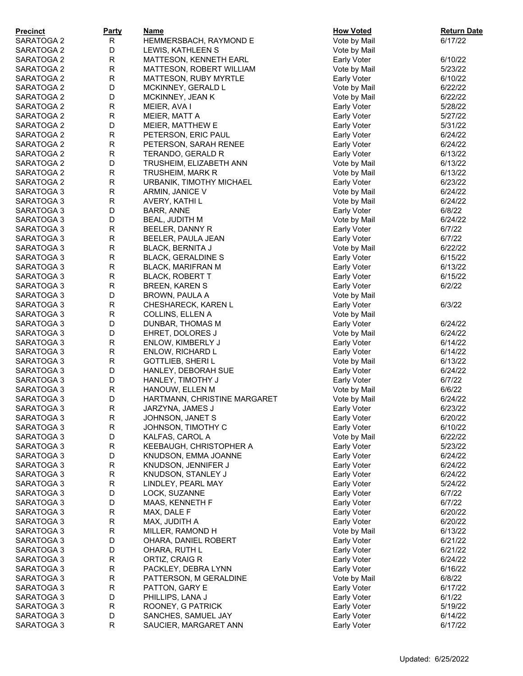| 6/17/22<br>SARATOGA 2<br>R<br><b>HEMMERSBACH, RAYMOND E</b><br>Vote by Mail<br>D<br>SARATOGA 2<br>LEWIS, KATHLEEN S<br>Vote by Mail<br>${\sf R}$<br><b>Early Voter</b><br>6/10/22<br>SARATOGA 2<br><b>MATTESON, KENNETH EARL</b><br>R<br>5/23/22<br>SARATOGA 2<br>MATTESON, ROBERT WILLIAM<br>Vote by Mail<br>$\mathsf{R}$<br>6/10/22<br>SARATOGA 2<br>MATTESON, RUBY MYRTLE<br><b>Early Voter</b><br>D<br>6/22/22<br>SARATOGA 2<br>MCKINNEY, GERALD L<br>Vote by Mail<br>D<br>6/22/22<br>SARATOGA 2<br>MCKINNEY, JEAN K<br>Vote by Mail<br>${\sf R}$<br>Early Voter<br>5/28/22<br>SARATOGA 2<br>MEIER, AVA I<br>${\sf R}$<br><b>Early Voter</b><br>5/27/22<br>SARATOGA 2<br>MEIER, MATT A<br>D<br>5/31/22<br>SARATOGA 2<br>MEIER, MATTHEW E<br>Early Voter<br>$\mathsf{R}$<br>6/24/22<br>SARATOGA 2<br>PETERSON, ERIC PAUL<br><b>Early Voter</b><br>$\mathsf{R}$<br>6/24/22<br>SARATOGA 2<br>PETERSON, SARAH RENEE<br>Early Voter<br>${\sf R}$<br>6/13/22<br>SARATOGA 2<br>TERANDO, GERALD R<br><b>Early Voter</b><br>D<br>SARATOGA 2<br>6/13/22<br>TRUSHEIM, ELIZABETH ANN<br>Vote by Mail<br>R<br>SARATOGA 2<br>6/13/22<br>TRUSHEIM, MARK R<br>Vote by Mail<br>${\sf R}$<br>6/23/22<br><b>Early Voter</b><br>SARATOGA 2<br>URBANIK, TIMOTHY MICHAEL<br>$\mathsf{R}$<br>6/24/22<br>SARATOGA 3<br>ARMIN, JANICE V<br>Vote by Mail<br>$\mathsf{R}$<br>6/24/22<br>SARATOGA 3<br>AVERY, KATHI L<br>Vote by Mail<br>D<br>6/8/22<br>SARATOGA 3<br>BARR, ANNE<br><b>Early Voter</b><br>D<br>6/24/22<br>SARATOGA 3<br><b>BEAL, JUDITH M</b><br>Vote by Mail<br>${\sf R}$<br><b>Early Voter</b><br>6/7/22<br>SARATOGA 3<br>BEELER, DANNY R<br>${\sf R}$<br>6/7/22<br>SARATOGA 3<br><b>Early Voter</b><br>BEELER, PAULA JEAN<br>R<br>6/22/22<br>SARATOGA 3<br><b>BLACK, BERNITA J</b><br>Vote by Mail<br>$\mathsf{R}$<br>6/15/22<br>SARATOGA 3<br><b>BLACK, GERALDINE S</b><br><b>Early Voter</b><br>$\mathsf R$<br>6/13/22<br>SARATOGA 3<br><b>BLACK, MARIFRAN M</b><br><b>Early Voter</b><br>${\sf R}$<br>6/15/22<br>SARATOGA 3<br><b>BLACK, ROBERT T</b><br><b>Early Voter</b><br>${\sf R}$<br>6/2/22<br>Early Voter<br>SARATOGA 3<br>BREEN, KAREN S<br>D<br>SARATOGA 3<br>BROWN, PAULA A<br>Vote by Mail<br>R<br>6/3/22<br>SARATOGA 3<br><b>CHESHARECK, KAREN L</b><br><b>Early Voter</b><br>R<br>SARATOGA 3<br>COLLINS, ELLEN A<br>Vote by Mail<br>D<br>6/24/22<br>SARATOGA 3<br>DUNBAR, THOMAS M<br><b>Early Voter</b><br>D<br>SARATOGA 3<br>EHRET, DOLORES J<br>Vote by Mail<br>6/24/22<br>$\mathsf{R}$<br>SARATOGA 3<br>6/14/22<br>ENLOW, KIMBERLY J<br><b>Early Voter</b><br>${\sf R}$<br>6/14/22<br>SARATOGA 3<br>ENLOW, RICHARD L<br><b>Early Voter</b><br>R<br>6/13/22<br>SARATOGA 3<br><b>GOTTLIEB, SHERIL</b><br>Vote by Mail<br>D<br>6/24/22<br>SARATOGA 3<br><b>Early Voter</b><br>HANLEY, DEBORAH SUE<br>D<br>6/7/22<br>SARATOGA 3<br>HANLEY, TIMOTHY J<br>Early Voter<br>R<br>6/6/22<br>SARATOGA 3<br>Vote by Mail<br>HANOUW, ELLEN M<br>D<br>6/24/22<br>SARATOGA 3<br>HARTMANN, CHRISTINE MARGARET<br>Vote by Mail<br>${\sf R}$<br>SARATOGA 3<br>JARZYNA, JAMES J<br>Early Voter<br>6/23/22<br>6/20/22<br>SARATOGA 3<br>R<br>JOHNSON, JANET S<br><b>Early Voter</b><br>6/10/22<br>SARATOGA 3<br>R<br>JOHNSON, TIMOTHY C<br><b>Early Voter</b><br>D<br>6/22/22<br>SARATOGA 3<br>KALFAS, CAROL A<br>Vote by Mail<br>$\mathsf{R}$<br>SARATOGA 3<br>5/23/22<br>KEEBAUGH, CHRISTOPHER A<br><b>Early Voter</b><br>D<br>SARATOGA 3<br><b>Early Voter</b><br>6/24/22<br>KNUDSON, EMMA JOANNE<br>${\sf R}$<br>SARATOGA 3<br>KNUDSON, JENNIFER J<br><b>Early Voter</b><br>6/24/22<br>${\sf R}$<br><b>Early Voter</b><br>6/24/22<br>SARATOGA 3<br>KNUDSON, STANLEY J<br>${\sf R}$<br>SARATOGA 3<br>LINDLEY, PEARL MAY<br><b>Early Voter</b><br>5/24/22<br>D<br>SARATOGA 3<br><b>Early Voter</b><br>6/7/22<br>LOCK, SUZANNE<br>D<br>6/7/22<br>SARATOGA 3<br>MAAS, KENNETH F<br><b>Early Voter</b><br>${\sf R}$<br>SARATOGA 3<br><b>Early Voter</b><br>6/20/22<br>MAX, DALE F<br>$\mathsf{R}$<br>SARATOGA 3<br><b>Early Voter</b><br>6/20/22<br>MAX, JUDITH A<br>${\sf R}$<br>SARATOGA 3<br>6/13/22<br>MILLER, RAMOND H<br>Vote by Mail<br>D<br>6/21/22<br>SARATOGA 3<br>OHARA, DANIEL ROBERT<br><b>Early Voter</b><br>D<br>SARATOGA 3<br><b>Early Voter</b><br>6/21/22<br>OHARA, RUTH L<br>$\mathsf R$<br>SARATOGA 3<br>ORTIZ, CRAIG R<br><b>Early Voter</b><br>6/24/22<br>${\sf R}$<br>SARATOGA 3<br>6/16/22<br>PACKLEY, DEBRA LYNN<br><b>Early Voter</b><br>$\mathsf{R}$<br>SARATOGA 3<br>6/8/22<br>PATTERSON, M GERALDINE<br>Vote by Mail<br>${\sf R}$<br>SARATOGA 3<br>PATTON, GARY E<br>Early Voter<br>6/17/22<br>D<br>6/1/22<br>SARATOGA 3<br>PHILLIPS, LANA J<br><b>Early Voter</b><br>$\mathsf{R}$<br>SARATOGA 3<br><b>Early Voter</b><br>5/19/22<br>ROONEY, G PATRICK<br>D<br>SARATOGA 3<br><b>Early Voter</b><br>6/14/22<br>SANCHES, SAMUEL JAY<br>R<br>SARATOGA 3<br>SAUCIER, MARGARET ANN<br><b>Early Voter</b><br>6/17/22 | <b>Precinct</b> | <b>Party</b> | Name | <b>How Voted</b> | <b>Return Date</b> |
|---------------------------------------------------------------------------------------------------------------------------------------------------------------------------------------------------------------------------------------------------------------------------------------------------------------------------------------------------------------------------------------------------------------------------------------------------------------------------------------------------------------------------------------------------------------------------------------------------------------------------------------------------------------------------------------------------------------------------------------------------------------------------------------------------------------------------------------------------------------------------------------------------------------------------------------------------------------------------------------------------------------------------------------------------------------------------------------------------------------------------------------------------------------------------------------------------------------------------------------------------------------------------------------------------------------------------------------------------------------------------------------------------------------------------------------------------------------------------------------------------------------------------------------------------------------------------------------------------------------------------------------------------------------------------------------------------------------------------------------------------------------------------------------------------------------------------------------------------------------------------------------------------------------------------------------------------------------------------------------------------------------------------------------------------------------------------------------------------------------------------------------------------------------------------------------------------------------------------------------------------------------------------------------------------------------------------------------------------------------------------------------------------------------------------------------------------------------------------------------------------------------------------------------------------------------------------------------------------------------------------------------------------------------------------------------------------------------------------------------------------------------------------------------------------------------------------------------------------------------------------------------------------------------------------------------------------------------------------------------------------------------------------------------------------------------------------------------------------------------------------------------------------------------------------------------------------------------------------------------------------------------------------------------------------------------------------------------------------------------------------------------------------------------------------------------------------------------------------------------------------------------------------------------------------------------------------------------------------------------------------------------------------------------------------------------------------------------------------------------------------------------------------------------------------------------------------------------------------------------------------------------------------------------------------------------------------------------------------------------------------------------------------------------------------------------------------------------------------------------------------------------------------------------------------------------------------------------------------------------------------------------------------------------------------------------------------------------------------------------------------------------------------------------------------------------------------------------------------------------------------------------------------------------------------------------------------------------------------------------------------------------------------------------------------------------------------------------------------------------------------------------------------------------------------------------------------------------------------------------------------------------------------------------------------------------|-----------------|--------------|------|------------------|--------------------|
|                                                                                                                                                                                                                                                                                                                                                                                                                                                                                                                                                                                                                                                                                                                                                                                                                                                                                                                                                                                                                                                                                                                                                                                                                                                                                                                                                                                                                                                                                                                                                                                                                                                                                                                                                                                                                                                                                                                                                                                                                                                                                                                                                                                                                                                                                                                                                                                                                                                                                                                                                                                                                                                                                                                                                                                                                                                                                                                                                                                                                                                                                                                                                                                                                                                                                                                                                                                                                                                                                                                                                                                                                                                                                                                                                                                                                                                                                                                                                                                                                                                                                                                                                                                                                                                                                                                                                                                                                                                                                                                                                                                                                                                                                                                                                                                                                                                                                                                                       |                 |              |      |                  |                    |
|                                                                                                                                                                                                                                                                                                                                                                                                                                                                                                                                                                                                                                                                                                                                                                                                                                                                                                                                                                                                                                                                                                                                                                                                                                                                                                                                                                                                                                                                                                                                                                                                                                                                                                                                                                                                                                                                                                                                                                                                                                                                                                                                                                                                                                                                                                                                                                                                                                                                                                                                                                                                                                                                                                                                                                                                                                                                                                                                                                                                                                                                                                                                                                                                                                                                                                                                                                                                                                                                                                                                                                                                                                                                                                                                                                                                                                                                                                                                                                                                                                                                                                                                                                                                                                                                                                                                                                                                                                                                                                                                                                                                                                                                                                                                                                                                                                                                                                                                       |                 |              |      |                  |                    |
|                                                                                                                                                                                                                                                                                                                                                                                                                                                                                                                                                                                                                                                                                                                                                                                                                                                                                                                                                                                                                                                                                                                                                                                                                                                                                                                                                                                                                                                                                                                                                                                                                                                                                                                                                                                                                                                                                                                                                                                                                                                                                                                                                                                                                                                                                                                                                                                                                                                                                                                                                                                                                                                                                                                                                                                                                                                                                                                                                                                                                                                                                                                                                                                                                                                                                                                                                                                                                                                                                                                                                                                                                                                                                                                                                                                                                                                                                                                                                                                                                                                                                                                                                                                                                                                                                                                                                                                                                                                                                                                                                                                                                                                                                                                                                                                                                                                                                                                                       |                 |              |      |                  |                    |
|                                                                                                                                                                                                                                                                                                                                                                                                                                                                                                                                                                                                                                                                                                                                                                                                                                                                                                                                                                                                                                                                                                                                                                                                                                                                                                                                                                                                                                                                                                                                                                                                                                                                                                                                                                                                                                                                                                                                                                                                                                                                                                                                                                                                                                                                                                                                                                                                                                                                                                                                                                                                                                                                                                                                                                                                                                                                                                                                                                                                                                                                                                                                                                                                                                                                                                                                                                                                                                                                                                                                                                                                                                                                                                                                                                                                                                                                                                                                                                                                                                                                                                                                                                                                                                                                                                                                                                                                                                                                                                                                                                                                                                                                                                                                                                                                                                                                                                                                       |                 |              |      |                  |                    |
|                                                                                                                                                                                                                                                                                                                                                                                                                                                                                                                                                                                                                                                                                                                                                                                                                                                                                                                                                                                                                                                                                                                                                                                                                                                                                                                                                                                                                                                                                                                                                                                                                                                                                                                                                                                                                                                                                                                                                                                                                                                                                                                                                                                                                                                                                                                                                                                                                                                                                                                                                                                                                                                                                                                                                                                                                                                                                                                                                                                                                                                                                                                                                                                                                                                                                                                                                                                                                                                                                                                                                                                                                                                                                                                                                                                                                                                                                                                                                                                                                                                                                                                                                                                                                                                                                                                                                                                                                                                                                                                                                                                                                                                                                                                                                                                                                                                                                                                                       |                 |              |      |                  |                    |
|                                                                                                                                                                                                                                                                                                                                                                                                                                                                                                                                                                                                                                                                                                                                                                                                                                                                                                                                                                                                                                                                                                                                                                                                                                                                                                                                                                                                                                                                                                                                                                                                                                                                                                                                                                                                                                                                                                                                                                                                                                                                                                                                                                                                                                                                                                                                                                                                                                                                                                                                                                                                                                                                                                                                                                                                                                                                                                                                                                                                                                                                                                                                                                                                                                                                                                                                                                                                                                                                                                                                                                                                                                                                                                                                                                                                                                                                                                                                                                                                                                                                                                                                                                                                                                                                                                                                                                                                                                                                                                                                                                                                                                                                                                                                                                                                                                                                                                                                       |                 |              |      |                  |                    |
|                                                                                                                                                                                                                                                                                                                                                                                                                                                                                                                                                                                                                                                                                                                                                                                                                                                                                                                                                                                                                                                                                                                                                                                                                                                                                                                                                                                                                                                                                                                                                                                                                                                                                                                                                                                                                                                                                                                                                                                                                                                                                                                                                                                                                                                                                                                                                                                                                                                                                                                                                                                                                                                                                                                                                                                                                                                                                                                                                                                                                                                                                                                                                                                                                                                                                                                                                                                                                                                                                                                                                                                                                                                                                                                                                                                                                                                                                                                                                                                                                                                                                                                                                                                                                                                                                                                                                                                                                                                                                                                                                                                                                                                                                                                                                                                                                                                                                                                                       |                 |              |      |                  |                    |
|                                                                                                                                                                                                                                                                                                                                                                                                                                                                                                                                                                                                                                                                                                                                                                                                                                                                                                                                                                                                                                                                                                                                                                                                                                                                                                                                                                                                                                                                                                                                                                                                                                                                                                                                                                                                                                                                                                                                                                                                                                                                                                                                                                                                                                                                                                                                                                                                                                                                                                                                                                                                                                                                                                                                                                                                                                                                                                                                                                                                                                                                                                                                                                                                                                                                                                                                                                                                                                                                                                                                                                                                                                                                                                                                                                                                                                                                                                                                                                                                                                                                                                                                                                                                                                                                                                                                                                                                                                                                                                                                                                                                                                                                                                                                                                                                                                                                                                                                       |                 |              |      |                  |                    |
|                                                                                                                                                                                                                                                                                                                                                                                                                                                                                                                                                                                                                                                                                                                                                                                                                                                                                                                                                                                                                                                                                                                                                                                                                                                                                                                                                                                                                                                                                                                                                                                                                                                                                                                                                                                                                                                                                                                                                                                                                                                                                                                                                                                                                                                                                                                                                                                                                                                                                                                                                                                                                                                                                                                                                                                                                                                                                                                                                                                                                                                                                                                                                                                                                                                                                                                                                                                                                                                                                                                                                                                                                                                                                                                                                                                                                                                                                                                                                                                                                                                                                                                                                                                                                                                                                                                                                                                                                                                                                                                                                                                                                                                                                                                                                                                                                                                                                                                                       |                 |              |      |                  |                    |
|                                                                                                                                                                                                                                                                                                                                                                                                                                                                                                                                                                                                                                                                                                                                                                                                                                                                                                                                                                                                                                                                                                                                                                                                                                                                                                                                                                                                                                                                                                                                                                                                                                                                                                                                                                                                                                                                                                                                                                                                                                                                                                                                                                                                                                                                                                                                                                                                                                                                                                                                                                                                                                                                                                                                                                                                                                                                                                                                                                                                                                                                                                                                                                                                                                                                                                                                                                                                                                                                                                                                                                                                                                                                                                                                                                                                                                                                                                                                                                                                                                                                                                                                                                                                                                                                                                                                                                                                                                                                                                                                                                                                                                                                                                                                                                                                                                                                                                                                       |                 |              |      |                  |                    |
|                                                                                                                                                                                                                                                                                                                                                                                                                                                                                                                                                                                                                                                                                                                                                                                                                                                                                                                                                                                                                                                                                                                                                                                                                                                                                                                                                                                                                                                                                                                                                                                                                                                                                                                                                                                                                                                                                                                                                                                                                                                                                                                                                                                                                                                                                                                                                                                                                                                                                                                                                                                                                                                                                                                                                                                                                                                                                                                                                                                                                                                                                                                                                                                                                                                                                                                                                                                                                                                                                                                                                                                                                                                                                                                                                                                                                                                                                                                                                                                                                                                                                                                                                                                                                                                                                                                                                                                                                                                                                                                                                                                                                                                                                                                                                                                                                                                                                                                                       |                 |              |      |                  |                    |
|                                                                                                                                                                                                                                                                                                                                                                                                                                                                                                                                                                                                                                                                                                                                                                                                                                                                                                                                                                                                                                                                                                                                                                                                                                                                                                                                                                                                                                                                                                                                                                                                                                                                                                                                                                                                                                                                                                                                                                                                                                                                                                                                                                                                                                                                                                                                                                                                                                                                                                                                                                                                                                                                                                                                                                                                                                                                                                                                                                                                                                                                                                                                                                                                                                                                                                                                                                                                                                                                                                                                                                                                                                                                                                                                                                                                                                                                                                                                                                                                                                                                                                                                                                                                                                                                                                                                                                                                                                                                                                                                                                                                                                                                                                                                                                                                                                                                                                                                       |                 |              |      |                  |                    |
|                                                                                                                                                                                                                                                                                                                                                                                                                                                                                                                                                                                                                                                                                                                                                                                                                                                                                                                                                                                                                                                                                                                                                                                                                                                                                                                                                                                                                                                                                                                                                                                                                                                                                                                                                                                                                                                                                                                                                                                                                                                                                                                                                                                                                                                                                                                                                                                                                                                                                                                                                                                                                                                                                                                                                                                                                                                                                                                                                                                                                                                                                                                                                                                                                                                                                                                                                                                                                                                                                                                                                                                                                                                                                                                                                                                                                                                                                                                                                                                                                                                                                                                                                                                                                                                                                                                                                                                                                                                                                                                                                                                                                                                                                                                                                                                                                                                                                                                                       |                 |              |      |                  |                    |
|                                                                                                                                                                                                                                                                                                                                                                                                                                                                                                                                                                                                                                                                                                                                                                                                                                                                                                                                                                                                                                                                                                                                                                                                                                                                                                                                                                                                                                                                                                                                                                                                                                                                                                                                                                                                                                                                                                                                                                                                                                                                                                                                                                                                                                                                                                                                                                                                                                                                                                                                                                                                                                                                                                                                                                                                                                                                                                                                                                                                                                                                                                                                                                                                                                                                                                                                                                                                                                                                                                                                                                                                                                                                                                                                                                                                                                                                                                                                                                                                                                                                                                                                                                                                                                                                                                                                                                                                                                                                                                                                                                                                                                                                                                                                                                                                                                                                                                                                       |                 |              |      |                  |                    |
|                                                                                                                                                                                                                                                                                                                                                                                                                                                                                                                                                                                                                                                                                                                                                                                                                                                                                                                                                                                                                                                                                                                                                                                                                                                                                                                                                                                                                                                                                                                                                                                                                                                                                                                                                                                                                                                                                                                                                                                                                                                                                                                                                                                                                                                                                                                                                                                                                                                                                                                                                                                                                                                                                                                                                                                                                                                                                                                                                                                                                                                                                                                                                                                                                                                                                                                                                                                                                                                                                                                                                                                                                                                                                                                                                                                                                                                                                                                                                                                                                                                                                                                                                                                                                                                                                                                                                                                                                                                                                                                                                                                                                                                                                                                                                                                                                                                                                                                                       |                 |              |      |                  |                    |
|                                                                                                                                                                                                                                                                                                                                                                                                                                                                                                                                                                                                                                                                                                                                                                                                                                                                                                                                                                                                                                                                                                                                                                                                                                                                                                                                                                                                                                                                                                                                                                                                                                                                                                                                                                                                                                                                                                                                                                                                                                                                                                                                                                                                                                                                                                                                                                                                                                                                                                                                                                                                                                                                                                                                                                                                                                                                                                                                                                                                                                                                                                                                                                                                                                                                                                                                                                                                                                                                                                                                                                                                                                                                                                                                                                                                                                                                                                                                                                                                                                                                                                                                                                                                                                                                                                                                                                                                                                                                                                                                                                                                                                                                                                                                                                                                                                                                                                                                       |                 |              |      |                  |                    |
|                                                                                                                                                                                                                                                                                                                                                                                                                                                                                                                                                                                                                                                                                                                                                                                                                                                                                                                                                                                                                                                                                                                                                                                                                                                                                                                                                                                                                                                                                                                                                                                                                                                                                                                                                                                                                                                                                                                                                                                                                                                                                                                                                                                                                                                                                                                                                                                                                                                                                                                                                                                                                                                                                                                                                                                                                                                                                                                                                                                                                                                                                                                                                                                                                                                                                                                                                                                                                                                                                                                                                                                                                                                                                                                                                                                                                                                                                                                                                                                                                                                                                                                                                                                                                                                                                                                                                                                                                                                                                                                                                                                                                                                                                                                                                                                                                                                                                                                                       |                 |              |      |                  |                    |
|                                                                                                                                                                                                                                                                                                                                                                                                                                                                                                                                                                                                                                                                                                                                                                                                                                                                                                                                                                                                                                                                                                                                                                                                                                                                                                                                                                                                                                                                                                                                                                                                                                                                                                                                                                                                                                                                                                                                                                                                                                                                                                                                                                                                                                                                                                                                                                                                                                                                                                                                                                                                                                                                                                                                                                                                                                                                                                                                                                                                                                                                                                                                                                                                                                                                                                                                                                                                                                                                                                                                                                                                                                                                                                                                                                                                                                                                                                                                                                                                                                                                                                                                                                                                                                                                                                                                                                                                                                                                                                                                                                                                                                                                                                                                                                                                                                                                                                                                       |                 |              |      |                  |                    |
|                                                                                                                                                                                                                                                                                                                                                                                                                                                                                                                                                                                                                                                                                                                                                                                                                                                                                                                                                                                                                                                                                                                                                                                                                                                                                                                                                                                                                                                                                                                                                                                                                                                                                                                                                                                                                                                                                                                                                                                                                                                                                                                                                                                                                                                                                                                                                                                                                                                                                                                                                                                                                                                                                                                                                                                                                                                                                                                                                                                                                                                                                                                                                                                                                                                                                                                                                                                                                                                                                                                                                                                                                                                                                                                                                                                                                                                                                                                                                                                                                                                                                                                                                                                                                                                                                                                                                                                                                                                                                                                                                                                                                                                                                                                                                                                                                                                                                                                                       |                 |              |      |                  |                    |
|                                                                                                                                                                                                                                                                                                                                                                                                                                                                                                                                                                                                                                                                                                                                                                                                                                                                                                                                                                                                                                                                                                                                                                                                                                                                                                                                                                                                                                                                                                                                                                                                                                                                                                                                                                                                                                                                                                                                                                                                                                                                                                                                                                                                                                                                                                                                                                                                                                                                                                                                                                                                                                                                                                                                                                                                                                                                                                                                                                                                                                                                                                                                                                                                                                                                                                                                                                                                                                                                                                                                                                                                                                                                                                                                                                                                                                                                                                                                                                                                                                                                                                                                                                                                                                                                                                                                                                                                                                                                                                                                                                                                                                                                                                                                                                                                                                                                                                                                       |                 |              |      |                  |                    |
|                                                                                                                                                                                                                                                                                                                                                                                                                                                                                                                                                                                                                                                                                                                                                                                                                                                                                                                                                                                                                                                                                                                                                                                                                                                                                                                                                                                                                                                                                                                                                                                                                                                                                                                                                                                                                                                                                                                                                                                                                                                                                                                                                                                                                                                                                                                                                                                                                                                                                                                                                                                                                                                                                                                                                                                                                                                                                                                                                                                                                                                                                                                                                                                                                                                                                                                                                                                                                                                                                                                                                                                                                                                                                                                                                                                                                                                                                                                                                                                                                                                                                                                                                                                                                                                                                                                                                                                                                                                                                                                                                                                                                                                                                                                                                                                                                                                                                                                                       |                 |              |      |                  |                    |
|                                                                                                                                                                                                                                                                                                                                                                                                                                                                                                                                                                                                                                                                                                                                                                                                                                                                                                                                                                                                                                                                                                                                                                                                                                                                                                                                                                                                                                                                                                                                                                                                                                                                                                                                                                                                                                                                                                                                                                                                                                                                                                                                                                                                                                                                                                                                                                                                                                                                                                                                                                                                                                                                                                                                                                                                                                                                                                                                                                                                                                                                                                                                                                                                                                                                                                                                                                                                                                                                                                                                                                                                                                                                                                                                                                                                                                                                                                                                                                                                                                                                                                                                                                                                                                                                                                                                                                                                                                                                                                                                                                                                                                                                                                                                                                                                                                                                                                                                       |                 |              |      |                  |                    |
|                                                                                                                                                                                                                                                                                                                                                                                                                                                                                                                                                                                                                                                                                                                                                                                                                                                                                                                                                                                                                                                                                                                                                                                                                                                                                                                                                                                                                                                                                                                                                                                                                                                                                                                                                                                                                                                                                                                                                                                                                                                                                                                                                                                                                                                                                                                                                                                                                                                                                                                                                                                                                                                                                                                                                                                                                                                                                                                                                                                                                                                                                                                                                                                                                                                                                                                                                                                                                                                                                                                                                                                                                                                                                                                                                                                                                                                                                                                                                                                                                                                                                                                                                                                                                                                                                                                                                                                                                                                                                                                                                                                                                                                                                                                                                                                                                                                                                                                                       |                 |              |      |                  |                    |
|                                                                                                                                                                                                                                                                                                                                                                                                                                                                                                                                                                                                                                                                                                                                                                                                                                                                                                                                                                                                                                                                                                                                                                                                                                                                                                                                                                                                                                                                                                                                                                                                                                                                                                                                                                                                                                                                                                                                                                                                                                                                                                                                                                                                                                                                                                                                                                                                                                                                                                                                                                                                                                                                                                                                                                                                                                                                                                                                                                                                                                                                                                                                                                                                                                                                                                                                                                                                                                                                                                                                                                                                                                                                                                                                                                                                                                                                                                                                                                                                                                                                                                                                                                                                                                                                                                                                                                                                                                                                                                                                                                                                                                                                                                                                                                                                                                                                                                                                       |                 |              |      |                  |                    |
|                                                                                                                                                                                                                                                                                                                                                                                                                                                                                                                                                                                                                                                                                                                                                                                                                                                                                                                                                                                                                                                                                                                                                                                                                                                                                                                                                                                                                                                                                                                                                                                                                                                                                                                                                                                                                                                                                                                                                                                                                                                                                                                                                                                                                                                                                                                                                                                                                                                                                                                                                                                                                                                                                                                                                                                                                                                                                                                                                                                                                                                                                                                                                                                                                                                                                                                                                                                                                                                                                                                                                                                                                                                                                                                                                                                                                                                                                                                                                                                                                                                                                                                                                                                                                                                                                                                                                                                                                                                                                                                                                                                                                                                                                                                                                                                                                                                                                                                                       |                 |              |      |                  |                    |
|                                                                                                                                                                                                                                                                                                                                                                                                                                                                                                                                                                                                                                                                                                                                                                                                                                                                                                                                                                                                                                                                                                                                                                                                                                                                                                                                                                                                                                                                                                                                                                                                                                                                                                                                                                                                                                                                                                                                                                                                                                                                                                                                                                                                                                                                                                                                                                                                                                                                                                                                                                                                                                                                                                                                                                                                                                                                                                                                                                                                                                                                                                                                                                                                                                                                                                                                                                                                                                                                                                                                                                                                                                                                                                                                                                                                                                                                                                                                                                                                                                                                                                                                                                                                                                                                                                                                                                                                                                                                                                                                                                                                                                                                                                                                                                                                                                                                                                                                       |                 |              |      |                  |                    |
|                                                                                                                                                                                                                                                                                                                                                                                                                                                                                                                                                                                                                                                                                                                                                                                                                                                                                                                                                                                                                                                                                                                                                                                                                                                                                                                                                                                                                                                                                                                                                                                                                                                                                                                                                                                                                                                                                                                                                                                                                                                                                                                                                                                                                                                                                                                                                                                                                                                                                                                                                                                                                                                                                                                                                                                                                                                                                                                                                                                                                                                                                                                                                                                                                                                                                                                                                                                                                                                                                                                                                                                                                                                                                                                                                                                                                                                                                                                                                                                                                                                                                                                                                                                                                                                                                                                                                                                                                                                                                                                                                                                                                                                                                                                                                                                                                                                                                                                                       |                 |              |      |                  |                    |
|                                                                                                                                                                                                                                                                                                                                                                                                                                                                                                                                                                                                                                                                                                                                                                                                                                                                                                                                                                                                                                                                                                                                                                                                                                                                                                                                                                                                                                                                                                                                                                                                                                                                                                                                                                                                                                                                                                                                                                                                                                                                                                                                                                                                                                                                                                                                                                                                                                                                                                                                                                                                                                                                                                                                                                                                                                                                                                                                                                                                                                                                                                                                                                                                                                                                                                                                                                                                                                                                                                                                                                                                                                                                                                                                                                                                                                                                                                                                                                                                                                                                                                                                                                                                                                                                                                                                                                                                                                                                                                                                                                                                                                                                                                                                                                                                                                                                                                                                       |                 |              |      |                  |                    |
|                                                                                                                                                                                                                                                                                                                                                                                                                                                                                                                                                                                                                                                                                                                                                                                                                                                                                                                                                                                                                                                                                                                                                                                                                                                                                                                                                                                                                                                                                                                                                                                                                                                                                                                                                                                                                                                                                                                                                                                                                                                                                                                                                                                                                                                                                                                                                                                                                                                                                                                                                                                                                                                                                                                                                                                                                                                                                                                                                                                                                                                                                                                                                                                                                                                                                                                                                                                                                                                                                                                                                                                                                                                                                                                                                                                                                                                                                                                                                                                                                                                                                                                                                                                                                                                                                                                                                                                                                                                                                                                                                                                                                                                                                                                                                                                                                                                                                                                                       |                 |              |      |                  |                    |
|                                                                                                                                                                                                                                                                                                                                                                                                                                                                                                                                                                                                                                                                                                                                                                                                                                                                                                                                                                                                                                                                                                                                                                                                                                                                                                                                                                                                                                                                                                                                                                                                                                                                                                                                                                                                                                                                                                                                                                                                                                                                                                                                                                                                                                                                                                                                                                                                                                                                                                                                                                                                                                                                                                                                                                                                                                                                                                                                                                                                                                                                                                                                                                                                                                                                                                                                                                                                                                                                                                                                                                                                                                                                                                                                                                                                                                                                                                                                                                                                                                                                                                                                                                                                                                                                                                                                                                                                                                                                                                                                                                                                                                                                                                                                                                                                                                                                                                                                       |                 |              |      |                  |                    |
|                                                                                                                                                                                                                                                                                                                                                                                                                                                                                                                                                                                                                                                                                                                                                                                                                                                                                                                                                                                                                                                                                                                                                                                                                                                                                                                                                                                                                                                                                                                                                                                                                                                                                                                                                                                                                                                                                                                                                                                                                                                                                                                                                                                                                                                                                                                                                                                                                                                                                                                                                                                                                                                                                                                                                                                                                                                                                                                                                                                                                                                                                                                                                                                                                                                                                                                                                                                                                                                                                                                                                                                                                                                                                                                                                                                                                                                                                                                                                                                                                                                                                                                                                                                                                                                                                                                                                                                                                                                                                                                                                                                                                                                                                                                                                                                                                                                                                                                                       |                 |              |      |                  |                    |
|                                                                                                                                                                                                                                                                                                                                                                                                                                                                                                                                                                                                                                                                                                                                                                                                                                                                                                                                                                                                                                                                                                                                                                                                                                                                                                                                                                                                                                                                                                                                                                                                                                                                                                                                                                                                                                                                                                                                                                                                                                                                                                                                                                                                                                                                                                                                                                                                                                                                                                                                                                                                                                                                                                                                                                                                                                                                                                                                                                                                                                                                                                                                                                                                                                                                                                                                                                                                                                                                                                                                                                                                                                                                                                                                                                                                                                                                                                                                                                                                                                                                                                                                                                                                                                                                                                                                                                                                                                                                                                                                                                                                                                                                                                                                                                                                                                                                                                                                       |                 |              |      |                  |                    |
|                                                                                                                                                                                                                                                                                                                                                                                                                                                                                                                                                                                                                                                                                                                                                                                                                                                                                                                                                                                                                                                                                                                                                                                                                                                                                                                                                                                                                                                                                                                                                                                                                                                                                                                                                                                                                                                                                                                                                                                                                                                                                                                                                                                                                                                                                                                                                                                                                                                                                                                                                                                                                                                                                                                                                                                                                                                                                                                                                                                                                                                                                                                                                                                                                                                                                                                                                                                                                                                                                                                                                                                                                                                                                                                                                                                                                                                                                                                                                                                                                                                                                                                                                                                                                                                                                                                                                                                                                                                                                                                                                                                                                                                                                                                                                                                                                                                                                                                                       |                 |              |      |                  |                    |
|                                                                                                                                                                                                                                                                                                                                                                                                                                                                                                                                                                                                                                                                                                                                                                                                                                                                                                                                                                                                                                                                                                                                                                                                                                                                                                                                                                                                                                                                                                                                                                                                                                                                                                                                                                                                                                                                                                                                                                                                                                                                                                                                                                                                                                                                                                                                                                                                                                                                                                                                                                                                                                                                                                                                                                                                                                                                                                                                                                                                                                                                                                                                                                                                                                                                                                                                                                                                                                                                                                                                                                                                                                                                                                                                                                                                                                                                                                                                                                                                                                                                                                                                                                                                                                                                                                                                                                                                                                                                                                                                                                                                                                                                                                                                                                                                                                                                                                                                       |                 |              |      |                  |                    |
|                                                                                                                                                                                                                                                                                                                                                                                                                                                                                                                                                                                                                                                                                                                                                                                                                                                                                                                                                                                                                                                                                                                                                                                                                                                                                                                                                                                                                                                                                                                                                                                                                                                                                                                                                                                                                                                                                                                                                                                                                                                                                                                                                                                                                                                                                                                                                                                                                                                                                                                                                                                                                                                                                                                                                                                                                                                                                                                                                                                                                                                                                                                                                                                                                                                                                                                                                                                                                                                                                                                                                                                                                                                                                                                                                                                                                                                                                                                                                                                                                                                                                                                                                                                                                                                                                                                                                                                                                                                                                                                                                                                                                                                                                                                                                                                                                                                                                                                                       |                 |              |      |                  |                    |
|                                                                                                                                                                                                                                                                                                                                                                                                                                                                                                                                                                                                                                                                                                                                                                                                                                                                                                                                                                                                                                                                                                                                                                                                                                                                                                                                                                                                                                                                                                                                                                                                                                                                                                                                                                                                                                                                                                                                                                                                                                                                                                                                                                                                                                                                                                                                                                                                                                                                                                                                                                                                                                                                                                                                                                                                                                                                                                                                                                                                                                                                                                                                                                                                                                                                                                                                                                                                                                                                                                                                                                                                                                                                                                                                                                                                                                                                                                                                                                                                                                                                                                                                                                                                                                                                                                                                                                                                                                                                                                                                                                                                                                                                                                                                                                                                                                                                                                                                       |                 |              |      |                  |                    |
|                                                                                                                                                                                                                                                                                                                                                                                                                                                                                                                                                                                                                                                                                                                                                                                                                                                                                                                                                                                                                                                                                                                                                                                                                                                                                                                                                                                                                                                                                                                                                                                                                                                                                                                                                                                                                                                                                                                                                                                                                                                                                                                                                                                                                                                                                                                                                                                                                                                                                                                                                                                                                                                                                                                                                                                                                                                                                                                                                                                                                                                                                                                                                                                                                                                                                                                                                                                                                                                                                                                                                                                                                                                                                                                                                                                                                                                                                                                                                                                                                                                                                                                                                                                                                                                                                                                                                                                                                                                                                                                                                                                                                                                                                                                                                                                                                                                                                                                                       |                 |              |      |                  |                    |
|                                                                                                                                                                                                                                                                                                                                                                                                                                                                                                                                                                                                                                                                                                                                                                                                                                                                                                                                                                                                                                                                                                                                                                                                                                                                                                                                                                                                                                                                                                                                                                                                                                                                                                                                                                                                                                                                                                                                                                                                                                                                                                                                                                                                                                                                                                                                                                                                                                                                                                                                                                                                                                                                                                                                                                                                                                                                                                                                                                                                                                                                                                                                                                                                                                                                                                                                                                                                                                                                                                                                                                                                                                                                                                                                                                                                                                                                                                                                                                                                                                                                                                                                                                                                                                                                                                                                                                                                                                                                                                                                                                                                                                                                                                                                                                                                                                                                                                                                       |                 |              |      |                  |                    |
|                                                                                                                                                                                                                                                                                                                                                                                                                                                                                                                                                                                                                                                                                                                                                                                                                                                                                                                                                                                                                                                                                                                                                                                                                                                                                                                                                                                                                                                                                                                                                                                                                                                                                                                                                                                                                                                                                                                                                                                                                                                                                                                                                                                                                                                                                                                                                                                                                                                                                                                                                                                                                                                                                                                                                                                                                                                                                                                                                                                                                                                                                                                                                                                                                                                                                                                                                                                                                                                                                                                                                                                                                                                                                                                                                                                                                                                                                                                                                                                                                                                                                                                                                                                                                                                                                                                                                                                                                                                                                                                                                                                                                                                                                                                                                                                                                                                                                                                                       |                 |              |      |                  |                    |
|                                                                                                                                                                                                                                                                                                                                                                                                                                                                                                                                                                                                                                                                                                                                                                                                                                                                                                                                                                                                                                                                                                                                                                                                                                                                                                                                                                                                                                                                                                                                                                                                                                                                                                                                                                                                                                                                                                                                                                                                                                                                                                                                                                                                                                                                                                                                                                                                                                                                                                                                                                                                                                                                                                                                                                                                                                                                                                                                                                                                                                                                                                                                                                                                                                                                                                                                                                                                                                                                                                                                                                                                                                                                                                                                                                                                                                                                                                                                                                                                                                                                                                                                                                                                                                                                                                                                                                                                                                                                                                                                                                                                                                                                                                                                                                                                                                                                                                                                       |                 |              |      |                  |                    |
|                                                                                                                                                                                                                                                                                                                                                                                                                                                                                                                                                                                                                                                                                                                                                                                                                                                                                                                                                                                                                                                                                                                                                                                                                                                                                                                                                                                                                                                                                                                                                                                                                                                                                                                                                                                                                                                                                                                                                                                                                                                                                                                                                                                                                                                                                                                                                                                                                                                                                                                                                                                                                                                                                                                                                                                                                                                                                                                                                                                                                                                                                                                                                                                                                                                                                                                                                                                                                                                                                                                                                                                                                                                                                                                                                                                                                                                                                                                                                                                                                                                                                                                                                                                                                                                                                                                                                                                                                                                                                                                                                                                                                                                                                                                                                                                                                                                                                                                                       |                 |              |      |                  |                    |
|                                                                                                                                                                                                                                                                                                                                                                                                                                                                                                                                                                                                                                                                                                                                                                                                                                                                                                                                                                                                                                                                                                                                                                                                                                                                                                                                                                                                                                                                                                                                                                                                                                                                                                                                                                                                                                                                                                                                                                                                                                                                                                                                                                                                                                                                                                                                                                                                                                                                                                                                                                                                                                                                                                                                                                                                                                                                                                                                                                                                                                                                                                                                                                                                                                                                                                                                                                                                                                                                                                                                                                                                                                                                                                                                                                                                                                                                                                                                                                                                                                                                                                                                                                                                                                                                                                                                                                                                                                                                                                                                                                                                                                                                                                                                                                                                                                                                                                                                       |                 |              |      |                  |                    |
|                                                                                                                                                                                                                                                                                                                                                                                                                                                                                                                                                                                                                                                                                                                                                                                                                                                                                                                                                                                                                                                                                                                                                                                                                                                                                                                                                                                                                                                                                                                                                                                                                                                                                                                                                                                                                                                                                                                                                                                                                                                                                                                                                                                                                                                                                                                                                                                                                                                                                                                                                                                                                                                                                                                                                                                                                                                                                                                                                                                                                                                                                                                                                                                                                                                                                                                                                                                                                                                                                                                                                                                                                                                                                                                                                                                                                                                                                                                                                                                                                                                                                                                                                                                                                                                                                                                                                                                                                                                                                                                                                                                                                                                                                                                                                                                                                                                                                                                                       |                 |              |      |                  |                    |
|                                                                                                                                                                                                                                                                                                                                                                                                                                                                                                                                                                                                                                                                                                                                                                                                                                                                                                                                                                                                                                                                                                                                                                                                                                                                                                                                                                                                                                                                                                                                                                                                                                                                                                                                                                                                                                                                                                                                                                                                                                                                                                                                                                                                                                                                                                                                                                                                                                                                                                                                                                                                                                                                                                                                                                                                                                                                                                                                                                                                                                                                                                                                                                                                                                                                                                                                                                                                                                                                                                                                                                                                                                                                                                                                                                                                                                                                                                                                                                                                                                                                                                                                                                                                                                                                                                                                                                                                                                                                                                                                                                                                                                                                                                                                                                                                                                                                                                                                       |                 |              |      |                  |                    |
|                                                                                                                                                                                                                                                                                                                                                                                                                                                                                                                                                                                                                                                                                                                                                                                                                                                                                                                                                                                                                                                                                                                                                                                                                                                                                                                                                                                                                                                                                                                                                                                                                                                                                                                                                                                                                                                                                                                                                                                                                                                                                                                                                                                                                                                                                                                                                                                                                                                                                                                                                                                                                                                                                                                                                                                                                                                                                                                                                                                                                                                                                                                                                                                                                                                                                                                                                                                                                                                                                                                                                                                                                                                                                                                                                                                                                                                                                                                                                                                                                                                                                                                                                                                                                                                                                                                                                                                                                                                                                                                                                                                                                                                                                                                                                                                                                                                                                                                                       |                 |              |      |                  |                    |
|                                                                                                                                                                                                                                                                                                                                                                                                                                                                                                                                                                                                                                                                                                                                                                                                                                                                                                                                                                                                                                                                                                                                                                                                                                                                                                                                                                                                                                                                                                                                                                                                                                                                                                                                                                                                                                                                                                                                                                                                                                                                                                                                                                                                                                                                                                                                                                                                                                                                                                                                                                                                                                                                                                                                                                                                                                                                                                                                                                                                                                                                                                                                                                                                                                                                                                                                                                                                                                                                                                                                                                                                                                                                                                                                                                                                                                                                                                                                                                                                                                                                                                                                                                                                                                                                                                                                                                                                                                                                                                                                                                                                                                                                                                                                                                                                                                                                                                                                       |                 |              |      |                  |                    |
|                                                                                                                                                                                                                                                                                                                                                                                                                                                                                                                                                                                                                                                                                                                                                                                                                                                                                                                                                                                                                                                                                                                                                                                                                                                                                                                                                                                                                                                                                                                                                                                                                                                                                                                                                                                                                                                                                                                                                                                                                                                                                                                                                                                                                                                                                                                                                                                                                                                                                                                                                                                                                                                                                                                                                                                                                                                                                                                                                                                                                                                                                                                                                                                                                                                                                                                                                                                                                                                                                                                                                                                                                                                                                                                                                                                                                                                                                                                                                                                                                                                                                                                                                                                                                                                                                                                                                                                                                                                                                                                                                                                                                                                                                                                                                                                                                                                                                                                                       |                 |              |      |                  |                    |
|                                                                                                                                                                                                                                                                                                                                                                                                                                                                                                                                                                                                                                                                                                                                                                                                                                                                                                                                                                                                                                                                                                                                                                                                                                                                                                                                                                                                                                                                                                                                                                                                                                                                                                                                                                                                                                                                                                                                                                                                                                                                                                                                                                                                                                                                                                                                                                                                                                                                                                                                                                                                                                                                                                                                                                                                                                                                                                                                                                                                                                                                                                                                                                                                                                                                                                                                                                                                                                                                                                                                                                                                                                                                                                                                                                                                                                                                                                                                                                                                                                                                                                                                                                                                                                                                                                                                                                                                                                                                                                                                                                                                                                                                                                                                                                                                                                                                                                                                       |                 |              |      |                  |                    |
|                                                                                                                                                                                                                                                                                                                                                                                                                                                                                                                                                                                                                                                                                                                                                                                                                                                                                                                                                                                                                                                                                                                                                                                                                                                                                                                                                                                                                                                                                                                                                                                                                                                                                                                                                                                                                                                                                                                                                                                                                                                                                                                                                                                                                                                                                                                                                                                                                                                                                                                                                                                                                                                                                                                                                                                                                                                                                                                                                                                                                                                                                                                                                                                                                                                                                                                                                                                                                                                                                                                                                                                                                                                                                                                                                                                                                                                                                                                                                                                                                                                                                                                                                                                                                                                                                                                                                                                                                                                                                                                                                                                                                                                                                                                                                                                                                                                                                                                                       |                 |              |      |                  |                    |
|                                                                                                                                                                                                                                                                                                                                                                                                                                                                                                                                                                                                                                                                                                                                                                                                                                                                                                                                                                                                                                                                                                                                                                                                                                                                                                                                                                                                                                                                                                                                                                                                                                                                                                                                                                                                                                                                                                                                                                                                                                                                                                                                                                                                                                                                                                                                                                                                                                                                                                                                                                                                                                                                                                                                                                                                                                                                                                                                                                                                                                                                                                                                                                                                                                                                                                                                                                                                                                                                                                                                                                                                                                                                                                                                                                                                                                                                                                                                                                                                                                                                                                                                                                                                                                                                                                                                                                                                                                                                                                                                                                                                                                                                                                                                                                                                                                                                                                                                       |                 |              |      |                  |                    |
|                                                                                                                                                                                                                                                                                                                                                                                                                                                                                                                                                                                                                                                                                                                                                                                                                                                                                                                                                                                                                                                                                                                                                                                                                                                                                                                                                                                                                                                                                                                                                                                                                                                                                                                                                                                                                                                                                                                                                                                                                                                                                                                                                                                                                                                                                                                                                                                                                                                                                                                                                                                                                                                                                                                                                                                                                                                                                                                                                                                                                                                                                                                                                                                                                                                                                                                                                                                                                                                                                                                                                                                                                                                                                                                                                                                                                                                                                                                                                                                                                                                                                                                                                                                                                                                                                                                                                                                                                                                                                                                                                                                                                                                                                                                                                                                                                                                                                                                                       |                 |              |      |                  |                    |
|                                                                                                                                                                                                                                                                                                                                                                                                                                                                                                                                                                                                                                                                                                                                                                                                                                                                                                                                                                                                                                                                                                                                                                                                                                                                                                                                                                                                                                                                                                                                                                                                                                                                                                                                                                                                                                                                                                                                                                                                                                                                                                                                                                                                                                                                                                                                                                                                                                                                                                                                                                                                                                                                                                                                                                                                                                                                                                                                                                                                                                                                                                                                                                                                                                                                                                                                                                                                                                                                                                                                                                                                                                                                                                                                                                                                                                                                                                                                                                                                                                                                                                                                                                                                                                                                                                                                                                                                                                                                                                                                                                                                                                                                                                                                                                                                                                                                                                                                       |                 |              |      |                  |                    |
|                                                                                                                                                                                                                                                                                                                                                                                                                                                                                                                                                                                                                                                                                                                                                                                                                                                                                                                                                                                                                                                                                                                                                                                                                                                                                                                                                                                                                                                                                                                                                                                                                                                                                                                                                                                                                                                                                                                                                                                                                                                                                                                                                                                                                                                                                                                                                                                                                                                                                                                                                                                                                                                                                                                                                                                                                                                                                                                                                                                                                                                                                                                                                                                                                                                                                                                                                                                                                                                                                                                                                                                                                                                                                                                                                                                                                                                                                                                                                                                                                                                                                                                                                                                                                                                                                                                                                                                                                                                                                                                                                                                                                                                                                                                                                                                                                                                                                                                                       |                 |              |      |                  |                    |
|                                                                                                                                                                                                                                                                                                                                                                                                                                                                                                                                                                                                                                                                                                                                                                                                                                                                                                                                                                                                                                                                                                                                                                                                                                                                                                                                                                                                                                                                                                                                                                                                                                                                                                                                                                                                                                                                                                                                                                                                                                                                                                                                                                                                                                                                                                                                                                                                                                                                                                                                                                                                                                                                                                                                                                                                                                                                                                                                                                                                                                                                                                                                                                                                                                                                                                                                                                                                                                                                                                                                                                                                                                                                                                                                                                                                                                                                                                                                                                                                                                                                                                                                                                                                                                                                                                                                                                                                                                                                                                                                                                                                                                                                                                                                                                                                                                                                                                                                       |                 |              |      |                  |                    |
|                                                                                                                                                                                                                                                                                                                                                                                                                                                                                                                                                                                                                                                                                                                                                                                                                                                                                                                                                                                                                                                                                                                                                                                                                                                                                                                                                                                                                                                                                                                                                                                                                                                                                                                                                                                                                                                                                                                                                                                                                                                                                                                                                                                                                                                                                                                                                                                                                                                                                                                                                                                                                                                                                                                                                                                                                                                                                                                                                                                                                                                                                                                                                                                                                                                                                                                                                                                                                                                                                                                                                                                                                                                                                                                                                                                                                                                                                                                                                                                                                                                                                                                                                                                                                                                                                                                                                                                                                                                                                                                                                                                                                                                                                                                                                                                                                                                                                                                                       |                 |              |      |                  |                    |
|                                                                                                                                                                                                                                                                                                                                                                                                                                                                                                                                                                                                                                                                                                                                                                                                                                                                                                                                                                                                                                                                                                                                                                                                                                                                                                                                                                                                                                                                                                                                                                                                                                                                                                                                                                                                                                                                                                                                                                                                                                                                                                                                                                                                                                                                                                                                                                                                                                                                                                                                                                                                                                                                                                                                                                                                                                                                                                                                                                                                                                                                                                                                                                                                                                                                                                                                                                                                                                                                                                                                                                                                                                                                                                                                                                                                                                                                                                                                                                                                                                                                                                                                                                                                                                                                                                                                                                                                                                                                                                                                                                                                                                                                                                                                                                                                                                                                                                                                       |                 |              |      |                  |                    |
|                                                                                                                                                                                                                                                                                                                                                                                                                                                                                                                                                                                                                                                                                                                                                                                                                                                                                                                                                                                                                                                                                                                                                                                                                                                                                                                                                                                                                                                                                                                                                                                                                                                                                                                                                                                                                                                                                                                                                                                                                                                                                                                                                                                                                                                                                                                                                                                                                                                                                                                                                                                                                                                                                                                                                                                                                                                                                                                                                                                                                                                                                                                                                                                                                                                                                                                                                                                                                                                                                                                                                                                                                                                                                                                                                                                                                                                                                                                                                                                                                                                                                                                                                                                                                                                                                                                                                                                                                                                                                                                                                                                                                                                                                                                                                                                                                                                                                                                                       |                 |              |      |                  |                    |
|                                                                                                                                                                                                                                                                                                                                                                                                                                                                                                                                                                                                                                                                                                                                                                                                                                                                                                                                                                                                                                                                                                                                                                                                                                                                                                                                                                                                                                                                                                                                                                                                                                                                                                                                                                                                                                                                                                                                                                                                                                                                                                                                                                                                                                                                                                                                                                                                                                                                                                                                                                                                                                                                                                                                                                                                                                                                                                                                                                                                                                                                                                                                                                                                                                                                                                                                                                                                                                                                                                                                                                                                                                                                                                                                                                                                                                                                                                                                                                                                                                                                                                                                                                                                                                                                                                                                                                                                                                                                                                                                                                                                                                                                                                                                                                                                                                                                                                                                       |                 |              |      |                  |                    |
|                                                                                                                                                                                                                                                                                                                                                                                                                                                                                                                                                                                                                                                                                                                                                                                                                                                                                                                                                                                                                                                                                                                                                                                                                                                                                                                                                                                                                                                                                                                                                                                                                                                                                                                                                                                                                                                                                                                                                                                                                                                                                                                                                                                                                                                                                                                                                                                                                                                                                                                                                                                                                                                                                                                                                                                                                                                                                                                                                                                                                                                                                                                                                                                                                                                                                                                                                                                                                                                                                                                                                                                                                                                                                                                                                                                                                                                                                                                                                                                                                                                                                                                                                                                                                                                                                                                                                                                                                                                                                                                                                                                                                                                                                                                                                                                                                                                                                                                                       |                 |              |      |                  |                    |
|                                                                                                                                                                                                                                                                                                                                                                                                                                                                                                                                                                                                                                                                                                                                                                                                                                                                                                                                                                                                                                                                                                                                                                                                                                                                                                                                                                                                                                                                                                                                                                                                                                                                                                                                                                                                                                                                                                                                                                                                                                                                                                                                                                                                                                                                                                                                                                                                                                                                                                                                                                                                                                                                                                                                                                                                                                                                                                                                                                                                                                                                                                                                                                                                                                                                                                                                                                                                                                                                                                                                                                                                                                                                                                                                                                                                                                                                                                                                                                                                                                                                                                                                                                                                                                                                                                                                                                                                                                                                                                                                                                                                                                                                                                                                                                                                                                                                                                                                       |                 |              |      |                  |                    |
|                                                                                                                                                                                                                                                                                                                                                                                                                                                                                                                                                                                                                                                                                                                                                                                                                                                                                                                                                                                                                                                                                                                                                                                                                                                                                                                                                                                                                                                                                                                                                                                                                                                                                                                                                                                                                                                                                                                                                                                                                                                                                                                                                                                                                                                                                                                                                                                                                                                                                                                                                                                                                                                                                                                                                                                                                                                                                                                                                                                                                                                                                                                                                                                                                                                                                                                                                                                                                                                                                                                                                                                                                                                                                                                                                                                                                                                                                                                                                                                                                                                                                                                                                                                                                                                                                                                                                                                                                                                                                                                                                                                                                                                                                                                                                                                                                                                                                                                                       |                 |              |      |                  |                    |
|                                                                                                                                                                                                                                                                                                                                                                                                                                                                                                                                                                                                                                                                                                                                                                                                                                                                                                                                                                                                                                                                                                                                                                                                                                                                                                                                                                                                                                                                                                                                                                                                                                                                                                                                                                                                                                                                                                                                                                                                                                                                                                                                                                                                                                                                                                                                                                                                                                                                                                                                                                                                                                                                                                                                                                                                                                                                                                                                                                                                                                                                                                                                                                                                                                                                                                                                                                                                                                                                                                                                                                                                                                                                                                                                                                                                                                                                                                                                                                                                                                                                                                                                                                                                                                                                                                                                                                                                                                                                                                                                                                                                                                                                                                                                                                                                                                                                                                                                       |                 |              |      |                  |                    |
|                                                                                                                                                                                                                                                                                                                                                                                                                                                                                                                                                                                                                                                                                                                                                                                                                                                                                                                                                                                                                                                                                                                                                                                                                                                                                                                                                                                                                                                                                                                                                                                                                                                                                                                                                                                                                                                                                                                                                                                                                                                                                                                                                                                                                                                                                                                                                                                                                                                                                                                                                                                                                                                                                                                                                                                                                                                                                                                                                                                                                                                                                                                                                                                                                                                                                                                                                                                                                                                                                                                                                                                                                                                                                                                                                                                                                                                                                                                                                                                                                                                                                                                                                                                                                                                                                                                                                                                                                                                                                                                                                                                                                                                                                                                                                                                                                                                                                                                                       |                 |              |      |                  |                    |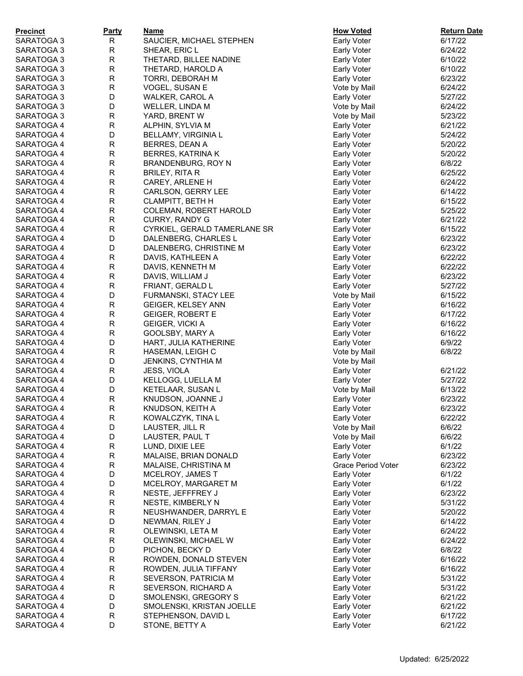| <b>Precinct</b>          | <b>Party</b>              | Name                                     | <b>How Voted</b>                         | <b>Return Date</b> |
|--------------------------|---------------------------|------------------------------------------|------------------------------------------|--------------------|
| SARATOGA 3               | R                         | SAUCIER, MICHAEL STEPHEN                 | Early Voter                              | 6/17/22            |
| SARATOGA 3               | R                         | SHEAR, ERIC L                            | <b>Early Voter</b>                       | 6/24/22            |
| SARATOGA 3               | ${\sf R}$                 | THETARD, BILLEE NADINE                   | Early Voter                              | 6/10/22            |
| SARATOGA 3               | $\mathsf{R}$              | THETARD, HAROLD A                        | <b>Early Voter</b>                       | 6/10/22            |
| SARATOGA 3               | ${\sf R}$                 | TORRI, DEBORAH M                         | <b>Early Voter</b>                       | 6/23/22            |
| SARATOGA 3               | ${\sf R}$                 | VOGEL, SUSAN E                           | Vote by Mail                             | 6/24/22            |
| SARATOGA 3               | D                         | WALKER, CAROL A                          | <b>Early Voter</b>                       | 5/27/22            |
| SARATOGA 3               | D                         | WELLER, LINDA M                          | Vote by Mail                             | 6/24/22            |
| SARATOGA 3               | ${\sf R}$                 | YARD, BRENT W                            | Vote by Mail                             | 5/23/22            |
| SARATOGA 4               | $\mathsf{R}$              | ALPHIN, SYLVIA M                         | <b>Early Voter</b>                       | 6/21/22            |
| SARATOGA 4               | D                         | BELLAMY, VIRGINIA L                      | <b>Early Voter</b>                       | 5/24/22            |
| SARATOGA 4               | ${\sf R}$                 | BERRES, DEAN A                           | <b>Early Voter</b>                       | 5/20/22            |
| SARATOGA 4               | ${\sf R}$                 | <b>BERRES, KATRINA K</b>                 | <b>Early Voter</b>                       | 5/20/22            |
| SARATOGA 4               | ${\sf R}$                 | BRANDENBURG, ROY N                       | <b>Early Voter</b>                       | 6/8/22             |
| SARATOGA 4               | ${\sf R}$                 | BRILEY, RITA R                           | <b>Early Voter</b>                       | 6/25/22            |
| SARATOGA 4               | $\mathsf R$               | CAREY, ARLENE H                          | <b>Early Voter</b>                       | 6/24/22            |
| SARATOGA 4               | $\mathsf{R}$<br>${\sf R}$ | CARLSON, GERRY LEE                       | <b>Early Voter</b>                       | 6/14/22            |
| SARATOGA 4               | ${\sf R}$                 | <b>CLAMPITT, BETH H</b>                  | <b>Early Voter</b>                       | 6/15/22            |
| SARATOGA 4               | $\mathsf{R}$              | <b>COLEMAN, ROBERT HAROLD</b>            | <b>Early Voter</b>                       | 5/25/22            |
| SARATOGA 4               | ${\sf R}$                 | <b>CURRY, RANDY G</b>                    | <b>Early Voter</b>                       | 6/21/22            |
| SARATOGA 4               | D                         | CYRKIEL, GERALD TAMERLANE SR             | <b>Early Voter</b>                       | 6/15/22            |
| SARATOGA 4               | D                         | DALENBERG, CHARLES L                     | <b>Early Voter</b>                       | 6/23/22<br>6/23/22 |
| SARATOGA 4<br>SARATOGA 4 | ${\sf R}$                 | DALENBERG, CHRISTINE M                   | <b>Early Voter</b>                       | 6/22/22            |
| SARATOGA 4               | ${\sf R}$                 | DAVIS, KATHLEEN A                        | <b>Early Voter</b>                       | 6/22/22            |
| SARATOGA 4               | ${\sf R}$                 | DAVIS, KENNETH M                         | <b>Early Voter</b>                       | 6/23/22            |
| SARATOGA 4               | ${\sf R}$                 | DAVIS, WILLIAM J                         | <b>Early Voter</b><br><b>Early Voter</b> | 5/27/22            |
| SARATOGA 4               | D                         | FRIANT, GERALD L<br>FURMANSKI, STACY LEE | Vote by Mail                             | 6/15/22            |
| SARATOGA 4               | $\mathsf{R}$              | <b>GEIGER, KELSEY ANN</b>                | <b>Early Voter</b>                       | 6/16/22            |
| SARATOGA 4               | $\mathsf{R}$              | <b>GEIGER, ROBERT E</b>                  | <b>Early Voter</b>                       | 6/17/22            |
| SARATOGA 4               | ${\sf R}$                 | GEIGER, VICKI A                          | <b>Early Voter</b>                       | 6/16/22            |
| SARATOGA 4               | ${\sf R}$                 | GOOLSBY, MARY A                          | <b>Early Voter</b>                       | 6/16/22            |
| SARATOGA 4               | D                         | HART, JULIA KATHERINE                    | <b>Early Voter</b>                       | 6/9/22             |
| SARATOGA 4               | ${\sf R}$                 | HASEMAN, LEIGH C                         | Vote by Mail                             | 6/8/22             |
| SARATOGA 4               | D                         | <b>JENKINS, CYNTHIA M</b>                | Vote by Mail                             |                    |
| SARATOGA 4               | $\mathsf{R}$              | JESS, VIOLA                              | <b>Early Voter</b>                       | 6/21/22            |
| SARATOGA 4               | D                         | KELLOGG, LUELLA M                        | <b>Early Voter</b>                       | 5/27/22            |
| SARATOGA 4               | D                         | KETELAAR, SUSAN L                        | Vote by Mail                             | 6/13/22            |
| SARATOGA 4               | $\mathsf{R}$              | KNUDSON, JOANNE J                        | <b>Early Voter</b>                       | 6/23/22            |
| SARATOGA 4               | ${\sf R}$                 | KNUDSON, KEITH A                         | Early Voter                              | 6/23/22            |
| SARATOGA 4               | R                         | KOWALCZYK, TINA L                        | <b>Early Voter</b>                       | 6/22/22            |
| SARATOGA 4               | D                         | LAUSTER, JILL R                          | Vote by Mail                             | 6/6/22             |
| SARATOGA 4               | D                         | LAUSTER, PAUL T                          | Vote by Mail                             | 6/6/22             |
| SARATOGA 4               | $\mathsf{R}$              | LUND, DIXIE LEE                          | <b>Early Voter</b>                       | 6/1/22             |
| SARATOGA 4               | $\mathsf{R}$              | MALAISE, BRIAN DONALD                    | <b>Early Voter</b>                       | 6/23/22            |
| SARATOGA 4               | ${\sf R}$                 | MALAISE, CHRISTINA M                     | Grace Period Voter                       | 6/23/22            |
| SARATOGA 4               | D                         | <b>MCELROY, JAMES T</b>                  | <b>Early Voter</b>                       | 6/1/22             |
| SARATOGA 4               | D                         | MCELROY, MARGARET M                      | <b>Early Voter</b>                       | 6/1/22             |
| SARATOGA 4               | $\mathsf R$               | NESTE, JEFFFREY J                        | <b>Early Voter</b>                       | 6/23/22            |
| SARATOGA 4               | ${\sf R}$                 | NESTE, KIMBERLY N                        | <b>Early Voter</b>                       | 5/31/22            |
| SARATOGA 4               | ${\sf R}$                 | NEUSHWANDER, DARRYL E                    | <b>Early Voter</b>                       | 5/20/22            |
| SARATOGA 4               | D                         | NEWMAN, RILEY J                          | <b>Early Voter</b>                       | 6/14/22            |
| SARATOGA 4               | ${\sf R}$                 | OLEWINSKI, LETA M                        | <b>Early Voter</b>                       | 6/24/22            |
| SARATOGA 4               | $\mathsf{R}$              | OLEWINSKI, MICHAEL W                     | <b>Early Voter</b>                       | 6/24/22            |
| SARATOGA 4               | D                         | PICHON, BECKY D                          | <b>Early Voter</b>                       | 6/8/22             |
| SARATOGA 4               | $\mathsf{R}$              | ROWDEN, DONALD STEVEN                    | <b>Early Voter</b>                       | 6/16/22            |
| SARATOGA 4               | ${\sf R}$                 | ROWDEN, JULIA TIFFANY                    | <b>Early Voter</b>                       | 6/16/22            |
| SARATOGA 4               | $\mathsf{R}$              | SEVERSON, PATRICIA M                     | <b>Early Voter</b>                       | 5/31/22            |
| SARATOGA 4               | $\mathsf{R}$              | SEVERSON, RICHARD A                      | <b>Early Voter</b>                       | 5/31/22            |
| SARATOGA 4               | D                         | SMOLENSKI, GREGORY S                     | <b>Early Voter</b>                       | 6/21/22            |
| SARATOGA 4               | D                         | SMOLENSKI, KRISTAN JOELLE                | <b>Early Voter</b>                       | 6/21/22            |
| SARATOGA 4               | $\mathsf{R}$              | STEPHENSON, DAVID L                      | <b>Early Voter</b>                       | 6/17/22            |
| SARATOGA 4               | D                         | STONE, BETTY A                           | <b>Early Voter</b>                       | 6/21/22            |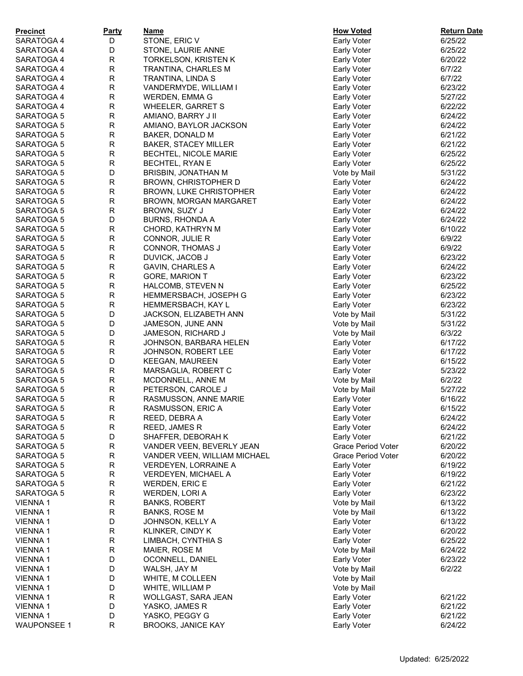| <b>Precinct</b>          | <b>Party</b> | Name                                                      | <b>How Voted</b>                                | <b>Return Date</b> |
|--------------------------|--------------|-----------------------------------------------------------|-------------------------------------------------|--------------------|
| SARATOGA 4               | D            | STONE, ERIC V                                             | Early Voter                                     | 6/25/22            |
| SARATOGA 4               | D            | STONE, LAURIE ANNE                                        | Early Voter                                     | 6/25/22            |
| SARATOGA 4               | R            | TORKELSON, KRISTEN K                                      | <b>Early Voter</b>                              | 6/20/22            |
| SARATOGA 4               | R            | TRANTINA, CHARLES M                                       | <b>Early Voter</b>                              | 6/7/22             |
| SARATOGA 4               | R            | TRANTINA, LINDA S                                         | <b>Early Voter</b>                              | 6/7/22             |
| SARATOGA 4               | R            | VANDERMYDE, WILLIAM I                                     | <b>Early Voter</b>                              | 6/23/22            |
| SARATOGA 4               | R            | WERDEN, EMMA G                                            | <b>Early Voter</b>                              | 5/27/22            |
| SARATOGA 4               | R            | <b>WHEELER, GARRET S</b>                                  | <b>Early Voter</b>                              | 6/22/22            |
| SARATOGA 5               | R            | AMIANO, BARRY J II                                        | <b>Early Voter</b>                              | 6/24/22            |
| SARATOGA 5               | R            | AMIANO, BAYLOR JACKSON                                    | <b>Early Voter</b>                              | 6/24/22            |
| SARATOGA 5               | R            | BAKER, DONALD M                                           | <b>Early Voter</b>                              | 6/21/22            |
| SARATOGA 5               | R            | <b>BAKER, STACEY MILLER</b>                               | <b>Early Voter</b>                              | 6/21/22            |
| SARATOGA 5               | R            | <b>BECHTEL, NICOLE MARIE</b>                              | <b>Early Voter</b>                              | 6/25/22            |
| SARATOGA 5               | R            | <b>BECHTEL, RYAN E</b>                                    | Early Voter                                     | 6/25/22            |
| SARATOGA 5               | D            | BRISBIN, JONATHAN M                                       | Vote by Mail                                    | 5/31/22            |
| SARATOGA 5               | R            | <b>BROWN, CHRISTOPHER D</b>                               | <b>Early Voter</b>                              | 6/24/22            |
| SARATOGA 5               | R            | <b>BROWN, LUKE CHRISTOPHER</b>                            | <b>Early Voter</b>                              | 6/24/22            |
| SARATOGA 5               | R            | BROWN, MORGAN MARGARET                                    | <b>Early Voter</b>                              | 6/24/22            |
| SARATOGA 5               | ${\sf R}$    | BROWN, SUZY J                                             | <b>Early Voter</b>                              | 6/24/22            |
| SARATOGA 5               | D            | BURNS, RHONDA A                                           | <b>Early Voter</b>                              | 6/24/22            |
| SARATOGA 5               | R            | CHORD, KATHRYN M                                          | <b>Early Voter</b>                              | 6/10/22            |
| SARATOGA 5               | R            | CONNOR, JULIE R                                           | <b>Early Voter</b>                              | 6/9/22             |
| SARATOGA 5               | R            | CONNOR, THOMAS J                                          | <b>Early Voter</b>                              | 6/9/22             |
| SARATOGA 5               | R            | DUVICK, JACOB J                                           | <b>Early Voter</b>                              | 6/23/22            |
| SARATOGA 5               | R            | GAVIN, CHARLES A                                          | <b>Early Voter</b>                              | 6/24/22            |
| SARATOGA 5               | R            | GORE, MARION T                                            | <b>Early Voter</b>                              | 6/23/22            |
| SARATOGA 5               | R            | HALCOMB, STEVEN N                                         | Early Voter                                     | 6/25/22            |
| SARATOGA 5               | R            | HEMMERSBACH, JOSEPH G                                     | <b>Early Voter</b>                              | 6/23/22            |
| SARATOGA 5               | R            | HEMMERSBACH, KAY L                                        | <b>Early Voter</b>                              | 6/23/22            |
| SARATOGA 5               | D            | JACKSON, ELIZABETH ANN                                    | Vote by Mail                                    | 5/31/22            |
| SARATOGA 5               | D            | JAMESON, JUNE ANN                                         | Vote by Mail                                    | 5/31/22            |
| SARATOGA 5               | D            | JAMESON, RICHARD J                                        | Vote by Mail                                    | 6/3/22             |
| SARATOGA 5               | ${\sf R}$    | JOHNSON, BARBARA HELEN                                    | Early Voter                                     | 6/17/22            |
| SARATOGA 5               | ${\sf R}$    | JOHNSON, ROBERT LEE                                       | <b>Early Voter</b>                              | 6/17/22            |
| SARATOGA 5               | D            | <b>KEEGAN, MAUREEN</b>                                    | <b>Early Voter</b>                              | 6/15/22            |
| SARATOGA 5               | R            | MARSAGLIA, ROBERT C                                       | <b>Early Voter</b>                              | 5/23/22            |
| SARATOGA 5               | R            | MCDONNELL, ANNE M                                         | Vote by Mail                                    | 6/2/22             |
| SARATOGA 5               | R            | PETERSON, CAROLE J                                        | Vote by Mail                                    | 5/27/22            |
| SARATOGA 5               | ${\sf R}$    | RASMUSSON, ANNE MARIE                                     | <b>Early Voter</b>                              | 6/16/22            |
| SARATOGA 5               | ${\sf R}$    | RASMUSSON, ERIC A                                         | Early Voter                                     | 6/15/22            |
| SARATOGA 5               | R            | REED, DEBRA A                                             | Early Voter                                     | 6/24/22            |
| SARATOGA 5               | R            | REED, JAMES R                                             | Early Voter                                     | 6/24/22            |
| SARATOGA 5               | D<br>R       | SHAFFER, DEBORAH K                                        | <b>Early Voter</b>                              | 6/21/22            |
| SARATOGA 5<br>SARATOGA 5 | R            | VANDER VEEN, BEVERLY JEAN<br>VANDER VEEN, WILLIAM MICHAEL | Grace Period Voter<br><b>Grace Period Voter</b> | 6/20/22<br>6/20/22 |
| SARATOGA 5               | R            | VERDEYEN, LORRAINE A                                      | Early Voter                                     | 6/19/22            |
|                          | R            | <b>VERDEYEN, MICHAEL A</b>                                |                                                 | 6/19/22            |
| SARATOGA 5<br>SARATOGA 5 | R            |                                                           | <b>Early Voter</b>                              | 6/21/22            |
| SARATOGA 5               | R            | WERDEN, ERIC E<br>WERDEN, LORI A                          | <b>Early Voter</b><br><b>Early Voter</b>        | 6/23/22            |
| <b>VIENNA1</b>           | R            | <b>BANKS, ROBERT</b>                                      | Vote by Mail                                    | 6/13/22            |
| <b>VIENNA1</b>           | R            | BANKS, ROSE M                                             | Vote by Mail                                    | 6/13/22            |
| <b>VIENNA1</b>           | D            | JOHNSON, KELLY A                                          | <b>Early Voter</b>                              | 6/13/22            |
| <b>VIENNA1</b>           | R            | KLINKER, CINDY K                                          | <b>Early Voter</b>                              | 6/20/22            |
| <b>VIENNA1</b>           | R            | LIMBACH, CYNTHIA S                                        | <b>Early Voter</b>                              | 6/25/22            |
| <b>VIENNA1</b>           | R            | MAIER, ROSE M                                             | Vote by Mail                                    | 6/24/22            |
| <b>VIENNA1</b>           | D            | OCONNELL, DANIEL                                          | <b>Early Voter</b>                              | 6/23/22            |
| <b>VIENNA1</b>           | D            | WALSH, JAY M                                              | Vote by Mail                                    | 6/2/22             |
| <b>VIENNA1</b>           | D            | WHITE, M COLLEEN                                          | Vote by Mail                                    |                    |
| <b>VIENNA1</b>           | D            | WHITE, WILLIAM P                                          | Vote by Mail                                    |                    |
| <b>VIENNA1</b>           | R            | WOLLGAST, SARA JEAN                                       | <b>Early Voter</b>                              | 6/21/22            |
| <b>VIENNA1</b>           | D            | YASKO, JAMES R                                            | <b>Early Voter</b>                              | 6/21/22            |
| <b>VIENNA1</b>           | D            | YASKO, PEGGY G                                            | <b>Early Voter</b>                              | 6/21/22            |
| <b>WAUPONSEE 1</b>       | R            | <b>BROOKS, JANICE KAY</b>                                 | Early Voter                                     | 6/24/22            |
|                          |              |                                                           |                                                 |                    |